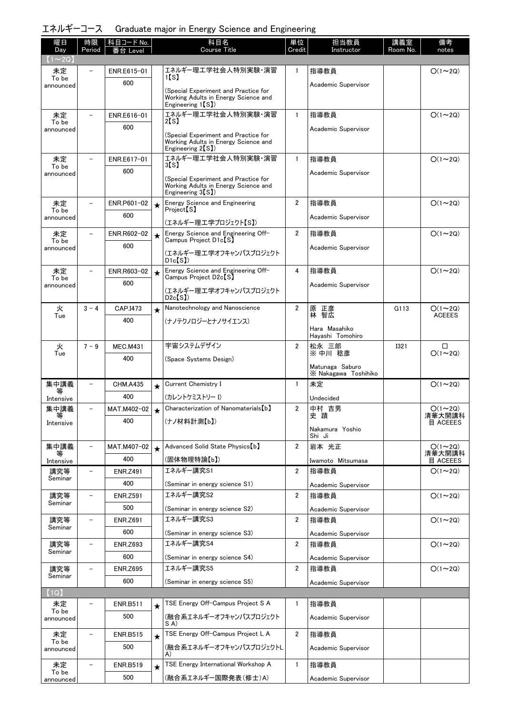|  | エネルギーコース Graduate major in Energy Science and Engineering |  |  |  |
|--|-----------------------------------------------------------|--|--|--|
|--|-----------------------------------------------------------|--|--|--|

| 曜日                 | 時限                       | 科目コード No.              |         | 科目名<br><b>Course Title</b>                                                   | 単位                      | 担当教員                        | 講義室         | 備考                              |
|--------------------|--------------------------|------------------------|---------|------------------------------------------------------------------------------|-------------------------|-----------------------------|-------------|---------------------------------|
| Day<br>$1 \sim 2Q$ | Period                   | 台<br>Level             |         |                                                                              | Credit                  | Instructor                  | Room No.    | notes                           |
| 未定                 |                          | ENR.E615-01            |         | エネルギー理エ学社会人特別実験・演習                                                           | 1                       | 指導教員                        |             | $O(1\sim 2Q)$                   |
| To be<br>announced |                          | 600                    |         | 1(S)                                                                         |                         | Academic Supervisor         |             |                                 |
|                    |                          |                        |         | (Special Experiment and Practice for<br>Working Adults in Energy Science and |                         |                             |             |                                 |
|                    |                          |                        |         | Engineering $1(S)$                                                           |                         |                             |             |                                 |
| 未定<br>To be        | $\overline{\phantom{0}}$ | ENR.E616-01            |         | エネルギー理工学社会人特別実験・演習<br>2[S]                                                   | $\mathbf{1}$            | 指導教員                        |             | $O(1\sim 2Q)$                   |
| announced          |                          | 600                    |         | (Special Experiment and Practice for                                         |                         | Academic Supervisor         |             |                                 |
|                    |                          |                        |         | Working Adults in Energy Science and<br>Engineering 2 <sup>[S]</sup>         |                         |                             |             |                                 |
| 未定                 | $\equiv$                 | ENR.E617-01            |         | エネルギー理工学社会人特別実験・演習<br>3(S)                                                   | $\mathbf{1}$            | 指導教員                        |             | $O(1\sim 2Q)$                   |
| To be<br>announced |                          | 600                    |         |                                                                              |                         | Academic Supervisor         |             |                                 |
|                    |                          |                        |         | (Special Experiment and Practice for<br>Working Adults in Energy Science and |                         |                             |             |                                 |
| 未定                 |                          | ENR.P601-02            |         | Engineering 3 <sup>[S]</sup> )<br><b>Energy Science and Engineering</b>      | $\overline{2}$          | 指導教員                        |             | $O(1\sim 2Q)$                   |
| To be              |                          | 600                    | $\star$ | Project <sup>[S]</sup>                                                       |                         |                             |             |                                 |
| announced          |                          |                        |         | (エネルギー理工学プロジェクト【S】)                                                          |                         | Academic Supervisor         |             |                                 |
| 未定<br>To be        |                          | ENR.R602-02            | $\star$ | Energy Science and Engineering Off-<br>Campus Project D1c[S]                 | $\overline{2}$          | 指導教員                        |             | $O(1\sim 2Q)$                   |
| announced          |                          | 600                    |         | (エネルギー理工学オフキャンパスプロジェクト                                                       |                         | Academic Supervisor         |             |                                 |
|                    |                          |                        |         | D1c[S]                                                                       |                         |                             |             |                                 |
| 未定<br>To be        |                          | ENR.R603-02            | $\star$ | Energy Science and Engineering Off-<br>Campus Project D2c【S】                 | 4                       | 指導教員                        |             | $O(1\sim 2Q)$                   |
| announced          |                          | 600                    |         | (エネルギー理工学オフキャンパスプロジェクト                                                       |                         | Academic Supervisor         |             |                                 |
|                    |                          |                        |         | D2c(S)                                                                       |                         |                             |             |                                 |
| 火<br>Tue           | $3 - 4$                  | CAP.I473               | $\star$ | Nanotechnology and Nanoscience                                               | $\overline{2}$          | 原 正彦<br>智広<br>林             | G113        | $O(1 \sim 2Q)$<br><b>ACEEES</b> |
|                    |                          | 400                    |         | (ナノテクノロジーとナノサイエンス)                                                           |                         | Hara Masahiko               |             |                                 |
|                    |                          |                        |         |                                                                              |                         | Hayashi Tomohiro            |             |                                 |
| 火<br>Tue           | $7 - 9$                  | <b>MEC.M431</b>        |         | 宇宙システムデザイン                                                                   | $\overline{2}$          | 松永 三郎<br>※ 中川 稔彦            | <b>I321</b> | □<br>$O(1\sim 2Q)$              |
|                    |                          | 400                    |         | (Space Systems Design)                                                       |                         | Matunaga Saburo             |             |                                 |
|                    |                          |                        |         |                                                                              |                         | X Nakagawa Toshihiko        |             |                                 |
| 集中講義<br>等          | $\overline{\phantom{0}}$ | <b>CHM.A435</b>        | $\star$ | Current Chemistry I                                                          | $\mathbf{1}$            | 未定                          |             | $O(1\sim 2Q)$                   |
| Intensive          |                          | 400                    |         | (カレントケミストリー I)                                                               |                         | Undecided                   |             |                                 |
| 集中講義               | -                        | MAT.M402-02            | $\star$ | Characterization of Nanomaterials [b]                                        | 2                       | 中村 吉男<br>史蹟                 |             | $O(1\sim 2Q)$<br>清華大開講科         |
| Intensive          |                          | 400                    |         | (ナノ材料計測【b】)                                                                  |                         | Nakamura Yoshio             |             | 目 ACEEES                        |
|                    | $\overline{\phantom{0}}$ | MAT.M407-02            |         | Advanced Solid State Physics [b]                                             | 2                       | Shi Ji<br>岩本 光正             |             | $O(1\sim 2Q)$                   |
| 集中講義               |                          | 400                    | $\star$ |                                                                              |                         |                             |             | 清華大開講科                          |
| Intensive<br>講究等   | $\overline{\phantom{0}}$ | <b>ENR.Z491</b>        |         | (固体物理特論【b】)<br>エネルギー講究S1                                                     | 2                       | Iwamoto Mitsumasa<br>指導教員   |             | 目 ACEEES<br>$O(1\sim 2Q)$       |
| Seminar            |                          | 400                    |         | (Seminar in energy science S1)                                               |                         |                             |             |                                 |
| 講究等                |                          | <b>ENR.Z591</b>        |         | エネルギー講究S2                                                                    | 2                       | Academic Supervisor<br>指導教員 |             | $O(1\sim 2Q)$                   |
| Seminar            |                          | 500                    |         | (Seminar in energy science S2)                                               |                         | Academic Supervisor         |             |                                 |
| 講究等                |                          | <b>ENR.Z691</b>        |         | エネルギー講究S3                                                                    | 2                       | 指導教員                        |             | $O(1\sim 2Q)$                   |
| Seminar            |                          | 600                    |         | (Seminar in energy science S3)                                               |                         | Academic Supervisor         |             |                                 |
| 講究等                |                          | <b>ENR.Z693</b>        |         | エネルギー講究S4                                                                    | $\overline{\mathbf{2}}$ | 指導教員                        |             | $O(1\sim 2Q)$                   |
| Seminar            |                          | 600                    |         | (Seminar in energy science S4)                                               |                         | Academic Supervisor         |             |                                 |
| 講究等                |                          | <b>ENR.Z695</b>        |         | エネルギー講究S5                                                                    | 2                       | 指導教員                        |             | $O(1\sim 2Q)$                   |
| Seminar            |                          | 600                    |         | (Seminar in energy science S5)                                               |                         | Academic Supervisor         |             |                                 |
| (1Q)               |                          |                        |         |                                                                              |                         |                             |             |                                 |
| 未定<br>To be        |                          | <b>ENR.B511</b>        | $\star$ | TSE Energy Off-Campus Project S A                                            | 1                       | 指導教員                        |             |                                 |
| announced          |                          | 500                    |         | (融合系エネルギーオフキャンパスプロジェクト<br>SA)                                                |                         | Academic Supervisor         |             |                                 |
| 未定                 | $\overline{\phantom{0}}$ | <b>ENR.B515</b>        | $\star$ | TSE Energy Off-Campus Project L A                                            | $\overline{2}$          | 指導教員                        |             |                                 |
| To be<br>announced |                          | 500                    |         | (融合系エネルギーオフキャンパスプロジェクトL                                                      |                         | Academic Supervisor         |             |                                 |
|                    | $\overline{\phantom{0}}$ |                        |         | A)<br>TSE Energy International Workshop A                                    | $\mathbf{1}$            |                             |             |                                 |
| 未定<br>To be        |                          | <b>ENR.B519</b><br>500 | $\star$ | (融合系エネルギー国際発表(修士)A)                                                          |                         | 指導教員                        |             |                                 |
| announced          |                          |                        |         |                                                                              |                         | Academic Supervisor         |             |                                 |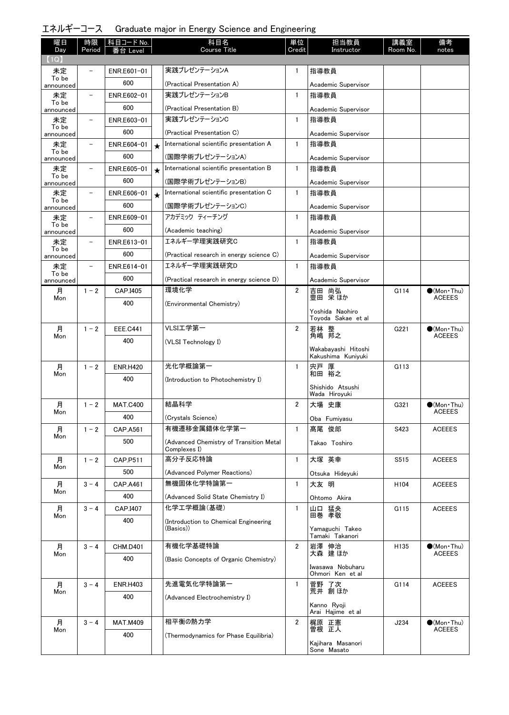| エネルギーコース Graduate major in Energy Science and Engineering |  |  |  |  |
|-----------------------------------------------------------|--|--|--|--|
|-----------------------------------------------------------|--|--|--|--|

| 曜日<br>Day          | 時限<br>Period             | │ 科目コード No.<br>番台 Level |         | 科目名<br><b>Course Title</b>                         | 単位<br>Credit   | 担当教員<br>Instructor                        | 講義室<br>Room No. | 備考<br>notes           |
|--------------------|--------------------------|-------------------------|---------|----------------------------------------------------|----------------|-------------------------------------------|-----------------|-----------------------|
| (1Q)               |                          |                         |         |                                                    |                |                                           |                 |                       |
| 未定                 |                          | ENR.E601-01             |         | 実践プレゼンテーションA                                       | $\mathbf{1}$   | 指導教員                                      |                 |                       |
| To be<br>announced |                          | 600                     |         | (Practical Presentation A)                         |                | Academic Supervisor                       |                 |                       |
| 未定                 |                          | ENR.E602-01             |         | 実践プレゼンテーションB                                       | $\mathbf{1}$   | 指導教員                                      |                 |                       |
| To be<br>announced |                          | 600                     |         | (Practical Presentation B)                         |                | Academic Supervisor                       |                 |                       |
| 未定                 | $\overline{\phantom{a}}$ | ENR.E603-01             |         | 実践プレゼンテーションC                                       | $\mathbf{1}$   | 指導教員                                      |                 |                       |
| To be<br>announced |                          | 600                     |         | (Practical Presentation C)                         |                | Academic Supervisor                       |                 |                       |
| 未定                 | $\qquad \qquad -$        | ENR.E604-01             | $\star$ | International scientific presentation A            | $\mathbf{1}$   | 指導教員                                      |                 |                       |
| To be<br>announced |                          | 600                     |         | (国際学術プレゼンテーションA)                                   |                | Academic Supervisor                       |                 |                       |
| 未定                 | $\qquad \qquad$          | ENR.E605-01             | $\star$ | International scientific presentation B            | $\mathbf{1}$   | 指導教員                                      |                 |                       |
| To be<br>announced |                          | 600                     |         | (国際学術プレゼンテーションB)                                   |                | Academic Supervisor                       |                 |                       |
| 未定                 |                          | ENR.E606-01             | $\star$ | International scientific presentation C            | $\mathbf{1}$   | 指導教員                                      |                 |                       |
| To be<br>announced |                          | 600                     |         | (国際学術プレゼンテーションC)                                   |                | Academic Supervisor                       |                 |                       |
| 未定                 |                          | ENR.E609-01             |         | アカデミック ティーチング                                      | $\mathbf{1}$   | 指導教員                                      |                 |                       |
| To be<br>announced |                          | 600                     |         | (Academic teaching)                                |                | Academic Supervisor                       |                 |                       |
| 未定                 | $\qquad \qquad -$        | ENR.E613-01             |         | エネルギー学理実践研究C                                       | $\mathbf{1}$   | 指導教員                                      |                 |                       |
| To be<br>announced |                          | 600                     |         | (Practical research in energy science C)           |                | Academic Supervisor                       |                 |                       |
| 未定                 | $\overline{\phantom{a}}$ | ENR.E614-01             |         | エネルギー学理実践研究D                                       | $\mathbf{1}$   | 指導教員                                      |                 |                       |
| To be<br>announced |                          | 600                     |         | (Practical research in energy science D)           |                | Academic Supervisor                       |                 |                       |
| 月                  | $1 - 2$                  | CAP.I405                |         | 環境化学                                               | $\overline{2}$ | 吉田 尚弘                                     | G114            | $\bigcirc$ (Mon Thu)  |
| Mon                |                          | 400                     |         | (Environmental Chemistry)                          |                | 豊田 栄ほか                                    |                 | <b>ACEEES</b>         |
|                    |                          |                         |         |                                                    |                | Yoshida Naohiro<br>Toyoda Sakae et al     |                 |                       |
| 月                  | $1 - 2$                  | <b>EEE.C441</b>         |         | VLSI工学第一                                           | 2              | 若林 整<br>角嶋 邦之                             | G221            | $\bigcirc$ (Mon•Thu)  |
| Mon                |                          | 400                     |         | (VLSI Technology I)                                |                |                                           |                 | <b>ACEEES</b>         |
|                    |                          |                         |         |                                                    |                | Wakabayashi Hitoshi<br>Kakushima Kuniyuki |                 |                       |
| 月                  | $1 - 2$                  | <b>ENR.H420</b>         |         | 光化学概論第一                                            | $\mathbf{1}$   | 宍戸 厚<br>和田 裕之                             | G113            |                       |
| Mon                |                          | 400                     |         | (Introduction to Photochemistry I)                 |                |                                           |                 |                       |
|                    |                          |                         |         |                                                    |                | Shishido Atsushi<br>Wada Hiroyuki         |                 |                       |
| 月                  | $1 - 2$                  | <b>MAT.C400</b>         |         | 結晶科学                                               | $\overline{2}$ | 大場 史康                                     | G321            | $\bullet$ (Mon•Thu)   |
| Mon                |                          | 400                     |         | (Crystals Science)                                 |                | Oba Fumiyasu                              |                 | <b>ACEEES</b>         |
| 月                  | $1 - 2$                  | CAP.A561                |         | 有機遷移金属錯体化学第一                                       | $\mathbf{1}$   | 髙尾 俊郎                                     | S423            | <b>ACEEES</b>         |
| Mon                |                          | 500                     |         | (Advanced Chemistry of Transition Metal            |                | Takao Toshiro                             |                 |                       |
|                    | $1 - 2$                  | CAP.P511                |         | Complexes I)<br>高分子反応特論                            | $\mathbf{1}$   | 大塚 英幸                                     | S515            | <b>ACEEES</b>         |
| 月<br>Mon           |                          | 500                     |         |                                                    |                |                                           |                 |                       |
|                    | $3 - 4$                  | <b>CAP.A461</b>         |         | (Advanced Polymer Reactions)<br>無機固体化学特論第一         | $\mathbf{1}$   | Otsuka Hideyuki<br>大友 明                   |                 | <b>ACEEES</b>         |
| 月<br>Mon           |                          | 400                     |         |                                                    |                |                                           | H104            |                       |
|                    | $3 - 4$                  | CAP.I407                |         | (Advanced Solid State Chemistry I)<br>化学工学概論(基礎)   | $\mathbf{1}$   | Ohtomo Akira<br>山口 猛央                     | G115            | <b>ACEEES</b>         |
| 月<br>Mon           |                          |                         |         |                                                    |                | 田巻 孝敬                                     |                 |                       |
|                    |                          | 400                     |         | (Introduction to Chemical Engineering<br>(Basics)) |                | Yamaguchi Takeo                           |                 |                       |
| 月                  | $3 - 4$                  | <b>CHM.D401</b>         |         | 有機化学基礎特論                                           | $\overline{2}$ | Tamaki Takanori                           | H135            | $\bullet$ (Mon · Thu) |
| Mon                |                          | 400                     |         |                                                    |                | 岩澤 伸治<br>大森 建ほか                           |                 | <b>ACEEES</b>         |
|                    |                          |                         |         | (Basic Concepts of Organic Chemistry)              |                | Iwasawa Nobuharu                          |                 |                       |
| 月                  | $3 - 4$                  | <b>ENR.H403</b>         |         | 先進電気化学特論第一                                         | $\mathbf{1}$   | Ohmori Ken et al<br>菅野 了次                 | G114            | <b>ACEEES</b>         |
| Mon                |                          | 400                     |         | (Advanced Electrochemistry I)                      |                | 荒井 創ほか                                    |                 |                       |
|                    |                          |                         |         |                                                    |                | Kanno Ryoji<br>Arai Hajime et al          |                 |                       |
| 月                  | $3 - 4$                  | <b>MAT.M409</b>         |         | 相平衡の熱力学                                            | $\overline{2}$ | 梶原 正憲                                     | J234            | $\bullet$ (Mon Thu)   |
| Mon                |                          | 400                     |         | (Thermodynamics for Phase Equilibria)              |                | 曽根 正人                                     |                 | <b>ACEEES</b>         |
|                    |                          |                         |         |                                                    |                | Kajihara Masanori<br>Sone Masato          |                 |                       |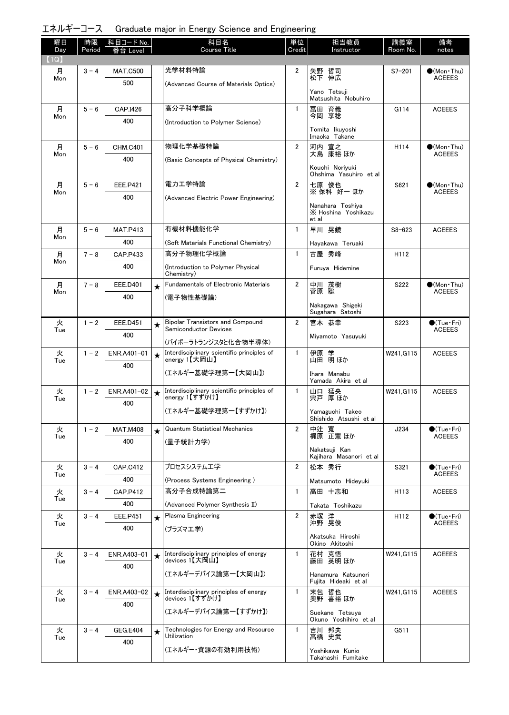エネルギーコース Graduate major in Energy Science and Engineering

| 曜日<br>Day | 時限<br>Period | │科目コード No.<br>番台 Level |         | 科目名<br><b>Course Title</b>                                              | 単位<br>Credit   | 担当教員<br>Instructor                               | 講義室<br>Room No. | 備考<br>notes                             |
|-----------|--------------|------------------------|---------|-------------------------------------------------------------------------|----------------|--------------------------------------------------|-----------------|-----------------------------------------|
| (1Q)      |              |                        |         | 光学材料特論                                                                  |                |                                                  |                 |                                         |
| 月<br>Mon  | $3 - 4$      | <b>MAT.C500</b><br>500 |         | (Advanced Course of Materials Optics)                                   | $\overline{2}$ | 矢野 哲司<br>松下 伸広                                   | $S7 - 201$      | $(Mon\cdot Thu)$<br><b>ACEEES</b>       |
|           |              |                        |         |                                                                         |                | Yano Tetsuji<br>Matsushita Nobuhiro              |                 |                                         |
| 月<br>Mon  | $5 - 6$      | CAP.I426               |         | 高分子科学概論                                                                 | $\mathbf{1}$   | 冨田 育義<br>今岡 享稔                                   | G114            | <b>ACEEES</b>                           |
|           |              | 400                    |         | (Introduction to Polymer Science)                                       |                | Tomita Ikuyoshi<br>Imaoka Takane                 |                 |                                         |
| 月         | $5 - 6$      | <b>CHM.C401</b>        |         | 物理化学基礎特論                                                                | $\overline{2}$ | 河内 宣之                                            | H114            | $\bigcirc$ (Mon·Thu)                    |
| Mon       |              | 400                    |         | (Basic Concepts of Physical Chemistry)                                  |                | 大島 康裕 ほか                                         |                 | <b>ACEEES</b>                           |
|           |              |                        |         |                                                                         |                | Kouchi Noriyuki<br>Ohshima Yasuhiro et al        |                 |                                         |
| 月<br>Mon  | $5 - 6$      | <b>EEE.P421</b>        |         | 電力工学特論                                                                  | $\overline{2}$ | 七原 俊也<br>※ 保科 好一 ほか                              | S621            | $\bigcirc$ (Mon Thu)<br><b>ACEEES</b>   |
|           |              | 400                    |         | (Advanced Electric Power Engineering)                                   |                | Nanahara Toshiva<br>X Hoshina Yoshikazu<br>et al |                 |                                         |
| 月         | $5 - 6$      | <b>MAT.P413</b>        |         | 有機材料機能化学                                                                | $\mathbf{1}$   | 早川 晃鏡                                            | $S8 - 623$      | <b>ACEEES</b>                           |
| Mon       |              | 400                    |         | (Soft Materials Functional Chemistry)                                   |                | Hayakawa Teruaki                                 |                 |                                         |
| 月         | $7 - 8$      | CAP.P433               |         | 高分子物理化学概論                                                               | $\mathbf{1}$   | 古屋 秀峰                                            | H112            |                                         |
| Mon       |              | 400                    |         | (Introduction to Polymer Physical<br>Chemistry)                         |                | Furuya Hidemine                                  |                 |                                         |
| 月<br>Mon  | $7 - 8$      | EEE.D401               | $\star$ | <b>Fundamentals of Electronic Materials</b>                             | $\overline{2}$ | 中川 茂樹<br>菅原 聡                                    | S222            | $\bullet$ (Mon•Thu)<br><b>ACEEES</b>    |
|           |              | 400                    |         | (電子物性基礎論)                                                               |                | Nakagawa Shigeki                                 |                 |                                         |
|           |              |                        |         |                                                                         |                | Sugahara Satoshi                                 |                 |                                         |
| 火<br>Tue  | $1 - 2$      | <b>EEE.D451</b>        | $\star$ | <b>Bipolar Transistors and Compound</b><br><b>Semiconductor Devices</b> | $\overline{2}$ | 宮本 恭幸                                            | S223            | $\bigcirc$ (Tue · Fri)<br><b>ACEEES</b> |
|           |              | 400                    |         | (バイポーラトランジスタと化合物半導体)                                                    |                | Miyamoto Yasuyuki                                |                 |                                         |
| 火<br>Tue  | $1 - 2$      | ENR.A401-01            | $\star$ | Interdisciplinary scientific principles of<br>energy 1【大岡山】             | $\mathbf{1}$   | 伊原 学<br>山田 明ほか                                   | W241.G115       | <b>ACEEES</b>                           |
|           |              | 400                    |         | (エネルギー基礎学理第一【大岡山】)                                                      |                | Ihara Manabu                                     |                 |                                         |
| 火         | $1 - 2$      | ENR.A401-02            |         | Interdisciplinary scientific principles of                              | $\mathbf{1}$   | Yamada Akira et al                               | W241.G115       | <b>ACEEES</b>                           |
| Tue       |              | 400                    |         | energy 1【すずかけ】                                                          |                | 山口 猛央<br>宍戸 厚ほか                                  |                 |                                         |
|           |              |                        |         | (エネルギー基礎学理第一【すずかけ】)                                                     |                | Yamaguchi Takeo<br>Shishido Atsushi et al        |                 |                                         |
| 火<br>Tue  | $1 - 2$      | <b>MAT.M408</b>        |         | <b>Quantum Statistical Mechanics</b>                                    | $\overline{2}$ | 中辻 寬<br>梶原 正憲 ほか                                 | J234            | $\bullet$ (Tue•Fri)<br><b>ACEEES</b>    |
|           |              | 400                    |         | (量子統計力学)                                                                |                | Nakatsuii Kan                                    |                 |                                         |
| 火         | $3 - 4$      | <b>CAP.C412</b>        |         | プロセスシステム工学                                                              | $\overline{2}$ | Kajihara Masanori et al<br>松本 秀行                 | S321            | $\bullet$ (Tue•Fri)                     |
| Tue       |              | 400                    |         | (Process Systems Engineering)                                           |                | Matsumoto Hideyuki                               |                 | <b>ACEEES</b>                           |
| 火         | $3 - 4$      | <b>CAP.P412</b>        |         | 高分子合成特論第二                                                               | $\mathbf{1}$   | 高田 十志和                                           | H113            | <b>ACEEES</b>                           |
| Tue       |              | 400                    |         | (Advanced Polymer Synthesis II)                                         |                | Takata Toshikazu                                 |                 |                                         |
| 火         | $3 - 4$      | <b>EEE.P451</b>        | $\star$ | Plasma Engineering                                                      | $\overline{2}$ | 赤塚 洋                                             | H112            | $\bullet$ (Tue · Fri)                   |
| Tue       |              | 400                    |         | (プラズマエ学)                                                                |                | 沖野 晃俊                                            |                 | <b>ACEEES</b>                           |
|           |              |                        |         |                                                                         |                | Akatsuka Hiroshi<br>Okino Akitoshi               |                 |                                         |
| 火<br>Tue  | $3 - 4$      | ENR.A403-01            |         | Interdisciplinary principles of energy<br>devices 1【大岡山】                | $\mathbf{1}$   | 花村 克悟<br>藤田 英明 ほか                                | W241, G115      | <b>ACEEES</b>                           |
|           |              | 400                    |         | (エネルギーデバイス論第一【大岡山】)                                                     |                | Hanamura Katsunori                               |                 |                                         |
| 火         | $3 - 4$      | ENR.A403-02            | $\star$ | Interdisciplinary principles of energy                                  | $\mathbf{1}$   | Fujita Hideaki et al<br>末包 哲也<br>奥野 喜裕ほか         | W241, G115      | <b>ACEEES</b>                           |
| Tue       |              | 400                    |         | devices 1【すずかけ】                                                         |                |                                                  |                 |                                         |
|           |              |                        |         | (エネルギーデバイス論第一【すずかけ】)                                                    |                | Suekane Tetsuya<br>Okuno Yoshihiro et al         |                 |                                         |
| 火<br>Tue  | $3 - 4$      | <b>GEG.E404</b><br>400 | $\star$ | Technologies for Energy and Resource<br>Utilization                     | $\mathbf{1}$   | 吉川 邦夫<br>高橋 史武                                   | G511            |                                         |
|           |              |                        |         | (エネルギー・資源の有効利用技術)                                                       |                | Yoshikawa Kunio<br>Takahashi Fumitake            |                 |                                         |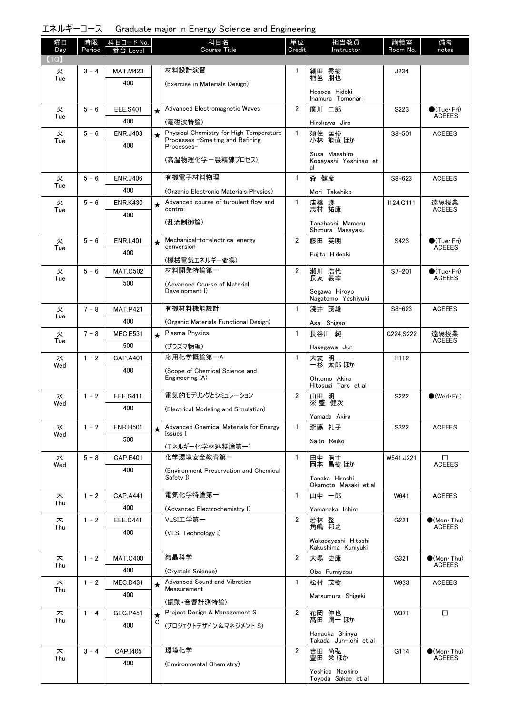# エネルギーコース Graduate major in Energy Science and Engineering

| 曜日          | 時限      | │科目コード No.             |         | 科目名<br>Course Title                                                         | 単位<br>Credit   | 担当教員                                      | 講義室<br>Room No. | 備考                                     |
|-------------|---------|------------------------|---------|-----------------------------------------------------------------------------|----------------|-------------------------------------------|-----------------|----------------------------------------|
| Day<br>(1Q) | Period  | 番台 Level               |         |                                                                             |                | Instructor                                |                 | notes                                  |
| 火           | $3 - 4$ | <b>MAT.M423</b>        |         | 材料設計演習                                                                      | 1              | 細田 秀樹<br>稲邑 朋也                            | J234            |                                        |
| Tue         |         | 400                    |         | (Exercise in Materials Design)                                              |                |                                           |                 |                                        |
|             |         |                        |         |                                                                             |                | Hosoda Hideki<br>Inamura Tomonari         |                 |                                        |
| 火<br>Tue    | $5 - 6$ | <b>EEE.S401</b>        | $\star$ | Advanced Electromagnetic Waves                                              | $\overline{2}$ | 廣川 二郎                                     | S223            | $\bullet$ (Tue · Fri)<br><b>ACEEES</b> |
|             |         | 400                    |         | (電磁波特論)                                                                     |                | Hirokawa Jiro                             |                 |                                        |
| 火<br>Tue    | $5 - 6$ | <b>ENR.J403</b>        | $\star$ | Physical Chemistry for High Temperature<br>Processes -Smelting and Refining | $\mathbf{1}$   | 須佐 匡裕<br>小林 能直 ほか                         | $S8 - 501$      | <b>ACEEES</b>                          |
|             |         | 400                    |         | Processes-                                                                  |                | Susa Masahiro                             |                 |                                        |
|             |         |                        |         | (高温物理化学-製精錬プロセス)                                                            |                | Kobayashi Yoshinao et<br>al               |                 |                                        |
| 火           | $5 - 6$ | <b>ENR.J406</b>        |         | 有機電子材料物理                                                                    | $\mathbf{1}$   | 森 健彦                                      | $S8 - 623$      | <b>ACEEES</b>                          |
| Tue         |         | 400                    |         | (Organic Electronic Materials Physics)                                      |                | Mori Takehiko                             |                 |                                        |
| 火<br>Tue    | $5 - 6$ | <b>ENR.K430</b>        | $\star$ | Advanced course of turbulent flow and<br>control                            | $\mathbf{1}$   | 店橋 護<br>志村 祐康                             | I124, G111      | 遠隔授業<br><b>ACEEES</b>                  |
|             |         | 400                    |         | (乱流制御論)                                                                     |                | Tanahashi Mamoru                          |                 |                                        |
|             |         |                        |         |                                                                             |                | Shimura Masayasu                          |                 |                                        |
| 火<br>Tue    | $5 - 6$ | <b>ENR.L401</b>        | $\star$ | Mechanical-to-electrical energy<br>conversion                               | $\overline{2}$ | 藤田 英明                                     | S423            | $\bullet$ (Tue•Fri)<br><b>ACEEES</b>   |
|             |         | 400                    |         | (機械電気エネルギー変換)                                                               |                | Fujita Hideaki                            |                 |                                        |
| 火           | $5 - 6$ | <b>MAT.C502</b>        |         | 材料開発特論第一                                                                    | $\overline{2}$ | 瀬川 浩代<br>長友 義幸                            | $S7 - 201$      | $\bullet$ (Tue•Fri)                    |
| Tue         |         | 500                    |         | (Advanced Course of Material                                                |                |                                           |                 | <b>ACEEES</b>                          |
|             |         |                        |         | Development I)                                                              |                | Segawa Hiroyo<br>Nagatomo Yoshiyuki       |                 |                                        |
| 火           | $7 - 8$ | <b>MAT.P421</b>        |         | 有機材料機能設計                                                                    | $\mathbf{1}$   | 淺井 茂雄                                     | $S8 - 623$      | <b>ACEEES</b>                          |
| Tue         |         | 400                    |         | (Organic Materials Functional Design)                                       |                | Asai Shigeo                               |                 |                                        |
| 火<br>Tue    | $7 - 8$ | <b>MEC.E531</b>        | $\star$ | Plasma Physics                                                              | $\mathbf{1}$   | 長谷川 純                                     | G224, S222      | 遠隔授業<br><b>ACEEES</b>                  |
|             |         | 500                    |         | (プラズマ物理)                                                                    |                | Hasegawa Jun                              |                 |                                        |
| 水<br>Wed    | $1 - 2$ | CAP.A401               |         | 応用化学概論第一A                                                                   | $\mathbf{1}$   | 大友 明<br>一杉 太郎ほか                           | H112            |                                        |
|             |         | 400                    |         | (Scope of Chemical Science and<br>Engineering IA)                           |                | Ohtomo Akira<br>Hitosugi Taro et al       |                 |                                        |
| 水           | $1 - 2$ | EEE.G411               |         | 電気的モデリングとシミュレーション                                                           | $\overline{2}$ | 山田 明                                      | S222            | $\bullet$ (Wed Fri)                    |
| Wed         |         | 400                    |         | (Electrical Modeling and Simulation)                                        |                | ※盛 健次                                     |                 |                                        |
|             | $1 - 2$ | <b>ENR.H501</b>        |         | Advanced Chemical Materials for Energy                                      | $\mathbf{1}$   | Yamada Akira<br>斎藤 礼子                     | S322            | <b>ACEEES</b>                          |
| 水<br>Wed    |         | 500                    | $\star$ | Issues I                                                                    |                |                                           |                 |                                        |
|             |         |                        |         | (エネルギー化学材料特論第一)                                                             |                | Saito Reiko                               |                 |                                        |
| 水<br>Wed    | $5 - 8$ | <b>CAP.E401</b>        |         | 化学環境安全教育第一                                                                  | $\mathbf{1}$   | 田中 浩士<br>岡本 昌樹 ほか                         | W541, J221      | □<br><b>ACEEES</b>                     |
|             |         | 400                    |         | (Environment Preservation and Chemical<br>Safety I)                         |                | Tanaka Hiroshi                            |                 |                                        |
|             |         |                        |         |                                                                             |                | Okamoto Masaki et al                      |                 |                                        |
| 木<br>Thu    | $1 - 2$ | <b>CAP.A441</b>        |         | 電気化学特論第一                                                                    | $\mathbf{1}$   | 山中 一郎                                     | W641            | <b>ACEEES</b>                          |
|             |         | 400                    |         | (Advanced Electrochemistry I)                                               |                | Yamanaka Ichiro                           |                 |                                        |
| 木<br>Thu    | $1 - 2$ | <b>EEE.C441</b><br>400 |         | VLSI工学第一                                                                    | $\overline{2}$ | 若林 整<br>角嶋 邦之                             | G221            | $(Mon$ Thu)<br><b>ACEEES</b>           |
|             |         |                        |         | (VLSI Technology I)                                                         |                | Wakabayashi Hitoshi<br>Kakushima Kuniyuki |                 |                                        |
| 木           | $1 - 2$ | <b>MAT.C400</b>        |         | 結晶科学                                                                        | $\overline{2}$ | 大場 史康                                     | G321            | $\bullet$ (Mon Thu)                    |
| Thu         |         | 400                    |         | (Crystals Science)                                                          |                | Oba Fumiyasu                              |                 | <b>ACEEES</b>                          |
| 木           | $1 - 2$ | <b>MEC.D431</b>        | $\star$ | Advanced Sound and Vibration                                                | $\mathbf{1}$   | 松村 茂樹                                     | W933            | <b>ACEEES</b>                          |
| Thu         |         | 400                    |         | Measurement<br>(振動・音響計測特論)                                                  |                | Matsumura Shigeki                         |                 |                                        |
| 木           | $1 - 4$ | <b>GEG.P451</b>        | $\star$ | Project Design & Management S                                               | $\overline{2}$ | 花岡 伸也                                     | W371            | $\Box$                                 |
| Thu         |         | 400                    | C       | (プロジェクトデザイン&マネジメント S)                                                       |                | 髙田 潤一 ほか                                  |                 |                                        |
|             |         |                        |         |                                                                             |                | Hanaoka Shinya<br>Takada Jun-Ichi et al   |                 |                                        |
| 木           | $3 - 4$ | CAP.I405               |         | 環境化学                                                                        | $\overline{2}$ | 吉田 尚弘<br>豊田 栄ほか                           | G114            | $\bullet$ (Mon Thu)                    |
| Thu         |         | 400                    |         | (Environmental Chemistry)                                                   |                |                                           |                 | <b>ACEEES</b>                          |
|             |         |                        |         |                                                                             |                | Yoshida Naohiro<br>Toyoda Sakae et al     |                 |                                        |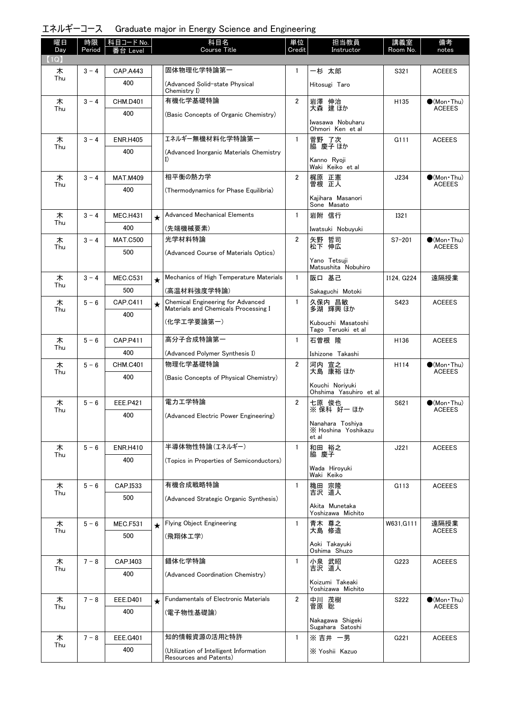| エネルギーコース Graduate major in Energy Science and Engineering |  |  |  |  |
|-----------------------------------------------------------|--|--|--|--|
|-----------------------------------------------------------|--|--|--|--|

| 曜日<br>Day | 時限<br>Period | 科目コード No.<br>番台 Level |         | 科目名<br><b>Course Title</b>                                                | 単位<br>Credit   | 担当教員<br>Instructor                               | 講義室<br>Room No. | 備考<br>notes                            |
|-----------|--------------|-----------------------|---------|---------------------------------------------------------------------------|----------------|--------------------------------------------------|-----------------|----------------------------------------|
| (1Q)      |              |                       |         |                                                                           |                |                                                  |                 |                                        |
| 木<br>Thu  | $3 - 4$      | <b>CAP.A443</b>       |         | 固体物理化学特論第一                                                                | $\mathbf{1}$   | 一杉 太郎                                            | S321            | <b>ACEEES</b>                          |
|           |              | 400                   |         | (Advanced Solid-state Physical<br>Chemistry I)                            |                | Hitosugi Taro                                    |                 |                                        |
| 木<br>Thu  | $3 - 4$      | <b>CHM.D401</b>       |         | 有機化学基礎特論                                                                  | $\overline{2}$ | 岩澤 伸治<br>大森 建ほか                                  | H135            | $\bullet$ (Mon · Thu)<br><b>ACEEES</b> |
|           |              | 400                   |         | (Basic Concepts of Organic Chemistry)                                     |                | Iwasawa Nobuharu                                 |                 |                                        |
|           |              |                       |         | エネルギー無機材料化学特論第一                                                           | $\mathbf{1}$   | Ohmori Ken et al                                 | G111            | <b>ACEEES</b>                          |
| 木<br>Thu  | $3 - 4$      | <b>ENR.H405</b>       |         |                                                                           |                | 菅野 了次<br>脇 慶子 ほか                                 |                 |                                        |
|           |              | 400                   |         | (Advanced Inorganic Materials Chemistry<br>I)                             |                | Kanno Ryoji<br>Waki Keiko et al                  |                 |                                        |
| 木         | $3 - 4$      | <b>MAT.M409</b>       |         | 相平衡の熱力学                                                                   | $\overline{2}$ | 梶原 正憲                                            | J234            | $\bigcirc$ (Mon Thu)                   |
| Thu       |              | 400                   |         | (Thermodynamics for Phase Equilibria)                                     |                | 曽根 正人                                            |                 | <b>ACEEES</b>                          |
|           |              |                       |         |                                                                           |                | Kajihara Masanori<br>Sone Masato                 |                 |                                        |
| 木         | $3 - 4$      | <b>MEC.H431</b>       | $\star$ | <b>Advanced Mechanical Elements</b>                                       | $\mathbf{1}$   | 岩附 信行                                            | <b>I321</b>     |                                        |
| Thu       |              | 400                   |         | (先端機械要素)                                                                  |                | Iwatsuki Nobuyuki                                |                 |                                        |
| 木         | $3 - 4$      | <b>MAT.C500</b>       |         | 光学材料特論                                                                    | $\overline{2}$ | 矢野 哲司<br>松下 伸広                                   | $S7 - 201$      | $\bullet$ (Mon•Thu)                    |
| Thu       |              | 500                   |         | (Advanced Course of Materials Optics)                                     |                |                                                  |                 | ACEEES                                 |
|           |              |                       |         |                                                                           |                | Yano Tetsuji<br>Matsushita Nobuhiro              |                 |                                        |
| 木         | $3 - 4$      | <b>MEC.C531</b>       | $\star$ | Mechanics of High Temperature Materials                                   | $\mathbf{1}$   | 阪口 基己                                            | I124. G224      | 遠隔授業                                   |
| Thu       |              | 500                   |         | (高温材料強度学特論)                                                               |                | Sakaguchi Motoki                                 |                 |                                        |
| 木<br>Thu  | $5 - 6$      | CAP.C411              | $\star$ | Chemical Engineering for Advanced<br>Materials and Chemicals Processing I | $\mathbf{1}$   | 久保内 昌敏<br>多湖 輝興 ほか                               | S423            | <b>ACEEES</b>                          |
|           |              | 400                   |         | (化学エ学要論第一)                                                                |                | Kubouchi Masatoshi<br>Tago Teruoki et al         |                 |                                        |
| 木         | $5 - 6$      | <b>CAP.P411</b>       |         | 高分子合成特論第一                                                                 | $\mathbf{1}$   | 石曽根 隆                                            | H136            | <b>ACEEES</b>                          |
| Thu       |              | 400                   |         | (Advanced Polymer Synthesis I)                                            |                | Ishizone Takashi                                 |                 |                                        |
| 木         | $5 - 6$      | <b>CHM.C401</b>       |         | 物理化学基礎特論                                                                  | $\overline{2}$ | 河内 宣之<br>大島 康裕 ほか                                | H114            | $\bullet$ (Mon Thu)<br><b>ACEEES</b>   |
| Thu       |              | 400                   |         | (Basic Concepts of Physical Chemistry)                                    |                |                                                  |                 |                                        |
|           |              |                       |         |                                                                           |                | Kouchi Noriyuki<br>Ohshima Yasuhiro et al        |                 |                                        |
| 木         | $5 - 6$      | <b>EEE.P421</b>       |         | 電力工学特論                                                                    | $\overline{2}$ | 七原 俊也<br>※ 保科 好一 ほか                              | S621            | $\bullet$ (Mon Thu)<br><b>ACEEES</b>   |
| Thu       |              | 400                   |         | (Advanced Electric Power Engineering)                                     |                |                                                  |                 |                                        |
|           |              |                       |         |                                                                           |                | Nanahara Toshiya<br>X Hoshina Yoshikazu<br>et al |                 |                                        |
| 木         | $5 - 6$      | <b>ENR.H410</b>       |         | 半導体物性特論(エネルギー)                                                            | $\mathbf{1}$   | 和田 裕之                                            | J221            | <b>ACEEES</b>                          |
| Thu       |              | 400                   |         | (Topics in Properties of Semiconductors)                                  |                | 脇 慶子                                             |                 |                                        |
|           |              |                       |         |                                                                           |                | Wada Hiroyuki<br>Waki Keiko                      |                 |                                        |
| 木         | $5 - 6$      | CAP.I533              |         | 有機合成戦略特論                                                                  | $\mathbf{1}$   | 穐田 宗隆<br>吉沢 道人                                   | G113            | <b>ACEEES</b>                          |
| Thu       |              | 500                   |         | (Advanced Strategic Organic Synthesis)                                    |                |                                                  |                 |                                        |
|           |              |                       |         |                                                                           |                | Akita Munetaka<br>Yoshizawa Michito              |                 |                                        |
| 木<br>Thu  | $5 - 6$      | <b>MEC.F531</b>       | $\star$ | Flying Object Engineering                                                 | $\mathbf{1}$   | 青木 尊之<br>大島 修造                                   | W631.G111       | 遠隔授業<br><b>ACEEES</b>                  |
|           |              | 500                   |         | (飛翔体工学)                                                                   |                |                                                  |                 |                                        |
|           |              |                       |         |                                                                           |                | Aoki Takayuki<br>Oshima Shuzo                    |                 |                                        |
| 木<br>Thu  | $7 - 8$      | CAP.I403              |         | 錯体化学特論                                                                    | $\mathbf{1}$   | 小泉 武昭<br>吉沢 道人                                   | G223            | <b>ACEEES</b>                          |
|           |              | 400                   |         | (Advanced Coordination Chemistry)                                         |                |                                                  |                 |                                        |
|           |              |                       |         |                                                                           |                | Koizumi Takeaki<br>Yoshizawa Michito             |                 |                                        |
| 木<br>Thu  | $7 - 8$      | EEE.D401              | $\star$ | <b>Fundamentals of Electronic Materials</b>                               | $\overline{2}$ | 中川 茂樹<br>菅原 聡                                    | S222            | $\bullet$ (Mon Thu)<br><b>ACEEES</b>   |
|           |              | 400                   |         | (電子物性基礎論)                                                                 |                |                                                  |                 |                                        |
|           |              |                       |         |                                                                           |                | Nakagawa Shigeki<br>Sugahara Satoshi             |                 |                                        |
| 木<br>Thu  | $7 - 8$      | EEE.G401              |         | 知的情報資源の活用と特許                                                              | $\mathbf{1}$   | ※吉井 一男                                           | G221            | <b>ACEEES</b>                          |
|           |              | 400                   |         | (Utilization of Intelligent Information<br>Resources and Patents)         |                | X Yoshii Kazuo                                   |                 |                                        |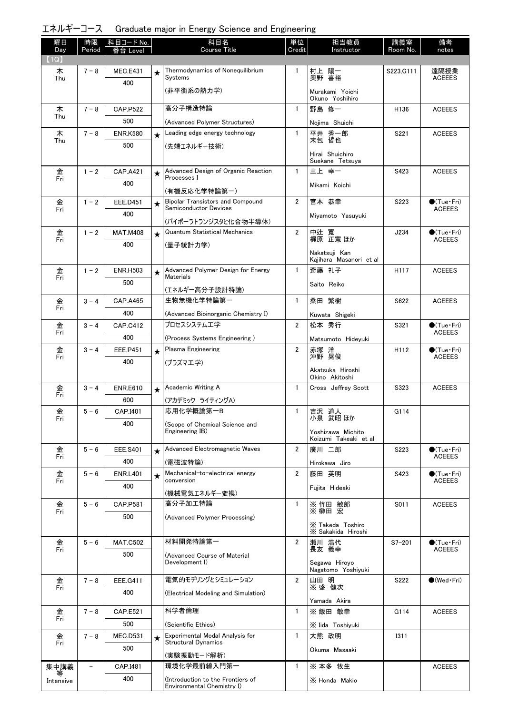|  | エネルギーコース Graduate major in Energy Science and Engineering |  |  |  |
|--|-----------------------------------------------------------|--|--|--|
|--|-----------------------------------------------------------|--|--|--|

| (1Q)<br>Thermodynamics of Nonequilibrium<br>$7 - 8$<br>MEC.E431<br>$\mathbf{1}$<br>村上 陽一<br>奥野 喜裕<br>S223, G111<br>遠隔授業<br>木<br>$\star$<br>Systems<br><b>ACEEES</b><br>Thu<br>400<br>(非平衡系の熱力学)<br>Murakami Yoichi<br>Okuno Yoshihiro<br>高分子構造特論<br>野島 修一<br>木<br>$7 - 8$<br><b>CAP.P522</b><br>$\mathbf{1}$<br>H136<br><b>ACEEES</b><br>Thu<br>500<br>(Advanced Polymer Structures)<br>Nojima Shuichi<br>Leading edge energy technology<br>$\mathbf{1}$<br>平井 秀一郎<br>末包 哲也<br>$7 - 8$<br>S221<br><b>ACEEES</b><br>木<br><b>ENR.K580</b><br>$\star$<br>Thu<br>500<br>(先端エネルギー技術)<br>Hirai Shuichiro<br>Suekane Tetsuya<br>金<br>Fri<br>Advanced Design of Organic Reaction<br>$\mathbf{1}$<br>三上幸一<br>$1 - 2$<br><b>CAP.A421</b><br>S423<br><b>ACEEES</b><br>$\star$<br>Processes I<br>400<br>Mikami Koichi<br>(有機反応化学特論第一)<br><b>Bipolar Transistors and Compound</b><br>$\overline{2}$<br>宮本 恭幸<br>金<br>$1 - 2$<br>S223<br>$\bigcirc$ (Tue · Fri)<br><b>EEE.D451</b><br>$\star$<br><b>Semiconductor Devices</b><br>Fri<br><b>ACEEES</b><br>400<br>Miyamoto Yasuyuki<br>(バイポーラトランジスタと化合物半導体)<br><b>Quantum Statistical Mechanics</b><br>$\overline{2}$<br>$1 - 2$<br>中辻 寛<br>梶原 正憲ほか<br>J234<br>$\bullet$ (Tue•Fri)<br>金<br><b>MAT.M408</b><br>$\star$<br><b>ACEEES</b><br>Fri<br>400<br>(量子統計力学)<br>Nakatsuii Kan<br>Kaiihara Masanori et al<br>Advanced Polymer Design for Energy<br>斎藤 礼子<br>$\mathbf{1}$<br><b>ACEEES</b><br>金<br>$1 - 2$<br><b>ENR.H503</b><br>H117<br>$\star$<br>Fri<br><b>Materials</b><br>500<br>Saito Reiko<br>(エネルギー高分子設計特論)<br>生物無機化学特論第一<br>桑田 繁樹<br>金<br>$\mathbf{1}$<br>S622<br><b>ACEEES</b><br>$3 - 4$<br><b>CAP.A465</b><br>Fri<br>400<br>(Advanced Bioinorganic Chemistry I)<br>Kuwata Shigeki<br>プロセスシステム工学<br>$\overline{2}$<br>金<br><b>CAP.C412</b><br>松本 秀行<br>S321<br>$\bullet$ (Tue · Fri)<br>$3 - 4$<br><b>ACEEES</b><br>Fri<br>400<br>(Process Systems Engineering)<br>Matsumoto Hideyuki<br>Plasma Engineering<br>$\overline{2}$<br>金<br>$3 - 4$<br>EEE.P451<br>赤塚 洋<br>沖野 晃俊<br>H112<br>$\bullet$ (Tue•Fri)<br>$\star$<br>Fri<br><b>ACEEES</b><br>400<br>(プラズマエ学)<br>Akatsuka Hiroshi<br>Okino Akitoshi<br>Academic Writing A<br><b>ENR.E610</b><br>$\mathbf{1}$<br>Cross Jeffrey Scott<br>S323<br><b>ACEEES</b><br>金<br>$3 - 4$<br>$\star$<br>Fri<br>600<br>(アカデミック ライティングA)<br>応用化学概論第一B<br>$\mathbf{1}$<br>金<br>吉沢 道人<br>$5 - 6$<br>CAP.I401<br>G114<br>小泉 武昭 ほか<br>Fri<br>400<br>(Scope of Chemical Science and<br>Engineering IB)<br>Yoshizawa Michito<br>Koizumi Takeaki et al<br>$5 - 6$<br>Advanced Electromagnetic Waves<br>$\overline{2}$<br>廣川 二郎<br>金<br><b>EEE.S401</b><br>$\bullet$ (Tue · Fri)<br>S223<br>$\star$<br>Fri<br><b>ACEEES</b><br>400<br>(電磁波特論)<br>Hirokawa Jiro<br>Mechanical-to-electrical energy<br>$\overline{2}$<br>金<br>$5 - 6$<br>藤田 英明<br><b>ENR.L401</b><br>S423<br>$\bullet$ (Tue $\cdot$ Fri)<br>$\star$<br>Fri<br>conversion<br><b>ACEEES</b><br>400<br>Fujita Hideaki<br>(機械電気エネルギー変換)<br>高分子加工特論<br>$\mathbf{1}$<br>※竹田 敏郎<br>金<br>$5 - 6$<br><b>CAP.P581</b><br>S011<br><b>ACEEES</b><br>※ 榊田 宏<br>Fri<br>500<br>(Advanced Polymer Processing)<br>X Takeda Toshiro<br>X Sakakida Hiroshi<br>材料開発特論第一<br>金<br>$5 - 6$<br>$\overline{2}$<br>瀬川 浩代<br><b>MAT.C502</b><br>$S7 - 201$<br>$\bullet$ (Tue•Fri)<br>長友 義幸<br>Fri<br><b>ACEEES</b><br>500<br>(Advanced Course of Material<br>Development I)<br>Segawa Hiroyo<br>Nagatomo Yoshiyuki<br>電気的モデリングとシミュレーション<br>$\overline{2}$<br>山田 明<br>金<br>S222<br>$\bullet$ (Wed $\cdot$ Fri)<br>$7 - 8$<br>EEE.G411<br>※盛 健次<br>Fri<br>400<br>(Electrical Modeling and Simulation)<br>Yamada Akira<br>科学者倫理<br>※ 飯田 敏幸<br>金<br>$\mathbf{1}$<br><b>ACEEES</b><br>$7 - 8$<br><b>CAP.E521</b><br>G114<br>Fri<br>500<br>(Scientific Ethics)<br>X Iida Toshiyuki<br>Experimental Modal Analysis for<br>金<br>大熊 政明<br>$7 - 8$<br><b>MEC.D531</b><br>$\mathbf{1}$<br><b>I311</b><br>$\star$<br><b>Structural Dynamics</b><br>Fri<br>500<br>Okuma Masaaki<br>(実験振動モード解析)<br>環境化学最前線入門第一<br>集中講義<br>$\mathbf{1}$<br>※本多 牧生<br>CAP.I481<br><b>ACEEES</b> | 曜日        | 時限     | 科目コード No. | 科目名                               | 単位     | 担当教員          | 講義室      | 備考    |
|----------------------------------------------------------------------------------------------------------------------------------------------------------------------------------------------------------------------------------------------------------------------------------------------------------------------------------------------------------------------------------------------------------------------------------------------------------------------------------------------------------------------------------------------------------------------------------------------------------------------------------------------------------------------------------------------------------------------------------------------------------------------------------------------------------------------------------------------------------------------------------------------------------------------------------------------------------------------------------------------------------------------------------------------------------------------------------------------------------------------------------------------------------------------------------------------------------------------------------------------------------------------------------------------------------------------------------------------------------------------------------------------------------------------------------------------------------------------------------------------------------------------------------------------------------------------------------------------------------------------------------------------------------------------------------------------------------------------------------------------------------------------------------------------------------------------------------------------------------------------------------------------------------------------------------------------------------------------------------------------------------------------------------------------------------------------------------------------------------------------------------------------------------------------------------------------------------------------------------------------------------------------------------------------------------------------------------------------------------------------------------------------------------------------------------------------------------------------------------------------------------------------------------------------------------------------------------------------------------------------------------------------------------------------------------------------------------------------------------------------------------------------------------------------------------------------------------------------------------------------------------------------------------------------------------------------------------------------------------------------------------------------------------------------------------------------------------------------------------------------------------------------------------------------------------------------------------------------------------------------------------------------------------------------------------------------------------------------------------------------------------------------------------------------------------------------------------------------------------------------------------------------------------------------------------------------------------------------------------------------------------------------------------------------------------------------------------------------------------------------------------------------------------------------------------------------------------------------------------------------------------------------------------------------------------------------------------------------------------------------------------------------------------------------------------------------------|-----------|--------|-----------|-----------------------------------|--------|---------------|----------|-------|
|                                                                                                                                                                                                                                                                                                                                                                                                                                                                                                                                                                                                                                                                                                                                                                                                                                                                                                                                                                                                                                                                                                                                                                                                                                                                                                                                                                                                                                                                                                                                                                                                                                                                                                                                                                                                                                                                                                                                                                                                                                                                                                                                                                                                                                                                                                                                                                                                                                                                                                                                                                                                                                                                                                                                                                                                                                                                                                                                                                                                                                                                                                                                                                                                                                                                                                                                                                                                                                                                                                                                                                                                                                                                                                                                                                                                                                                                                                                                                                                                                                                                            | Day       | Period | 番台 Level  | <b>Course Title</b>               | Credit | Instructor    | Room No. | notes |
|                                                                                                                                                                                                                                                                                                                                                                                                                                                                                                                                                                                                                                                                                                                                                                                                                                                                                                                                                                                                                                                                                                                                                                                                                                                                                                                                                                                                                                                                                                                                                                                                                                                                                                                                                                                                                                                                                                                                                                                                                                                                                                                                                                                                                                                                                                                                                                                                                                                                                                                                                                                                                                                                                                                                                                                                                                                                                                                                                                                                                                                                                                                                                                                                                                                                                                                                                                                                                                                                                                                                                                                                                                                                                                                                                                                                                                                                                                                                                                                                                                                                            |           |        |           |                                   |        |               |          |       |
|                                                                                                                                                                                                                                                                                                                                                                                                                                                                                                                                                                                                                                                                                                                                                                                                                                                                                                                                                                                                                                                                                                                                                                                                                                                                                                                                                                                                                                                                                                                                                                                                                                                                                                                                                                                                                                                                                                                                                                                                                                                                                                                                                                                                                                                                                                                                                                                                                                                                                                                                                                                                                                                                                                                                                                                                                                                                                                                                                                                                                                                                                                                                                                                                                                                                                                                                                                                                                                                                                                                                                                                                                                                                                                                                                                                                                                                                                                                                                                                                                                                                            |           |        |           |                                   |        |               |          |       |
|                                                                                                                                                                                                                                                                                                                                                                                                                                                                                                                                                                                                                                                                                                                                                                                                                                                                                                                                                                                                                                                                                                                                                                                                                                                                                                                                                                                                                                                                                                                                                                                                                                                                                                                                                                                                                                                                                                                                                                                                                                                                                                                                                                                                                                                                                                                                                                                                                                                                                                                                                                                                                                                                                                                                                                                                                                                                                                                                                                                                                                                                                                                                                                                                                                                                                                                                                                                                                                                                                                                                                                                                                                                                                                                                                                                                                                                                                                                                                                                                                                                                            |           |        |           |                                   |        |               |          |       |
|                                                                                                                                                                                                                                                                                                                                                                                                                                                                                                                                                                                                                                                                                                                                                                                                                                                                                                                                                                                                                                                                                                                                                                                                                                                                                                                                                                                                                                                                                                                                                                                                                                                                                                                                                                                                                                                                                                                                                                                                                                                                                                                                                                                                                                                                                                                                                                                                                                                                                                                                                                                                                                                                                                                                                                                                                                                                                                                                                                                                                                                                                                                                                                                                                                                                                                                                                                                                                                                                                                                                                                                                                                                                                                                                                                                                                                                                                                                                                                                                                                                                            |           |        |           |                                   |        |               |          |       |
|                                                                                                                                                                                                                                                                                                                                                                                                                                                                                                                                                                                                                                                                                                                                                                                                                                                                                                                                                                                                                                                                                                                                                                                                                                                                                                                                                                                                                                                                                                                                                                                                                                                                                                                                                                                                                                                                                                                                                                                                                                                                                                                                                                                                                                                                                                                                                                                                                                                                                                                                                                                                                                                                                                                                                                                                                                                                                                                                                                                                                                                                                                                                                                                                                                                                                                                                                                                                                                                                                                                                                                                                                                                                                                                                                                                                                                                                                                                                                                                                                                                                            |           |        |           |                                   |        |               |          |       |
|                                                                                                                                                                                                                                                                                                                                                                                                                                                                                                                                                                                                                                                                                                                                                                                                                                                                                                                                                                                                                                                                                                                                                                                                                                                                                                                                                                                                                                                                                                                                                                                                                                                                                                                                                                                                                                                                                                                                                                                                                                                                                                                                                                                                                                                                                                                                                                                                                                                                                                                                                                                                                                                                                                                                                                                                                                                                                                                                                                                                                                                                                                                                                                                                                                                                                                                                                                                                                                                                                                                                                                                                                                                                                                                                                                                                                                                                                                                                                                                                                                                                            |           |        |           |                                   |        |               |          |       |
|                                                                                                                                                                                                                                                                                                                                                                                                                                                                                                                                                                                                                                                                                                                                                                                                                                                                                                                                                                                                                                                                                                                                                                                                                                                                                                                                                                                                                                                                                                                                                                                                                                                                                                                                                                                                                                                                                                                                                                                                                                                                                                                                                                                                                                                                                                                                                                                                                                                                                                                                                                                                                                                                                                                                                                                                                                                                                                                                                                                                                                                                                                                                                                                                                                                                                                                                                                                                                                                                                                                                                                                                                                                                                                                                                                                                                                                                                                                                                                                                                                                                            |           |        |           |                                   |        |               |          |       |
|                                                                                                                                                                                                                                                                                                                                                                                                                                                                                                                                                                                                                                                                                                                                                                                                                                                                                                                                                                                                                                                                                                                                                                                                                                                                                                                                                                                                                                                                                                                                                                                                                                                                                                                                                                                                                                                                                                                                                                                                                                                                                                                                                                                                                                                                                                                                                                                                                                                                                                                                                                                                                                                                                                                                                                                                                                                                                                                                                                                                                                                                                                                                                                                                                                                                                                                                                                                                                                                                                                                                                                                                                                                                                                                                                                                                                                                                                                                                                                                                                                                                            |           |        |           |                                   |        |               |          |       |
|                                                                                                                                                                                                                                                                                                                                                                                                                                                                                                                                                                                                                                                                                                                                                                                                                                                                                                                                                                                                                                                                                                                                                                                                                                                                                                                                                                                                                                                                                                                                                                                                                                                                                                                                                                                                                                                                                                                                                                                                                                                                                                                                                                                                                                                                                                                                                                                                                                                                                                                                                                                                                                                                                                                                                                                                                                                                                                                                                                                                                                                                                                                                                                                                                                                                                                                                                                                                                                                                                                                                                                                                                                                                                                                                                                                                                                                                                                                                                                                                                                                                            |           |        |           |                                   |        |               |          |       |
|                                                                                                                                                                                                                                                                                                                                                                                                                                                                                                                                                                                                                                                                                                                                                                                                                                                                                                                                                                                                                                                                                                                                                                                                                                                                                                                                                                                                                                                                                                                                                                                                                                                                                                                                                                                                                                                                                                                                                                                                                                                                                                                                                                                                                                                                                                                                                                                                                                                                                                                                                                                                                                                                                                                                                                                                                                                                                                                                                                                                                                                                                                                                                                                                                                                                                                                                                                                                                                                                                                                                                                                                                                                                                                                                                                                                                                                                                                                                                                                                                                                                            |           |        |           |                                   |        |               |          |       |
|                                                                                                                                                                                                                                                                                                                                                                                                                                                                                                                                                                                                                                                                                                                                                                                                                                                                                                                                                                                                                                                                                                                                                                                                                                                                                                                                                                                                                                                                                                                                                                                                                                                                                                                                                                                                                                                                                                                                                                                                                                                                                                                                                                                                                                                                                                                                                                                                                                                                                                                                                                                                                                                                                                                                                                                                                                                                                                                                                                                                                                                                                                                                                                                                                                                                                                                                                                                                                                                                                                                                                                                                                                                                                                                                                                                                                                                                                                                                                                                                                                                                            |           |        |           |                                   |        |               |          |       |
|                                                                                                                                                                                                                                                                                                                                                                                                                                                                                                                                                                                                                                                                                                                                                                                                                                                                                                                                                                                                                                                                                                                                                                                                                                                                                                                                                                                                                                                                                                                                                                                                                                                                                                                                                                                                                                                                                                                                                                                                                                                                                                                                                                                                                                                                                                                                                                                                                                                                                                                                                                                                                                                                                                                                                                                                                                                                                                                                                                                                                                                                                                                                                                                                                                                                                                                                                                                                                                                                                                                                                                                                                                                                                                                                                                                                                                                                                                                                                                                                                                                                            |           |        |           |                                   |        |               |          |       |
|                                                                                                                                                                                                                                                                                                                                                                                                                                                                                                                                                                                                                                                                                                                                                                                                                                                                                                                                                                                                                                                                                                                                                                                                                                                                                                                                                                                                                                                                                                                                                                                                                                                                                                                                                                                                                                                                                                                                                                                                                                                                                                                                                                                                                                                                                                                                                                                                                                                                                                                                                                                                                                                                                                                                                                                                                                                                                                                                                                                                                                                                                                                                                                                                                                                                                                                                                                                                                                                                                                                                                                                                                                                                                                                                                                                                                                                                                                                                                                                                                                                                            |           |        |           |                                   |        |               |          |       |
|                                                                                                                                                                                                                                                                                                                                                                                                                                                                                                                                                                                                                                                                                                                                                                                                                                                                                                                                                                                                                                                                                                                                                                                                                                                                                                                                                                                                                                                                                                                                                                                                                                                                                                                                                                                                                                                                                                                                                                                                                                                                                                                                                                                                                                                                                                                                                                                                                                                                                                                                                                                                                                                                                                                                                                                                                                                                                                                                                                                                                                                                                                                                                                                                                                                                                                                                                                                                                                                                                                                                                                                                                                                                                                                                                                                                                                                                                                                                                                                                                                                                            |           |        |           |                                   |        |               |          |       |
|                                                                                                                                                                                                                                                                                                                                                                                                                                                                                                                                                                                                                                                                                                                                                                                                                                                                                                                                                                                                                                                                                                                                                                                                                                                                                                                                                                                                                                                                                                                                                                                                                                                                                                                                                                                                                                                                                                                                                                                                                                                                                                                                                                                                                                                                                                                                                                                                                                                                                                                                                                                                                                                                                                                                                                                                                                                                                                                                                                                                                                                                                                                                                                                                                                                                                                                                                                                                                                                                                                                                                                                                                                                                                                                                                                                                                                                                                                                                                                                                                                                                            |           |        |           |                                   |        |               |          |       |
|                                                                                                                                                                                                                                                                                                                                                                                                                                                                                                                                                                                                                                                                                                                                                                                                                                                                                                                                                                                                                                                                                                                                                                                                                                                                                                                                                                                                                                                                                                                                                                                                                                                                                                                                                                                                                                                                                                                                                                                                                                                                                                                                                                                                                                                                                                                                                                                                                                                                                                                                                                                                                                                                                                                                                                                                                                                                                                                                                                                                                                                                                                                                                                                                                                                                                                                                                                                                                                                                                                                                                                                                                                                                                                                                                                                                                                                                                                                                                                                                                                                                            |           |        |           |                                   |        |               |          |       |
|                                                                                                                                                                                                                                                                                                                                                                                                                                                                                                                                                                                                                                                                                                                                                                                                                                                                                                                                                                                                                                                                                                                                                                                                                                                                                                                                                                                                                                                                                                                                                                                                                                                                                                                                                                                                                                                                                                                                                                                                                                                                                                                                                                                                                                                                                                                                                                                                                                                                                                                                                                                                                                                                                                                                                                                                                                                                                                                                                                                                                                                                                                                                                                                                                                                                                                                                                                                                                                                                                                                                                                                                                                                                                                                                                                                                                                                                                                                                                                                                                                                                            |           |        |           |                                   |        |               |          |       |
|                                                                                                                                                                                                                                                                                                                                                                                                                                                                                                                                                                                                                                                                                                                                                                                                                                                                                                                                                                                                                                                                                                                                                                                                                                                                                                                                                                                                                                                                                                                                                                                                                                                                                                                                                                                                                                                                                                                                                                                                                                                                                                                                                                                                                                                                                                                                                                                                                                                                                                                                                                                                                                                                                                                                                                                                                                                                                                                                                                                                                                                                                                                                                                                                                                                                                                                                                                                                                                                                                                                                                                                                                                                                                                                                                                                                                                                                                                                                                                                                                                                                            |           |        |           |                                   |        |               |          |       |
|                                                                                                                                                                                                                                                                                                                                                                                                                                                                                                                                                                                                                                                                                                                                                                                                                                                                                                                                                                                                                                                                                                                                                                                                                                                                                                                                                                                                                                                                                                                                                                                                                                                                                                                                                                                                                                                                                                                                                                                                                                                                                                                                                                                                                                                                                                                                                                                                                                                                                                                                                                                                                                                                                                                                                                                                                                                                                                                                                                                                                                                                                                                                                                                                                                                                                                                                                                                                                                                                                                                                                                                                                                                                                                                                                                                                                                                                                                                                                                                                                                                                            |           |        |           |                                   |        |               |          |       |
|                                                                                                                                                                                                                                                                                                                                                                                                                                                                                                                                                                                                                                                                                                                                                                                                                                                                                                                                                                                                                                                                                                                                                                                                                                                                                                                                                                                                                                                                                                                                                                                                                                                                                                                                                                                                                                                                                                                                                                                                                                                                                                                                                                                                                                                                                                                                                                                                                                                                                                                                                                                                                                                                                                                                                                                                                                                                                                                                                                                                                                                                                                                                                                                                                                                                                                                                                                                                                                                                                                                                                                                                                                                                                                                                                                                                                                                                                                                                                                                                                                                                            |           |        |           |                                   |        |               |          |       |
|                                                                                                                                                                                                                                                                                                                                                                                                                                                                                                                                                                                                                                                                                                                                                                                                                                                                                                                                                                                                                                                                                                                                                                                                                                                                                                                                                                                                                                                                                                                                                                                                                                                                                                                                                                                                                                                                                                                                                                                                                                                                                                                                                                                                                                                                                                                                                                                                                                                                                                                                                                                                                                                                                                                                                                                                                                                                                                                                                                                                                                                                                                                                                                                                                                                                                                                                                                                                                                                                                                                                                                                                                                                                                                                                                                                                                                                                                                                                                                                                                                                                            |           |        |           |                                   |        |               |          |       |
|                                                                                                                                                                                                                                                                                                                                                                                                                                                                                                                                                                                                                                                                                                                                                                                                                                                                                                                                                                                                                                                                                                                                                                                                                                                                                                                                                                                                                                                                                                                                                                                                                                                                                                                                                                                                                                                                                                                                                                                                                                                                                                                                                                                                                                                                                                                                                                                                                                                                                                                                                                                                                                                                                                                                                                                                                                                                                                                                                                                                                                                                                                                                                                                                                                                                                                                                                                                                                                                                                                                                                                                                                                                                                                                                                                                                                                                                                                                                                                                                                                                                            |           |        |           |                                   |        |               |          |       |
|                                                                                                                                                                                                                                                                                                                                                                                                                                                                                                                                                                                                                                                                                                                                                                                                                                                                                                                                                                                                                                                                                                                                                                                                                                                                                                                                                                                                                                                                                                                                                                                                                                                                                                                                                                                                                                                                                                                                                                                                                                                                                                                                                                                                                                                                                                                                                                                                                                                                                                                                                                                                                                                                                                                                                                                                                                                                                                                                                                                                                                                                                                                                                                                                                                                                                                                                                                                                                                                                                                                                                                                                                                                                                                                                                                                                                                                                                                                                                                                                                                                                            |           |        |           |                                   |        |               |          |       |
|                                                                                                                                                                                                                                                                                                                                                                                                                                                                                                                                                                                                                                                                                                                                                                                                                                                                                                                                                                                                                                                                                                                                                                                                                                                                                                                                                                                                                                                                                                                                                                                                                                                                                                                                                                                                                                                                                                                                                                                                                                                                                                                                                                                                                                                                                                                                                                                                                                                                                                                                                                                                                                                                                                                                                                                                                                                                                                                                                                                                                                                                                                                                                                                                                                                                                                                                                                                                                                                                                                                                                                                                                                                                                                                                                                                                                                                                                                                                                                                                                                                                            |           |        |           |                                   |        |               |          |       |
|                                                                                                                                                                                                                                                                                                                                                                                                                                                                                                                                                                                                                                                                                                                                                                                                                                                                                                                                                                                                                                                                                                                                                                                                                                                                                                                                                                                                                                                                                                                                                                                                                                                                                                                                                                                                                                                                                                                                                                                                                                                                                                                                                                                                                                                                                                                                                                                                                                                                                                                                                                                                                                                                                                                                                                                                                                                                                                                                                                                                                                                                                                                                                                                                                                                                                                                                                                                                                                                                                                                                                                                                                                                                                                                                                                                                                                                                                                                                                                                                                                                                            |           |        |           |                                   |        |               |          |       |
|                                                                                                                                                                                                                                                                                                                                                                                                                                                                                                                                                                                                                                                                                                                                                                                                                                                                                                                                                                                                                                                                                                                                                                                                                                                                                                                                                                                                                                                                                                                                                                                                                                                                                                                                                                                                                                                                                                                                                                                                                                                                                                                                                                                                                                                                                                                                                                                                                                                                                                                                                                                                                                                                                                                                                                                                                                                                                                                                                                                                                                                                                                                                                                                                                                                                                                                                                                                                                                                                                                                                                                                                                                                                                                                                                                                                                                                                                                                                                                                                                                                                            |           |        |           |                                   |        |               |          |       |
|                                                                                                                                                                                                                                                                                                                                                                                                                                                                                                                                                                                                                                                                                                                                                                                                                                                                                                                                                                                                                                                                                                                                                                                                                                                                                                                                                                                                                                                                                                                                                                                                                                                                                                                                                                                                                                                                                                                                                                                                                                                                                                                                                                                                                                                                                                                                                                                                                                                                                                                                                                                                                                                                                                                                                                                                                                                                                                                                                                                                                                                                                                                                                                                                                                                                                                                                                                                                                                                                                                                                                                                                                                                                                                                                                                                                                                                                                                                                                                                                                                                                            |           |        |           |                                   |        |               |          |       |
|                                                                                                                                                                                                                                                                                                                                                                                                                                                                                                                                                                                                                                                                                                                                                                                                                                                                                                                                                                                                                                                                                                                                                                                                                                                                                                                                                                                                                                                                                                                                                                                                                                                                                                                                                                                                                                                                                                                                                                                                                                                                                                                                                                                                                                                                                                                                                                                                                                                                                                                                                                                                                                                                                                                                                                                                                                                                                                                                                                                                                                                                                                                                                                                                                                                                                                                                                                                                                                                                                                                                                                                                                                                                                                                                                                                                                                                                                                                                                                                                                                                                            |           |        |           |                                   |        |               |          |       |
|                                                                                                                                                                                                                                                                                                                                                                                                                                                                                                                                                                                                                                                                                                                                                                                                                                                                                                                                                                                                                                                                                                                                                                                                                                                                                                                                                                                                                                                                                                                                                                                                                                                                                                                                                                                                                                                                                                                                                                                                                                                                                                                                                                                                                                                                                                                                                                                                                                                                                                                                                                                                                                                                                                                                                                                                                                                                                                                                                                                                                                                                                                                                                                                                                                                                                                                                                                                                                                                                                                                                                                                                                                                                                                                                                                                                                                                                                                                                                                                                                                                                            |           |        |           |                                   |        |               |          |       |
|                                                                                                                                                                                                                                                                                                                                                                                                                                                                                                                                                                                                                                                                                                                                                                                                                                                                                                                                                                                                                                                                                                                                                                                                                                                                                                                                                                                                                                                                                                                                                                                                                                                                                                                                                                                                                                                                                                                                                                                                                                                                                                                                                                                                                                                                                                                                                                                                                                                                                                                                                                                                                                                                                                                                                                                                                                                                                                                                                                                                                                                                                                                                                                                                                                                                                                                                                                                                                                                                                                                                                                                                                                                                                                                                                                                                                                                                                                                                                                                                                                                                            |           |        |           |                                   |        |               |          |       |
|                                                                                                                                                                                                                                                                                                                                                                                                                                                                                                                                                                                                                                                                                                                                                                                                                                                                                                                                                                                                                                                                                                                                                                                                                                                                                                                                                                                                                                                                                                                                                                                                                                                                                                                                                                                                                                                                                                                                                                                                                                                                                                                                                                                                                                                                                                                                                                                                                                                                                                                                                                                                                                                                                                                                                                                                                                                                                                                                                                                                                                                                                                                                                                                                                                                                                                                                                                                                                                                                                                                                                                                                                                                                                                                                                                                                                                                                                                                                                                                                                                                                            |           |        |           |                                   |        |               |          |       |
|                                                                                                                                                                                                                                                                                                                                                                                                                                                                                                                                                                                                                                                                                                                                                                                                                                                                                                                                                                                                                                                                                                                                                                                                                                                                                                                                                                                                                                                                                                                                                                                                                                                                                                                                                                                                                                                                                                                                                                                                                                                                                                                                                                                                                                                                                                                                                                                                                                                                                                                                                                                                                                                                                                                                                                                                                                                                                                                                                                                                                                                                                                                                                                                                                                                                                                                                                                                                                                                                                                                                                                                                                                                                                                                                                                                                                                                                                                                                                                                                                                                                            |           |        |           |                                   |        |               |          |       |
|                                                                                                                                                                                                                                                                                                                                                                                                                                                                                                                                                                                                                                                                                                                                                                                                                                                                                                                                                                                                                                                                                                                                                                                                                                                                                                                                                                                                                                                                                                                                                                                                                                                                                                                                                                                                                                                                                                                                                                                                                                                                                                                                                                                                                                                                                                                                                                                                                                                                                                                                                                                                                                                                                                                                                                                                                                                                                                                                                                                                                                                                                                                                                                                                                                                                                                                                                                                                                                                                                                                                                                                                                                                                                                                                                                                                                                                                                                                                                                                                                                                                            |           |        |           |                                   |        |               |          |       |
|                                                                                                                                                                                                                                                                                                                                                                                                                                                                                                                                                                                                                                                                                                                                                                                                                                                                                                                                                                                                                                                                                                                                                                                                                                                                                                                                                                                                                                                                                                                                                                                                                                                                                                                                                                                                                                                                                                                                                                                                                                                                                                                                                                                                                                                                                                                                                                                                                                                                                                                                                                                                                                                                                                                                                                                                                                                                                                                                                                                                                                                                                                                                                                                                                                                                                                                                                                                                                                                                                                                                                                                                                                                                                                                                                                                                                                                                                                                                                                                                                                                                            |           |        |           |                                   |        |               |          |       |
|                                                                                                                                                                                                                                                                                                                                                                                                                                                                                                                                                                                                                                                                                                                                                                                                                                                                                                                                                                                                                                                                                                                                                                                                                                                                                                                                                                                                                                                                                                                                                                                                                                                                                                                                                                                                                                                                                                                                                                                                                                                                                                                                                                                                                                                                                                                                                                                                                                                                                                                                                                                                                                                                                                                                                                                                                                                                                                                                                                                                                                                                                                                                                                                                                                                                                                                                                                                                                                                                                                                                                                                                                                                                                                                                                                                                                                                                                                                                                                                                                                                                            |           |        |           |                                   |        |               |          |       |
|                                                                                                                                                                                                                                                                                                                                                                                                                                                                                                                                                                                                                                                                                                                                                                                                                                                                                                                                                                                                                                                                                                                                                                                                                                                                                                                                                                                                                                                                                                                                                                                                                                                                                                                                                                                                                                                                                                                                                                                                                                                                                                                                                                                                                                                                                                                                                                                                                                                                                                                                                                                                                                                                                                                                                                                                                                                                                                                                                                                                                                                                                                                                                                                                                                                                                                                                                                                                                                                                                                                                                                                                                                                                                                                                                                                                                                                                                                                                                                                                                                                                            |           |        |           |                                   |        |               |          |       |
|                                                                                                                                                                                                                                                                                                                                                                                                                                                                                                                                                                                                                                                                                                                                                                                                                                                                                                                                                                                                                                                                                                                                                                                                                                                                                                                                                                                                                                                                                                                                                                                                                                                                                                                                                                                                                                                                                                                                                                                                                                                                                                                                                                                                                                                                                                                                                                                                                                                                                                                                                                                                                                                                                                                                                                                                                                                                                                                                                                                                                                                                                                                                                                                                                                                                                                                                                                                                                                                                                                                                                                                                                                                                                                                                                                                                                                                                                                                                                                                                                                                                            |           |        |           |                                   |        |               |          |       |
|                                                                                                                                                                                                                                                                                                                                                                                                                                                                                                                                                                                                                                                                                                                                                                                                                                                                                                                                                                                                                                                                                                                                                                                                                                                                                                                                                                                                                                                                                                                                                                                                                                                                                                                                                                                                                                                                                                                                                                                                                                                                                                                                                                                                                                                                                                                                                                                                                                                                                                                                                                                                                                                                                                                                                                                                                                                                                                                                                                                                                                                                                                                                                                                                                                                                                                                                                                                                                                                                                                                                                                                                                                                                                                                                                                                                                                                                                                                                                                                                                                                                            |           |        |           |                                   |        |               |          |       |
|                                                                                                                                                                                                                                                                                                                                                                                                                                                                                                                                                                                                                                                                                                                                                                                                                                                                                                                                                                                                                                                                                                                                                                                                                                                                                                                                                                                                                                                                                                                                                                                                                                                                                                                                                                                                                                                                                                                                                                                                                                                                                                                                                                                                                                                                                                                                                                                                                                                                                                                                                                                                                                                                                                                                                                                                                                                                                                                                                                                                                                                                                                                                                                                                                                                                                                                                                                                                                                                                                                                                                                                                                                                                                                                                                                                                                                                                                                                                                                                                                                                                            |           |        |           |                                   |        |               |          |       |
|                                                                                                                                                                                                                                                                                                                                                                                                                                                                                                                                                                                                                                                                                                                                                                                                                                                                                                                                                                                                                                                                                                                                                                                                                                                                                                                                                                                                                                                                                                                                                                                                                                                                                                                                                                                                                                                                                                                                                                                                                                                                                                                                                                                                                                                                                                                                                                                                                                                                                                                                                                                                                                                                                                                                                                                                                                                                                                                                                                                                                                                                                                                                                                                                                                                                                                                                                                                                                                                                                                                                                                                                                                                                                                                                                                                                                                                                                                                                                                                                                                                                            |           |        |           |                                   |        |               |          |       |
|                                                                                                                                                                                                                                                                                                                                                                                                                                                                                                                                                                                                                                                                                                                                                                                                                                                                                                                                                                                                                                                                                                                                                                                                                                                                                                                                                                                                                                                                                                                                                                                                                                                                                                                                                                                                                                                                                                                                                                                                                                                                                                                                                                                                                                                                                                                                                                                                                                                                                                                                                                                                                                                                                                                                                                                                                                                                                                                                                                                                                                                                                                                                                                                                                                                                                                                                                                                                                                                                                                                                                                                                                                                                                                                                                                                                                                                                                                                                                                                                                                                                            |           |        |           |                                   |        |               |          |       |
|                                                                                                                                                                                                                                                                                                                                                                                                                                                                                                                                                                                                                                                                                                                                                                                                                                                                                                                                                                                                                                                                                                                                                                                                                                                                                                                                                                                                                                                                                                                                                                                                                                                                                                                                                                                                                                                                                                                                                                                                                                                                                                                                                                                                                                                                                                                                                                                                                                                                                                                                                                                                                                                                                                                                                                                                                                                                                                                                                                                                                                                                                                                                                                                                                                                                                                                                                                                                                                                                                                                                                                                                                                                                                                                                                                                                                                                                                                                                                                                                                                                                            |           |        |           |                                   |        |               |          |       |
|                                                                                                                                                                                                                                                                                                                                                                                                                                                                                                                                                                                                                                                                                                                                                                                                                                                                                                                                                                                                                                                                                                                                                                                                                                                                                                                                                                                                                                                                                                                                                                                                                                                                                                                                                                                                                                                                                                                                                                                                                                                                                                                                                                                                                                                                                                                                                                                                                                                                                                                                                                                                                                                                                                                                                                                                                                                                                                                                                                                                                                                                                                                                                                                                                                                                                                                                                                                                                                                                                                                                                                                                                                                                                                                                                                                                                                                                                                                                                                                                                                                                            |           |        |           |                                   |        |               |          |       |
|                                                                                                                                                                                                                                                                                                                                                                                                                                                                                                                                                                                                                                                                                                                                                                                                                                                                                                                                                                                                                                                                                                                                                                                                                                                                                                                                                                                                                                                                                                                                                                                                                                                                                                                                                                                                                                                                                                                                                                                                                                                                                                                                                                                                                                                                                                                                                                                                                                                                                                                                                                                                                                                                                                                                                                                                                                                                                                                                                                                                                                                                                                                                                                                                                                                                                                                                                                                                                                                                                                                                                                                                                                                                                                                                                                                                                                                                                                                                                                                                                                                                            |           |        |           |                                   |        |               |          |       |
|                                                                                                                                                                                                                                                                                                                                                                                                                                                                                                                                                                                                                                                                                                                                                                                                                                                                                                                                                                                                                                                                                                                                                                                                                                                                                                                                                                                                                                                                                                                                                                                                                                                                                                                                                                                                                                                                                                                                                                                                                                                                                                                                                                                                                                                                                                                                                                                                                                                                                                                                                                                                                                                                                                                                                                                                                                                                                                                                                                                                                                                                                                                                                                                                                                                                                                                                                                                                                                                                                                                                                                                                                                                                                                                                                                                                                                                                                                                                                                                                                                                                            |           |        |           |                                   |        |               |          |       |
|                                                                                                                                                                                                                                                                                                                                                                                                                                                                                                                                                                                                                                                                                                                                                                                                                                                                                                                                                                                                                                                                                                                                                                                                                                                                                                                                                                                                                                                                                                                                                                                                                                                                                                                                                                                                                                                                                                                                                                                                                                                                                                                                                                                                                                                                                                                                                                                                                                                                                                                                                                                                                                                                                                                                                                                                                                                                                                                                                                                                                                                                                                                                                                                                                                                                                                                                                                                                                                                                                                                                                                                                                                                                                                                                                                                                                                                                                                                                                                                                                                                                            |           |        |           |                                   |        |               |          |       |
|                                                                                                                                                                                                                                                                                                                                                                                                                                                                                                                                                                                                                                                                                                                                                                                                                                                                                                                                                                                                                                                                                                                                                                                                                                                                                                                                                                                                                                                                                                                                                                                                                                                                                                                                                                                                                                                                                                                                                                                                                                                                                                                                                                                                                                                                                                                                                                                                                                                                                                                                                                                                                                                                                                                                                                                                                                                                                                                                                                                                                                                                                                                                                                                                                                                                                                                                                                                                                                                                                                                                                                                                                                                                                                                                                                                                                                                                                                                                                                                                                                                                            |           |        |           |                                   |        |               |          |       |
|                                                                                                                                                                                                                                                                                                                                                                                                                                                                                                                                                                                                                                                                                                                                                                                                                                                                                                                                                                                                                                                                                                                                                                                                                                                                                                                                                                                                                                                                                                                                                                                                                                                                                                                                                                                                                                                                                                                                                                                                                                                                                                                                                                                                                                                                                                                                                                                                                                                                                                                                                                                                                                                                                                                                                                                                                                                                                                                                                                                                                                                                                                                                                                                                                                                                                                                                                                                                                                                                                                                                                                                                                                                                                                                                                                                                                                                                                                                                                                                                                                                                            |           |        |           |                                   |        |               |          |       |
| Environmental Chemistry I)                                                                                                                                                                                                                                                                                                                                                                                                                                                                                                                                                                                                                                                                                                                                                                                                                                                                                                                                                                                                                                                                                                                                                                                                                                                                                                                                                                                                                                                                                                                                                                                                                                                                                                                                                                                                                                                                                                                                                                                                                                                                                                                                                                                                                                                                                                                                                                                                                                                                                                                                                                                                                                                                                                                                                                                                                                                                                                                                                                                                                                                                                                                                                                                                                                                                                                                                                                                                                                                                                                                                                                                                                                                                                                                                                                                                                                                                                                                                                                                                                                                 | Intensive |        | 400       | (Introduction to the Frontiers of |        | X Honda Makio |          |       |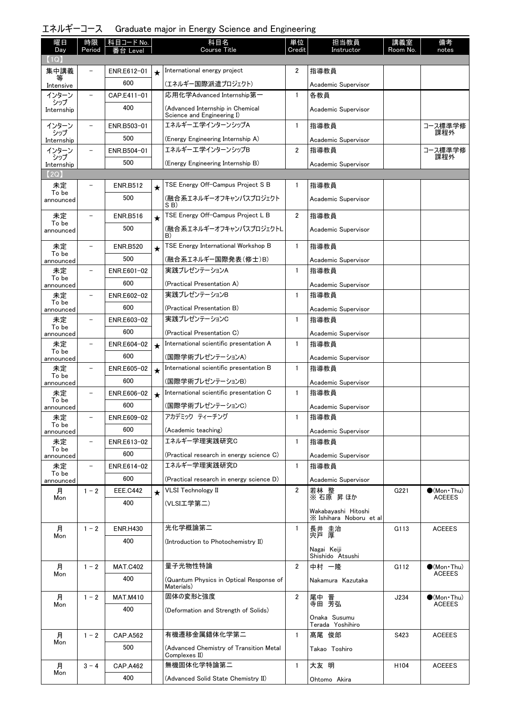| エネルギーコース Graduate major in Energy Science and Engineering |  |  |  |  |  |
|-----------------------------------------------------------|--|--|--|--|--|
|-----------------------------------------------------------|--|--|--|--|--|

| 曜日                 | 時限                       | 科目コード No.       |         | 科目名                                                   | 単位             | 担当教員                                           | 講義室              | 備考                  |
|--------------------|--------------------------|-----------------|---------|-------------------------------------------------------|----------------|------------------------------------------------|------------------|---------------------|
| Day<br>(1Q)        | Period                   | Level           |         | <b>Course Title</b>                                   | Credit         | Instructor                                     | Room No.         | notes               |
| 集中講義               |                          | ENR.E612-01     | $\star$ | International energy project                          | 2              | 指導教員                                           |                  |                     |
| Intensive          |                          | 600             |         | (エネルギー国際派遣プロジェクト)                                     |                | Academic Supervisor                            |                  |                     |
| インターン              | $\overline{\phantom{0}}$ | CAP.E411-01     |         | 応用化学Advanced Internship第一                             | $\mathbf{1}$   | 各教員                                            |                  |                     |
| シップ<br>Internship  |                          | 400             |         | (Advanced Internship in Chemical                      |                | Academic Supervisor                            |                  |                     |
|                    |                          |                 |         | Science and Engineering I)                            |                |                                                |                  |                     |
| インターン<br>シップ       |                          | ENR.B503-01     |         | エネルギーエ学インターンシップA                                      | $\mathbf{1}$   | 指導教員                                           |                  | コース標準学修<br>課程外      |
| Internship         |                          | 500             |         | (Energy Engineering Internship A)                     |                | Academic Supervisor                            |                  |                     |
| インターン<br>シップ       |                          | ENR.B504-01     |         | エネルギーエ学インターンシップB                                      | 2              | 指導教員                                           |                  | コース標準学修<br>課程外      |
| Internship         |                          | 500             |         | (Energy Engineering Internship B)                     |                | Academic Supervisor                            |                  |                     |
| (2Q)               |                          |                 |         |                                                       |                |                                                |                  |                     |
| 未定<br>To be        |                          | <b>ENR.B512</b> | $\star$ | TSE Energy Off-Campus Project S B                     | 1              | 指導教員                                           |                  |                     |
| announced          |                          | 500             |         | (融合系エネルギーオフキャンパスプロジェクト<br>SB)                         |                | Academic Supervisor                            |                  |                     |
| 未定<br>To be        |                          | <b>ENR.B516</b> | $\star$ | TSE Energy Off-Campus Project L B                     | $\overline{2}$ | 指導教員                                           |                  |                     |
| announced          |                          | 500             |         | (融合系エネルギーオフキャンパスプロジェクトL<br>B)                         |                | Academic Supervisor                            |                  |                     |
| 未定                 | $\overline{\phantom{0}}$ | <b>ENR.B520</b> | $\star$ | TSE Energy International Workshop B                   | $\mathbf{1}$   | 指導教員                                           |                  |                     |
| To be<br>announced |                          | 500             |         | (融合系エネルギー国際発表(修士)B)                                   |                | Academic Supervisor                            |                  |                     |
| 未定                 |                          | ENR.E601-02     |         | 実践プレゼンテーションA                                          | $\mathbf{1}$   | 指導教員                                           |                  |                     |
| To be<br>announced |                          | 600             |         | (Practical Presentation A)                            |                | Academic Supervisor                            |                  |                     |
| 未定                 |                          | ENR.E602-02     |         | 実践プレゼンテーションB                                          | $\mathbf{1}$   | 指導教員                                           |                  |                     |
| To be<br>announced |                          | 600             |         | (Practical Presentation B)                            |                | Academic Supervisor                            |                  |                     |
| 未定                 |                          | ENR.E603-02     |         | 実践プレゼンテーションC                                          | $\mathbf{1}$   | 指導教員                                           |                  |                     |
| To be<br>announced |                          | 600             |         | (Practical Presentation C)                            |                | Academic Supervisor                            |                  |                     |
| 未定                 |                          | ENR.E604-02     | $\star$ | International scientific presentation A               | $\mathbf{1}$   | 指導教員                                           |                  |                     |
| To be<br>announced |                          | 600             |         | (国際学術プレゼンテーションA)                                      |                | Academic Supervisor                            |                  |                     |
| 未定                 |                          | ENR.E605-02     | $\star$ | International scientific presentation B               | $\mathbf{1}$   | 指導教員                                           |                  |                     |
| To be<br>announced |                          | 600             |         | (国際学術プレゼンテーションB)                                      |                | Academic Supervisor                            |                  |                     |
| 未定                 |                          | ENR.E606-02     | $\star$ | International scientific presentation C               | $\mathbf{1}$   | 指導教員                                           |                  |                     |
| To be<br>announced |                          | 600             |         | (国際学術プレゼンテーションC)                                      |                | Academic Supervisor                            |                  |                     |
| 未定                 |                          | ENR.E609-02     |         | アカデミック ティーチング                                         | $\mathbf{1}$   | 指導教員                                           |                  |                     |
| To be<br>announced |                          | 600             |         | (Academic teaching)                                   |                | Academic Supervisor                            |                  |                     |
| 未定                 | -                        | ENR.E613-02     |         | エネルギー学理実践研究C                                          | $\mathbf{1}$   | 指導教員                                           |                  |                     |
| To be<br>announced |                          | 600             |         | (Practical research in energy science C)              |                | Academic Supervisor                            |                  |                     |
| 未定                 | $\overline{\phantom{a}}$ | ENR.E614-02     |         | エネルギー学理実践研究D                                          | $\mathbf{1}$   | 指導教員                                           |                  |                     |
| To be<br>announced |                          | 600             |         | (Practical research in energy science D)              |                | Academic Supervisor                            |                  |                     |
| 月                  | $1 - 2$                  | <b>EEE.C442</b> | $\star$ | VLSI Technology II                                    | $\overline{2}$ | 若林 整                                           | G221             | $\bullet$ (Mon•Thu) |
| Mon                |                          | 400             |         | (VLSI工学第二)                                            |                | ※ 石原 昇 ほか                                      |                  | <b>ACEEES</b>       |
|                    |                          |                 |         |                                                       |                | Wakabayashi Hitoshi<br>X Ishihara Noboru et al |                  |                     |
| 月                  | $1 - 2$                  | <b>ENR.H430</b> |         | 光化学概論第二                                               | $\mathbf{1}$   | 長井 圭治<br>宍戸 厚                                  | G113             | <b>ACEEES</b>       |
| Mon                |                          | 400             |         | (Introduction to Photochemistry II)                   |                |                                                |                  |                     |
|                    |                          |                 |         |                                                       |                | Nagai Keiji<br>Shishido Atsushi                |                  |                     |
| 月                  | $1 - 2$                  | <b>MAT.C402</b> |         | 量子光物性特論                                               | $\overline{2}$ | 中村 一隆                                          | G112             | $\bullet$ (Mon•Thu) |
| Mon                |                          | 400             |         | (Quantum Physics in Optical Response of<br>Materials) |                | Nakamura Kazutaka                              |                  | ACEEES              |
| 月                  | $1 - 2$                  | <b>MAT.M410</b> |         | 固体の変形と強度                                              | $\overline{2}$ | 尾中 晋                                           | J234             | $\bullet$ (Mon•Thu) |
| Mon                |                          | 400             |         | (Deformation and Strength of Solids)                  |                | 寺田 芳弘                                          |                  | ACEEES              |
|                    |                          |                 |         |                                                       |                | Onaka Susumu<br>Terada Yoshihiro               |                  |                     |
| 月                  | $1 - 2$                  | <b>CAP.A562</b> |         | 有機遷移金属錯体化学第二                                          | $\mathbf{1}$   | 髙尾 俊郎                                          | S423             | <b>ACEEES</b>       |
| Mon                |                          | 500             |         | (Advanced Chemistry of Transition Metal               |                | Takao Toshiro                                  |                  |                     |
|                    |                          | <b>CAP.A462</b> |         | Complexes II)<br>無機固体化学特論第二                           | $\mathbf{1}$   | 大友 明                                           | H <sub>104</sub> |                     |
| 月<br>Mon           | $3 - 4$                  | 400             |         |                                                       |                |                                                |                  | <b>ACEEES</b>       |
|                    |                          |                 |         | (Advanced Solid State Chemistry II)                   |                | Ohtomo Akira                                   |                  |                     |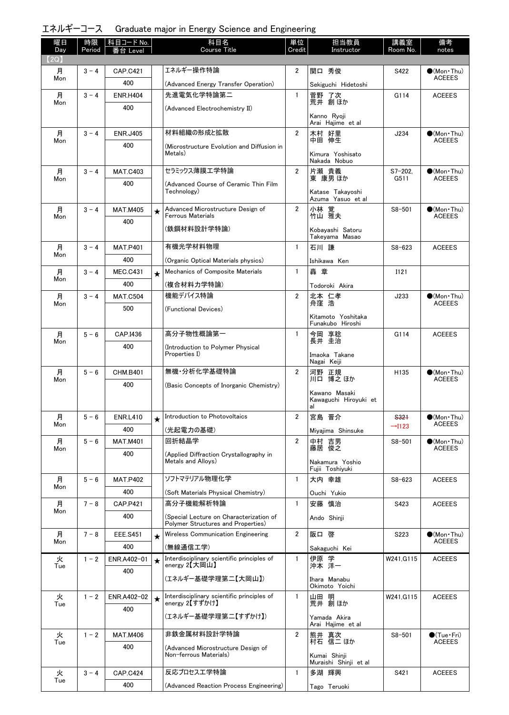エネルギーコース Graduate major in Energy Science and Engineering

| 曜日<br>Day | 時限<br>Period | │科目コード No.<br>台 Level |         | 科目名<br><b>Course Title</b>                                   | 単位<br>Credit   | 担当教員<br>Instructor                     | 講義室<br>Room No.      | 備考<br>notes                           |
|-----------|--------------|-----------------------|---------|--------------------------------------------------------------|----------------|----------------------------------------|----------------------|---------------------------------------|
| (2Q)      |              |                       |         |                                                              |                |                                        |                      |                                       |
| 月         | $3 - 4$      | <b>CAP.C421</b>       |         | エネルギー操作特論                                                    | 2              | 関口 秀俊                                  | S422                 | $\bullet$ (Mon Thu)                   |
| Mon       |              | 400                   |         | (Advanced Energy Transfer Operation)                         |                | Sekiguchi Hidetoshi                    |                      | <b>ACEEES</b>                         |
| 月         | $3 - 4$      | <b>ENR.H404</b>       |         | 先進電気化学特論第二                                                   | $\mathbf{1}$   | 菅野 了次                                  | G114                 | <b>ACEEES</b>                         |
| Mon       |              | 400                   |         | (Advanced Electrochemistry II)                               |                | 荒井 創ほか                                 |                      |                                       |
|           |              |                       |         |                                                              |                | Kanno Ryoji                            |                      |                                       |
| 月         | $3 - 4$      | <b>ENR.J405</b>       |         | 材料組織の形成と拡散                                                   | $\overline{2}$ | Arai Hajime et al<br>木村 好里             | J234                 | $\bigcirc$ (Mon · Thu)                |
| Mon       |              | 400                   |         |                                                              |                | 中田 伸生                                  |                      | <b>ACEEES</b>                         |
|           |              |                       |         | (Microstructure Evolution and Diffusion in<br>Metals)        |                | Kimura Yoshisato                       |                      |                                       |
|           |              |                       |         |                                                              |                | Nakada Nobuo                           |                      |                                       |
| 月<br>Mon  | $3 - 4$      | <b>MAT.C403</b>       |         | セラミックス薄膜エ学特論                                                 | $\overline{2}$ | 片瀬 貴義<br>東 康男 ほか                       | $S7 - 202$ .<br>G511 | $\bigcirc$ (Mon Thu)<br><b>ACEEES</b> |
|           |              | 400                   |         | (Advanced Course of Ceramic Thin Film<br>Technology)         |                | Katase Takayoshi                       |                      |                                       |
|           |              |                       |         |                                                              |                | Azuma Yasuo et al                      |                      |                                       |
| 月<br>Mon  | $3 - 4$      | <b>MAT.M405</b>       | ★       | Advanced Microstructure Design of<br>Ferrous Materials       | $\overline{2}$ | 小林 覚<br>竹山 雅夫                          | $S8 - 501$           | $\bullet$ (Mon Thu)<br><b>ACEEES</b>  |
|           |              | 400                   |         | (鉄鋼材料設計学特論)                                                  |                | Kobavashi Satoru                       |                      |                                       |
|           |              |                       |         |                                                              |                | Takeyama Masao                         |                      |                                       |
| 月         | $3 - 4$      | <b>MAT.P401</b>       |         | 有機光学材料物理                                                     | $\mathbf{1}$   | 石川謙                                    | $S8 - 623$           | <b>ACEEES</b>                         |
| Mon       |              | 400                   |         | (Organic Optical Materials physics)                          |                | Ishikawa Ken                           |                      |                                       |
| 月         | $3 - 4$      | <b>MEC.C431</b>       | $\star$ | Mechanics of Composite Materials                             | $\mathbf{1}$   | 轟章                                     | I121                 |                                       |
| Mon       |              | 400                   |         | (複合材料力学特論)                                                   |                | Todoroki Akira                         |                      |                                       |
| 月         | $3 - 4$      | <b>MAT.C504</b>       |         | 機能デバイス特論                                                     | $\overline{2}$ | 北本 仁孝<br>舟窪 浩                          | J233                 | $\bigcirc$ (Mon · Thu)                |
| Mon       |              | 500                   |         | (Functional Devices)                                         |                |                                        |                      | ACEEES                                |
|           |              |                       |         |                                                              |                | Kitamoto Yoshitaka<br>Funakubo Hiroshi |                      |                                       |
| 月         | $5 - 6$      | CAP.I436              |         | 高分子物性概論第一                                                    | $\mathbf{1}$   | 今岡 享稔<br>長井 圭治                         | G114                 | <b>ACEEES</b>                         |
| Mon       |              | 400                   |         | (Introduction to Polymer Physical                            |                |                                        |                      |                                       |
|           |              |                       |         | Properties I)                                                |                | Imaoka Takane<br>Nagai Keiji           |                      |                                       |
| 月         | $5 - 6$      | <b>CHM.B401</b>       |         | 無機 分析化学基礎特論                                                  | $\overline{2}$ | 河野 正規                                  | H <sub>135</sub>     | $\bullet$ (Mon•Thu)                   |
| Mon       |              | 400                   |         | (Basic Concepts of Inorganic Chemistry)                      |                | 川口 博之 ほか                               |                      | <b>ACEEES</b>                         |
|           |              |                       |         |                                                              |                | Kawano Masaki                          |                      |                                       |
|           |              |                       |         |                                                              |                | Kawaguchi Hiroyuki et<br>al            |                      |                                       |
| 月         | $5 - 6$      | <b>ENR.L410</b>       |         | Introduction to Photovoltaics                                | $\overline{2}$ | 宮島 晋介                                  | <b>S321</b>          | $\bullet$ (Mon · Thu)                 |
| Mon       |              | 400                   |         | (光起電力の基礎)                                                    |                | Miyajima Shinsuke                      | $\rightarrow$ 1123   | <b>ACEEES</b>                         |
| 月         | $5 - 6$      | <b>MAT.M401</b>       |         | 回折結晶学                                                        | $\overline{2}$ | 中村 吉男<br>藤居 俊之                         | $S8 - 501$           | $\bullet$ (Mon · Thu)                 |
| Mon       |              | 400                   |         | (Applied Diffraction Crystallography in                      |                |                                        |                      | <b>ACEEES</b>                         |
|           |              |                       |         | Metals and Alloys)                                           |                | Nakamura Yoshio<br>Fujii Toshiyuki     |                      |                                       |
| 月         | $5 - 6$      | <b>MAT.P402</b>       |         | ソフトマテリアル物理化学                                                 | $\mathbf{1}$   | 大内 幸雄                                  | $S8 - 623$           | <b>ACEEES</b>                         |
| Mon       |              | 400                   |         | (Soft Materials Physical Chemistry)                          |                | Ouchi Yukio                            |                      |                                       |
| 月         | $7 - 8$      | <b>CAP.P421</b>       |         | 高分子機能解析特論                                                    | $\mathbf{1}$   | 安藤 慎治                                  | S423                 | <b>ACEEES</b>                         |
| Mon       |              | 400                   |         | (Special Lecture on Characterization of                      |                | Ando Shinji                            |                      |                                       |
|           |              |                       |         | Polymer Structures and Properties)                           |                |                                        |                      |                                       |
| 月<br>Mon  | $7 - 8$      | <b>EEE.S451</b>       | $\star$ | Wireless Communication Engineering                           | $\overline{2}$ | 阪口 啓                                   | S223                 | $\bullet$ (Mon Thu)<br><b>ACEEES</b>  |
|           |              | 400                   |         | (無線通信工学)                                                     |                | Sakaguchi Kei                          |                      |                                       |
| 火<br>Tue  | $1 - 2$      | ENR.A402-01           | $\star$ | Interdisciplinary scientific principles of<br>energy 2【大岡山】  | $\mathbf{1}$   | 伊原 学<br>沖本 洋一                          | W241, G115           | <b>ACEEES</b>                         |
|           |              | 400                   |         | (エネルギー基礎学理第二【大岡山】)                                           |                | Ihara Manabu                           |                      |                                       |
|           |              |                       |         |                                                              |                | Okimoto Yoichi                         |                      |                                       |
| 火<br>Tue  | $1 - 2$      | ENR.A402-02           | $\star$ | Interdisciplinary scientific principles of<br>energy 2【すずかけ】 | 1              | 山田 明<br>荒井 創ほか                         | W241, G115           | <b>ACEEES</b>                         |
|           |              | 400                   |         | (エネルギー基礎学理第二【すずかけ】)                                          |                |                                        |                      |                                       |
|           |              |                       |         |                                                              |                | Yamada Akira<br>Arai Hajime et al      |                      |                                       |
| 火         | $1 - 2$      | <b>MAT.M406</b>       |         | 非鉄金属材料設計学特論                                                  | $\overline{2}$ | 熊井 真次                                  | $S8 - 501$           | $\bigcirc$ (Tue · Fri)                |
| Tue       |              | 400                   |         | (Advanced Microstructure Design of                           |                | 村石 信二 ほか                               |                      | <b>ACEEES</b>                         |
|           |              |                       |         | Non-ferrous Materials)                                       |                | Kumai Shinji<br>Muraishi Shinji et al  |                      |                                       |
| 火         | $3 - 4$      | <b>CAP.C424</b>       |         | 反応プロセス工学特論                                                   | $\mathbf{1}$   | 多湖 輝興                                  | S421                 | <b>ACEEES</b>                         |
| Tue       |              | 400                   |         | (Advanced Reaction Process Engineering)                      |                | Tago Teruoki                           |                      |                                       |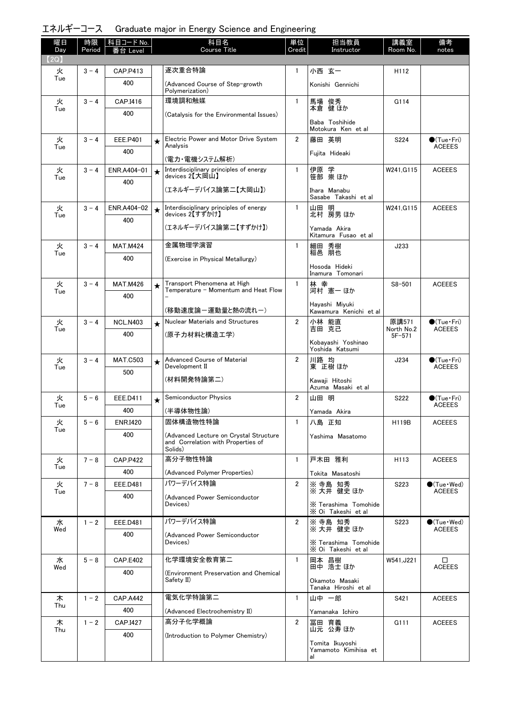エネルギーコース Graduate major in Energy Science and Engineering

| 曜日          | 時限      | 科目コード <u>No.</u>   |         | 科目名                                                                                     | 単位             | 担当教員                                          | 講義室                      | 備考                                      |
|-------------|---------|--------------------|---------|-----------------------------------------------------------------------------------------|----------------|-----------------------------------------------|--------------------------|-----------------------------------------|
| Day<br>(2Q) | Period  | Leve               |         | Course Title                                                                            | Credit         | Instructor                                    | Room No.                 | notes                                   |
| 火           | $3 - 4$ | CAP.P413           |         | 逐次重合特論                                                                                  | $\mathbf{1}$   | 小西 玄一                                         | H112                     |                                         |
| Tue         |         | 400                |         | (Advanced Course of Step-growth                                                         |                | Konishi Gennichi                              |                          |                                         |
| 火           | $3 - 4$ | CAP.I416           |         | Polymerization)<br>環境調和触媒                                                               | $\mathbf{1}$   | 馬場 俊秀                                         | G114                     |                                         |
| Tue         |         | 400                |         | (Catalysis for the Environmental Issues)                                                |                | 本倉 健 ほか                                       |                          |                                         |
|             |         |                    |         |                                                                                         |                | Baba Toshihide<br>Motokura Ken et al          |                          |                                         |
| 火<br>Tue    | $3 - 4$ | <b>EEE.P401</b>    | $\star$ | Electric Power and Motor Drive System<br>Analysis                                       | $\overline{2}$ | 藤田 英明                                         | S224                     | $\bigcirc$ (Tue · Fri)<br><b>ACEEES</b> |
|             |         | 400                |         | (電力・電機システム解析)                                                                           |                | Fuiita Hideaki                                |                          |                                         |
| 火<br>Tue    | $3 - 4$ | ENR.A404-01        | $\star$ | Interdisciplinary principles of energy<br>devices 2【大岡山】                                | $\mathbf{1}$   | 伊原 学<br>笹部 崇ほか                                | W241, G115               | <b>ACEEES</b>                           |
|             |         | 400                |         | (エネルギーデバイス論第二【大岡山】)                                                                     |                | Ihara Manabu                                  |                          |                                         |
|             |         |                    |         |                                                                                         |                | Sasabe Takashi et al                          |                          |                                         |
| 火<br>Tue    | $3 - 4$ | ENR.A404-02<br>400 | $\star$ | Interdisciplinary principles of energy<br>devices 2【すずかけ】                               | $\mathbf{1}$   | 山田 明<br>北村 房男 ほか                              | W241.G115                | <b>ACEEES</b>                           |
|             |         |                    |         | (エネルギーデバイス論第二【すずかけ】)                                                                    |                | Yamada Akira<br>Kitamura Fusao et al          |                          |                                         |
| 火           | $3 - 4$ | <b>MAT.M424</b>    |         | 金属物理学演習                                                                                 | $\mathbf{1}$   | 細田 秀樹<br>稲邑 朋也                                | J233                     |                                         |
| Tue         |         | 400                |         | (Exercise in Physical Metallurgy)                                                       |                |                                               |                          |                                         |
|             |         |                    |         |                                                                                         |                | Hosoda Hideki<br>Inamura Tomonari             |                          |                                         |
| 火<br>Tue    | $3 - 4$ | <b>MAT.M426</b>    | $\star$ | Transport Phenomena at High<br>Temperature - Momentum and Heat Flow                     | $\mathbf{1}$   | 林 幸<br>河村 憲一 ほか                               | $S8 - 501$               | <b>ACEEES</b>                           |
|             |         | 400                |         | (移動速度論ー運動量と熱の流れー)                                                                       |                | Hayashi Miyuki                                |                          |                                         |
| 火           | $3 - 4$ | <b>NCL.N403</b>    | $\star$ | <b>Nuclear Materials and Structures</b>                                                 | $\overline{2}$ | Kawamura Kenichi et al<br>小林 能直               | 原講571                    | $\bullet$ (Tue•Fri)                     |
| Tue         |         | 400                |         | (原子力材料と構造工学)                                                                            |                | 吉田 克己                                         | North No.2<br>$5F - 571$ | <b>ACEEES</b>                           |
|             |         |                    |         |                                                                                         |                | Kobayashi Yoshinao<br>Yoshida Katsumi         |                          |                                         |
| 火<br>Tue    | $3 - 4$ | <b>MAT.C503</b>    | $\star$ | Advanced Course of Material<br>Development II                                           | $\overline{2}$ | 川路 均<br>東 正樹 ほか                               | J234                     | $\bigcirc$ (Tue · Fri)<br><b>ACEEES</b> |
|             |         | 500                |         | (材料開発特論第二)                                                                              |                | Kawaji Hitoshi                                |                          |                                         |
|             |         |                    |         |                                                                                         |                | Azuma Masaki et al                            |                          |                                         |
| 火<br>Tue    | $5 - 6$ | <b>EEE.D411</b>    | $\star$ | <b>Semiconductor Physics</b>                                                            | $\overline{2}$ | 山田 明                                          | S222                     | $\bigcirc$ (Tue · Fri)<br><b>ACEEES</b> |
|             |         | 400                |         | (半導体物性論)                                                                                |                | Yamada Akira                                  |                          |                                         |
| 火<br>Tue    | $5 - 6$ | <b>ENR.I420</b>    |         | 固体構造物性特論                                                                                | $\mathbf{1}$   | 八島 正知                                         | H119B                    | <b>ACEEES</b>                           |
|             |         | 400                |         | (Advanced Lecture on Crystal Structure<br>and Correlation with Properties of<br>Solids) |                | Yashima Masatomo                              |                          |                                         |
| 火           | $7 - 8$ | <b>CAP.P422</b>    |         | 高分子物性特論                                                                                 | $\mathbf{1}$   | 戸木田 雅利                                        | H113                     | <b>ACEEES</b>                           |
| Tue         |         | 400                |         | (Advanced Polymer Properties)                                                           |                | Tokita Masatoshi                              |                          |                                         |
| 火<br>Tue    | $7 - 8$ | EEE.D481           |         | パワーデバイス特論                                                                               | $\overline{2}$ | ※ 寺島 知秀<br>※大井 健史 ほか                          | S223                     | $\bullet$ (Tue · Wed)<br><b>ACEEES</b>  |
|             |         | 400                |         | (Advanced Power Semiconductor<br>Devices)                                               |                | X Terashima Tomohide                          |                          |                                         |
| 水           | $1 - 2$ | <b>EEE.D481</b>    |         | パワーデバイス特論                                                                               | $\overline{2}$ | X Oi Takeshi et al<br>※ 寺島 知秀                 | S223                     | $\bullet$ (Tue $\cdot$ Wed)             |
| Wed         |         | 400                |         | (Advanced Power Semiconductor                                                           |                | ※大井健史ほか                                       |                          | <b>ACEEES</b>                           |
|             |         |                    |         | Devices)                                                                                |                | X Terashima Tomohide<br>X Oi Takeshi et al    |                          |                                         |
| 水<br>Wed    | $5 - 8$ | <b>CAP.E402</b>    |         | 化学環境安全教育第二                                                                              | $\mathbf{1}$   | 岡本 昌樹<br>田中 浩士ほか                              | W541, J221               | □<br><b>ACEEES</b>                      |
|             |         | 400                |         | (Environment Preservation and Chemical<br>Safety II)                                    |                | Okamoto Masaki<br>Tanaka Hiroshi et al        |                          |                                         |
| 木           | $1 - 2$ | <b>CAP.A442</b>    |         | 電気化学特論第二                                                                                | $\mathbf{1}$   | 山中 一郎                                         | S421                     | <b>ACEEES</b>                           |
| Thu         |         | 400                |         | (Advanced Electrochemistry II)                                                          |                | Yamanaka Ichiro                               |                          |                                         |
| 木           | $1 - 2$ | CAP.I427           |         | 高分子化学概論                                                                                 | $\overline{2}$ | 冨田 育義<br>山元 公寿 ほか                             | G111                     | <b>ACEEES</b>                           |
| Thu         |         | 400                |         | (Introduction to Polymer Chemistry)                                                     |                |                                               |                          |                                         |
|             |         |                    |         |                                                                                         |                | Tomita Ikuyoshi<br>Yamamoto Kimihisa et<br>al |                          |                                         |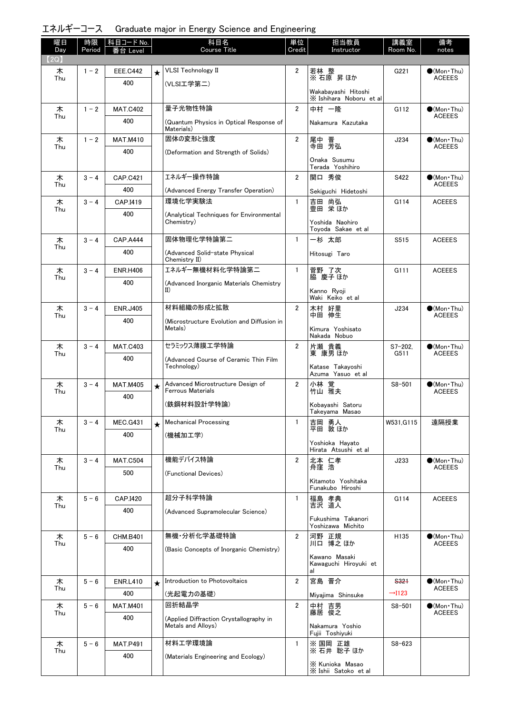エネルギーコース Graduate major in Energy Science and Engineering

| 曜日<br>Day | 時限<br>Period | │科目コード No.<br>番台 Level |         | 科目名<br><b>Course Title</b>                                    | 単位<br>Credit   | 担当教員<br>Instructor                             | 講義室<br>Room No.    | 備考<br>notes                          |
|-----------|--------------|------------------------|---------|---------------------------------------------------------------|----------------|------------------------------------------------|--------------------|--------------------------------------|
| 【2Q】      |              |                        |         | <b>VLSI Technology II</b>                                     | $\overline{2}$ |                                                |                    |                                      |
| 木<br>Thu  | $1 - 2$      | <b>EEE.C442</b><br>400 | $\star$ | (VLSI工学第二)                                                    |                | 若林 整<br>※ 石原 昇ほか                               | G221               | $\bullet$ (Mon•Thu)<br><b>ACEEES</b> |
|           |              |                        |         |                                                               |                | Wakabayashi Hitoshi<br>X Ishihara Noboru et al |                    |                                      |
| 木<br>Thu  | $1 - 2$      | <b>MAT.C402</b>        |         | 量子光物性特論                                                       | $\overline{2}$ | 中村 一隆                                          | G112               | $\bullet$ (Mon Thu)<br><b>ACEEES</b> |
|           |              | 400                    |         | (Quantum Physics in Optical Response of<br>Materials)         |                | Nakamura Kazutaka                              |                    |                                      |
| 木<br>Thu  | $1 - 2$      | <b>MAT.M410</b>        |         | 固体の変形と強度                                                      | $\overline{2}$ | 尾中 晋<br>寺田 芳弘                                  | J234               | $\bullet$ (Mon Thu)<br><b>ACEEES</b> |
|           |              | 400                    |         | (Deformation and Strength of Solids)                          |                | Onaka Susumu<br>Terada Yoshihiro               |                    |                                      |
| 木         | $3 - 4$      | <b>CAP.C421</b>        |         | エネルギー操作特論                                                     | $\overline{2}$ | 関口 秀俊                                          | S422               | $(Mon\cdot Thu)$                     |
| Thu       |              | 400                    |         | (Advanced Energy Transfer Operation)                          |                | Sekiguchi Hidetoshi                            |                    | <b>ACEEES</b>                        |
| 木         | $3 - 4$      | CAP.I419               |         | 環境化学実験法                                                       | $\mathbf{1}$   | 吉田 尚弘                                          | G114               | <b>ACEEES</b>                        |
| Thu       |              | 400                    |         | (Analytical Techniques for Environmental                      |                | 豊田 栄ほか                                         |                    |                                      |
|           |              |                        |         | Chemistry)                                                    |                | Yoshida Naohiro<br>Toyoda Sakae et al          |                    |                                      |
| 木<br>Thu  | $3 - 4$      | <b>CAP.A444</b>        |         | 固体物理化学特論第二                                                    | $\mathbf{1}$   | 一杉 太郎                                          | S515               | <b>ACEEES</b>                        |
|           |              | 400                    |         | (Advanced Solid-state Physical<br>Chemistry II)               |                | Hitosugi Taro                                  |                    |                                      |
| 木<br>Thu  | $3 - 4$      | <b>ENR.H406</b>        |         | エネルギー無機材料化学特論第二                                               | $\mathbf{1}$   | 菅野 了次<br>脇 慶子 ほか                               | G111               | <b>ACEEES</b>                        |
|           |              | 400                    |         | (Advanced Inorganic Materials Chemistry<br>$_{II}$            |                | Kanno Ryoji<br>Waki Keiko et al                |                    |                                      |
| 木         | $3 - 4$      | <b>ENR.J405</b>        |         | 材料組織の形成と拡散                                                    | $\overline{2}$ | 木村 好里                                          | J234               | $\bigcirc$ (Mon Thu)                 |
| Thu       |              | 400                    |         | (Microstructure Evolution and Diffusion in<br>Metals)         |                | 中田 伸生<br>Kimura Yoshisato<br>Nakada Nobuo      |                    | <b>ACEEES</b>                        |
| 木         | $3 - 4$      | <b>MAT.C403</b>        |         | セラミックス薄膜工学特論                                                  | $\overline{2}$ | 片瀬 貴義                                          | $S7 - 202$         | $\bigcirc$ (Mon•Thu)                 |
| Thu       |              | 400                    |         | (Advanced Course of Ceramic Thin Film                         |                | 東 康男 ほか                                        | G511               | <b>ACEEES</b>                        |
|           |              |                        |         | Technology)                                                   |                | Katase Takayoshi<br>Azuma Yasuo et al          |                    |                                      |
| 木         | $3 - 4$      | <b>MAT.M405</b>        | $\star$ | Advanced Microstructure Design of<br><b>Ferrous Materials</b> | $\overline{2}$ | 小林 覚<br>竹山 雅夫                                  | $S8 - 501$         | $\bullet$ (Mon Thu)                  |
| Thu       |              | 400                    |         | (鉄鋼材料設計学特論)                                                   |                |                                                |                    | <b>ACEEES</b>                        |
|           |              |                        |         |                                                               |                | Kobayashi Satoru<br>Takeyama Masao             |                    |                                      |
| 木<br>Thu  | $3 - 4$      | <b>MEC.G431</b>        | $\star$ | <b>Mechanical Processing</b>                                  | $\mathbf{1}$   | 吉岡 勇人<br>平田 敦ほか                                | W531, G115         | 遠隔授業                                 |
|           |              | 400                    |         | (機械加工学)                                                       |                | Yoshioka Havato                                |                    |                                      |
|           |              |                        |         |                                                               |                | Hirata Atsushi et al                           |                    |                                      |
| 木<br>Thu  | $3 - 4$      | <b>MAT.C504</b>        |         | 機能デバイス特論                                                      | $\overline{2}$ | 北本 仁孝<br>舟窪 浩                                  | J233               | $(Mon\cdot Thu)$<br><b>ACEEES</b>    |
|           |              | 500                    |         | (Functional Devices)                                          |                | Kitamoto Yoshitaka<br>Funakubo Hiroshi         |                    |                                      |
| 木         | $5 - 6$      | CAP.I420               |         | 超分子科学特論                                                       | $\mathbf{1}$   | 福島 孝典<br>吉沢 道人                                 | G114               | <b>ACEEES</b>                        |
| Thu       |              | 400                    |         | (Advanced Supramolecular Science)                             |                |                                                |                    |                                      |
|           |              |                        |         |                                                               |                | Fukushima Takanori<br>Yoshizawa Michito        |                    |                                      |
| 木         | $5 - 6$      | <b>CHM.B401</b>        |         | 無機 分析化学基礎特論                                                   | $\overline{2}$ | 河野 正規                                          | H135               | $(Mon\cdot Thu)$<br><b>ACEEES</b>    |
| Thu       |              | 400                    |         | (Basic Concepts of Inorganic Chemistry)                       |                | 川口 博之 ほか                                       |                    |                                      |
|           |              |                        |         |                                                               |                | Kawano Masaki<br>Kawaguchi Hiroyuki et<br>al   |                    |                                      |
| 木         | $5 - 6$      | <b>ENR.L410</b>        | $\star$ | Introduction to Photovoltaics                                 | 2              | 宮島 晋介                                          | S321               | $\bullet$ (Mon•Thu)                  |
| Thu       |              | 400                    |         | (光起電力の基礎)                                                     |                | Miyajima Shinsuke                              | $\rightarrow$ 1123 | <b>ACEEES</b>                        |
| 木         | $5 - 6$      | <b>MAT.M401</b>        |         | 回折結晶学                                                         | $\overline{2}$ | 中村 吉男<br>藤居 俊之                                 | $S8 - 501$         | $(Mon\cdot Thu)$                     |
| Thu       |              | 400                    |         | (Applied Diffraction Crystallography in                       |                |                                                |                    | <b>ACEEES</b>                        |
|           |              |                        |         | Metals and Alloys)                                            |                | Nakamura Yoshio<br>Fujii Toshiyuki             |                    |                                      |
| 木         | $5 - 6$      | <b>MAT.P491</b>        |         | 材料工学環境論                                                       | $\mathbf{1}$   | ※ 国岡 正雄<br>※ 石井 聡子 ほか                          | $S8 - 623$         |                                      |
| Thu       |              | 400                    |         | (Materials Engineering and Ecology)                           |                |                                                |                    |                                      |
|           |              |                        |         |                                                               |                | X Kunioka Masao<br>X Ishii Satoko et al        |                    |                                      |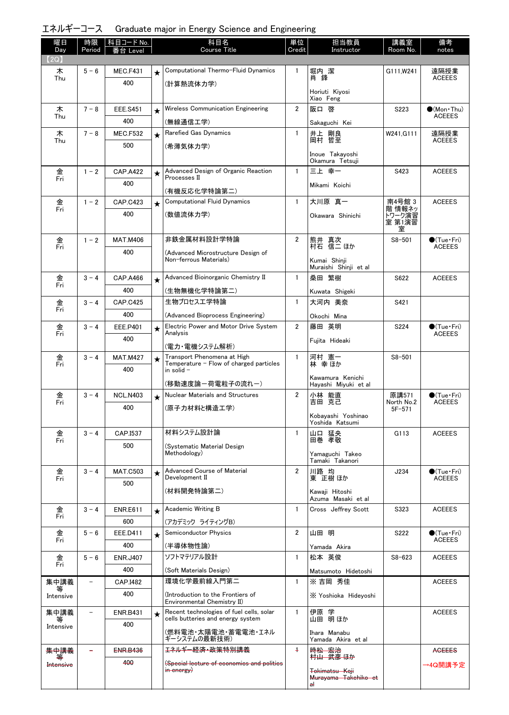エネルギーコース Graduate major in Energy Science and Engineering

| 曜日<br>Day      | 時限<br>Period             | 科目コード No.       |         | 科目名<br>Course Title                                                           | 単位<br>Credit   | 担当教員<br>Instructor                       | 講義室<br>Room No.          | 備考<br>notes                          |
|----------------|--------------------------|-----------------|---------|-------------------------------------------------------------------------------|----------------|------------------------------------------|--------------------------|--------------------------------------|
| (2Q)           |                          | Level           |         |                                                                               |                |                                          |                          |                                      |
| 木              | $5 - 6$                  | <b>MEC.F431</b> | $\star$ | Computational Thermo-Fluid Dynamics                                           | $\mathbf{1}$   | 堀内 潔                                     | G111, W241               | 遠隔授業                                 |
| Thu            |                          | 400             |         | (計算熱流体力学)                                                                     |                | 肖 鋒                                      |                          | <b>ACEEES</b>                        |
|                |                          |                 |         |                                                                               |                | Horiuti Kiyosi<br>Xiao Feng              |                          |                                      |
| 木              | $7 - 8$                  | <b>EEE.S451</b> | $\star$ | Wireless Communication Engineering                                            | $\overline{2}$ | 阪口 啓                                     | S223                     | $\bullet$ (Mon•Thu)                  |
| Thu            |                          | 400             |         | (無線通信工学)                                                                      |                | Sakaguchi Kei                            |                          | <b>ACEEES</b>                        |
| 木              | $7 - 8$                  | <b>MEC.F532</b> | $\star$ | Rarefied Gas Dynamics                                                         | $\mathbf{1}$   | 井上 剛良<br>岡村 哲至                           | W241, G111               | 遠隔授業<br><b>ACEEES</b>                |
| Thu            |                          | 500             |         | (希薄気体力学)                                                                      |                |                                          |                          |                                      |
|                |                          |                 |         |                                                                               |                | Inoue Takayoshi<br>Okamura Tetsuji       |                          |                                      |
| 金<br>Fri       | $1 - 2$                  | <b>CAP.A422</b> | $\star$ | Advanced Design of Organic Reaction<br>Processes II                           | $\mathbf{1}$   | 三上 幸一                                    | S423                     | <b>ACEEES</b>                        |
|                |                          | 400             |         | (有機反応化学特論第二)                                                                  |                | Mikami Koichi                            |                          |                                      |
| 金              | $1 - 2$                  | <b>CAP.C423</b> | $\star$ | <b>Computational Fluid Dynamics</b>                                           | $\mathbf{1}$   | 大川原 真一                                   | 南4号館 3                   | <b>ACEEES</b>                        |
| Fri            |                          | 400             |         | (数値流体力学)                                                                      |                | Okawara Shinichi                         | 階 情報ネッ<br>トワーク演習         |                                      |
|                |                          |                 |         |                                                                               |                |                                          | 室 第1演習<br>室              |                                      |
| 金              | $1 - 2$                  | <b>MAT.M406</b> |         | 非鉄金属材料設計学特論                                                                   | $\overline{2}$ | 熊井 真次<br>村石 信二 ほか                        | $S8 - 501$               | $\bullet$ (Tue•Fri)                  |
| Fri            |                          | 400             |         | (Advanced Microstructure Design of                                            |                |                                          |                          | <b>ACEEES</b>                        |
|                |                          |                 |         | Non-ferrous Materials)                                                        |                | Kumai Shinji<br>Muraishi Shinji et al    |                          |                                      |
| 金              | $3 - 4$                  | CAP.A466        | $\star$ | Advanced Bioinorganic Chemistry II                                            | $\mathbf{1}$   | 桑田 繁樹                                    | S622                     | <b>ACEEES</b>                        |
| Fri            |                          | 400             |         | (生物無機化学特論第二)                                                                  |                | Kuwata Shigeki                           |                          |                                      |
| 金              | $3 - 4$                  | <b>CAP.C425</b> |         | 生物プロセスエ学特論                                                                    | $\mathbf{1}$   | 大河内 美奈                                   | S421                     |                                      |
| Fri            |                          | 400             |         | (Advanced Bioprocess Engineering)                                             |                | Okochi Mina                              |                          |                                      |
| 金<br>Fri       | $3 - 4$                  | EEE.P401        | $\star$ | Electric Power and Motor Drive System<br>Analysis                             | $\overline{2}$ | 藤田 英明                                    | S224                     | $\bullet$ (Tue•Fri)<br><b>ACEEES</b> |
|                |                          | 400             |         | (電力・電機システム解析)                                                                 |                | Fujita Hideaki                           |                          |                                      |
| 金              | $3 - 4$                  | <b>MAT.M427</b> | $\star$ | Transport Phenomena at High                                                   | $\mathbf{1}$   | 河村 憲一                                    | $S8 - 501$               |                                      |
| Fri            |                          | 400             |         | Temperature - Flow of charged particles<br>in solid $-$                       |                | 林 幸 ほか                                   |                          |                                      |
|                |                          |                 |         | (移動速度論ー荷電粒子の流れー)                                                              |                | Kawamura Kenichi<br>Hayashi Miyuki et al |                          |                                      |
| 金              | $3 - 4$                  | <b>NCL.N403</b> | $\star$ | Nuclear Materials and Structures                                              | $\overline{2}$ | 小林 能直                                    | 原講571                    | $\bullet$ (Tue•Fri)                  |
| Fri            |                          | 400             |         | (原子力材料と構造工学)                                                                  |                | 吉田 克己                                    | North No.2<br>$5F - 571$ | <b>ACEEES</b>                        |
|                |                          |                 |         |                                                                               |                | Kobayashi Yoshinao<br>Yoshida Katsumi    |                          |                                      |
| 金              | $3 - 4$                  | CAP.I537        |         | 材料システム設計論                                                                     | 1              | 山口 猛央                                    | G113                     | <b>ACEEES</b>                        |
| Fri            |                          | 500             |         | (Systematic Material Design                                                   |                | 田巻 孝敬                                    |                          |                                      |
|                |                          |                 |         | Methodology)                                                                  |                | Yamaguchi Takeo<br>Tamaki Takanori       |                          |                                      |
| 金              | $3 - 4$                  | <b>MAT.C503</b> | $\star$ | Advanced Course of Material                                                   | $\overline{2}$ | 川路 均                                     | J234                     | $\bullet$ (Tue•Fri)                  |
| Fri            |                          | 500             |         | Development II                                                                |                | 東 正樹 ほか                                  |                          | <b>ACEEES</b>                        |
|                |                          |                 |         | (材料開発特論第二)                                                                    |                | Kawaji Hitoshi<br>Azuma Masaki et al     |                          |                                      |
| 金<br>Fri       | $3 - 4$                  | <b>ENR.E611</b> | $\star$ | Academic Writing B                                                            | $\mathbf{1}$   | Cross Jeffrey Scott                      | S323                     | <b>ACEEES</b>                        |
|                |                          | 600             |         | (アカデミック ライティングB)                                                              |                |                                          |                          |                                      |
| 金<br>Fri       | $5 - 6$                  | EEE.D411        | $\star$ | <b>Semiconductor Physics</b>                                                  | $\overline{2}$ | 山田 明                                     | S222                     | $\bullet$ (Tue•Fri)<br><b>ACEEES</b> |
|                |                          | 400             |         | (半導体物性論)                                                                      |                | Yamada Akira                             |                          |                                      |
| 金<br>Fri       | $5 - 6$                  | <b>ENR.J407</b> |         | ソフトマテリアル設計                                                                    | $\mathbf{1}$   | 松本 英俊                                    | $S8 - 623$               | <b>ACEEES</b>                        |
|                |                          | 400             |         | (Soft Materials Design)                                                       |                | Matsumoto Hidetoshi                      |                          |                                      |
| 集中講義<br>等      | $\overline{\phantom{0}}$ | CAP.I482        |         | 環境化学最前線入門第二                                                                   | $\mathbf{1}$   | ※吉岡 秀佳                                   |                          | <b>ACEEES</b>                        |
| Intensive      |                          | 400             |         | (Introduction to the Frontiers of<br>Environmental Chemistry II)              |                | X Yoshioka Hideyoshi                     |                          |                                      |
| 集中講義           |                          | <b>ENR.B431</b> | $\star$ | Recent technologies of fuel cells, solar<br>cells butteries and energy system | $\mathbf{1}$   | 伊原 学<br>山田 明ほか                           |                          | <b>ACEEES</b>                        |
| 等<br>Intensive |                          | 400             |         | (燃料電池・太陽電池・蓄電電池・エネル                                                           |                | Ihara Manabu                             |                          |                                      |
|                |                          |                 |         | ギーシステムの最新技術)                                                                  |                | Yamada Akira et al                       |                          |                                      |
| 集中講義<br>∓      |                          | <b>ENR.B436</b> |         | <del>エネルギー経済・政策特別講義</del>                                                     | $+$            | 時松 宏治<br>村山 武彦 ほか                        |                          | <b>AGEEES</b>                        |
| Intensive      |                          | 400             |         | (Special lecture of economics and politics<br>$\frac{1}{2}$ in energy)        |                | <del>Tokimatsu Koji</del>                |                          | →4Q開講予定                              |
|                |                          |                 |         |                                                                               |                | Murayama Takehiko et<br>a۱               |                          |                                      |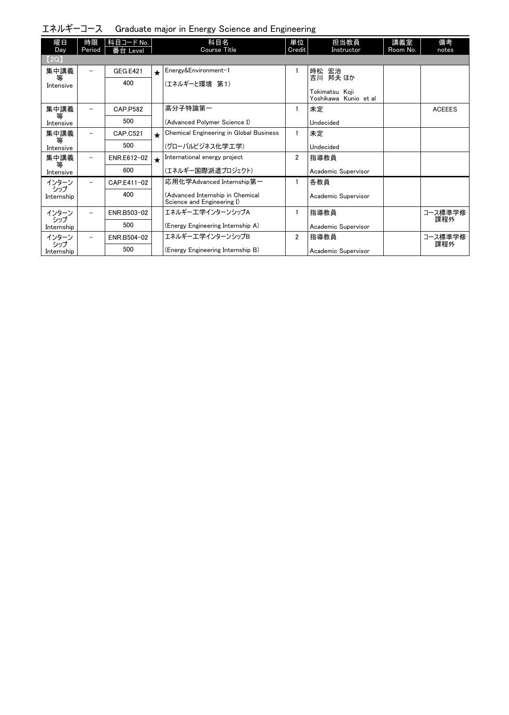エネルギーコース Graduate major in Energy Science and Engineering

| 曜日                | 時限                       | 科目コード No.       |            | 科目名                                                            | 単位             | 担当教員                                    | 講義室      | 備考             |
|-------------------|--------------------------|-----------------|------------|----------------------------------------------------------------|----------------|-----------------------------------------|----------|----------------|
| Day               | Period                   | 番台 Level        |            | <b>Course Title</b>                                            | Credit         | Instructor                              | Room No. | notes          |
| [2Q]              |                          |                 |            |                                                                |                |                                         |          |                |
| 集中講義<br>等         | $\overline{\phantom{0}}$ | <b>GEG.E421</b> | $\star$    | Energy&Environment-1                                           |                | 時松 宏治<br>吉川 邦夫 ほか                       |          |                |
| Intensive         |                          | 400             |            | (エネルギーと環境 第1)                                                  |                |                                         |          |                |
|                   |                          |                 |            |                                                                |                | Tokimatsu Koii<br>Yoshikawa Kunio et al |          |                |
| 集中講義              |                          | CAP.P582        |            | 高分子特論第一                                                        |                | 未定                                      |          | <b>ACEEES</b>  |
| 等<br>Intensive    |                          | 500             |            | (Advanced Polymer Science I)                                   |                | Undecided                               |          |                |
| 集中講義<br>等         |                          | CAP.C521        | $\bigstar$ | Chemical Engineering in Global Business                        | 1              | 未定                                      |          |                |
| Intensive         |                          | 500             |            | (グローバルビジネス化学工学)                                                |                | Undecided                               |          |                |
| 集中講義<br>等         | $\overline{\phantom{m}}$ | ENR.E612-02     | $\star$    | International energy project                                   | 2              | 指導教員                                    |          |                |
| Intensive         |                          | 600             |            | (エネルギー国際派遣プロジェクト)                                              |                | Academic Supervisor                     |          |                |
| インターン<br>シップ      | -                        | CAP.E411-02     |            | 応用化学Advanced Internship第一                                      |                | 各教員                                     |          |                |
| Internship        |                          | 400             |            | (Advanced Internship in Chemical<br>Science and Engineering I) |                | Academic Supervisor                     |          |                |
| インターン             | $\overline{\phantom{0}}$ | ENR.B503-02     |            | エネルギーエ学インターンシップA                                               | 1              | 指導教員                                    |          | コース標準学修        |
| シップ<br>Internship |                          | 500             |            | (Energy Engineering Internship A)                              |                | Academic Supervisor                     |          | 課程外            |
| インターン             | $\overline{\phantom{0}}$ | ENR.B504-02     |            | エネルギーエ学インターンシップB                                               | $\overline{2}$ | 指導教員                                    |          | コース標準学修<br>課程外 |
| シップ<br>Internship |                          | 500             |            | (Energy Engineering Internship B)                              |                | Academic Supervisor                     |          |                |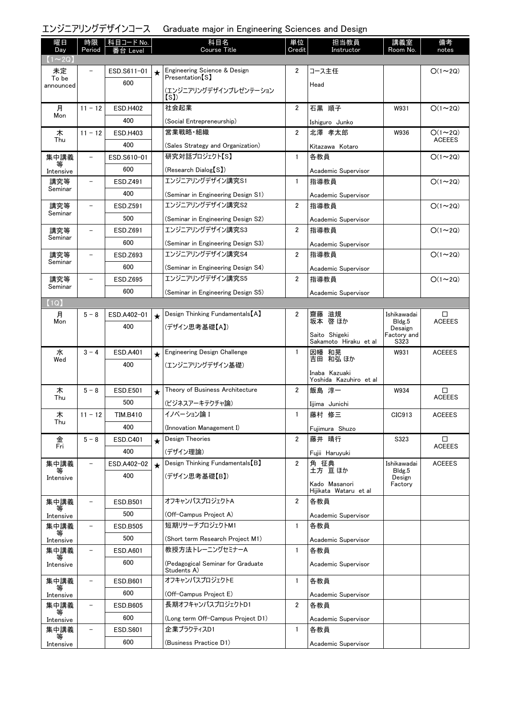### エンジニアリングデザインコース Graduate major in Engineering Sciences and Design

| 曜日<br>Day          | 時限<br>Period             | 科目コード No.<br>番台 Level |         | 科目名<br><b>Course Title</b>          | 単位<br>Credit   | 担当教員<br>Instructor                      | 講義室<br>Room No.     | 備考<br>notes   |
|--------------------|--------------------------|-----------------------|---------|-------------------------------------|----------------|-----------------------------------------|---------------------|---------------|
| $(1\sim 2Q)$       |                          |                       |         |                                     |                |                                         |                     |               |
| 未定                 |                          | ESD.S611-01           | $\star$ | Engineering Science & Design        | 2              | コース主任                                   |                     | $O(1\sim 2Q)$ |
| To be<br>announced |                          | 600                   |         | Presentation <sup>[S]</sup>         |                | Head                                    |                     |               |
|                    |                          |                       |         | (エンジニアリングデザインプレゼンテーション<br>(s)       |                |                                         |                     |               |
| 月                  | $11 - 12$                | <b>ESD.H402</b>       |         | 社会起業                                | $\overline{2}$ | 石黒 順子                                   | W931                | $O(1\sim 2Q)$ |
| Mon                |                          | 400                   |         | (Social Entrepreneurship)           |                | Ishiguro Junko                          |                     |               |
| 木                  | $11 - 12$                | <b>ESD.H403</b>       |         | 営業戦略・組織                             | $\overline{2}$ | 北澤 孝太郎                                  | W936                | $O(1\sim 2Q)$ |
| Thu                |                          | 400                   |         | (Sales Strategy and Organization)   |                | Kitazawa Kotaro                         |                     | <b>ACEEES</b> |
| 集中講義               |                          | ESD.S610-01           |         | 研究対話プロジェクト【S】                       | 1              | 各教員                                     |                     | $O(1\sim 2Q)$ |
| 等<br>Intensive     |                          | 600                   |         | (Research Dialog S)                 |                | Academic Supervisor                     |                     |               |
| 講究等                |                          | ESD.Z491              |         | エンジニアリングデザイン講究S1                    | $\mathbf{1}$   | 指導教員                                    |                     | $O(1\sim 2Q)$ |
| Seminar            |                          | 400                   |         | (Seminar in Engineering Design S1)  |                | Academic Supervisor                     |                     |               |
| 講究等                |                          | ESD.Z591              |         | エンジニアリングデザイン講究S2                    | $\overline{2}$ | 指導教員                                    |                     | $O(1\sim 2Q)$ |
| Seminar            |                          | 500                   |         | (Seminar in Engineering Design S2)  |                | Academic Supervisor                     |                     |               |
| 講究等                | $\overline{\phantom{a}}$ | ESD.Z691              |         | エンジニアリングデザイン講究S3                    | $\overline{2}$ | 指導教員                                    |                     | $O(1\sim 2Q)$ |
| Seminar            |                          | 600                   |         | (Seminar in Engineering Design S3)  |                | Academic Supervisor                     |                     |               |
| 講究等                | -                        | ESD.Z693              |         | エンジニアリングデザイン講究S4                    | $\overline{2}$ | 指導教員                                    |                     | $O(1\sim 2Q)$ |
| Seminar            |                          | 600                   |         | (Seminar in Engineering Design S4)  |                | Academic Supervisor                     |                     |               |
| 講究等                |                          | ESD.Z695              |         | エンジニアリングデザイン講究S5                    | $\overline{2}$ | 指導教員                                    |                     | $O(1\sim 2Q)$ |
| Seminar            |                          | 600                   |         | (Seminar in Engineering Design S5)  |                | Academic Supervisor                     |                     |               |
| (1Q)               |                          |                       |         |                                     |                |                                         |                     |               |
| 月                  | $5 - 8$                  | ESD.A402-01           | $\star$ | Design Thinking Fundamentals [A]    | $\overline{2}$ | 齌藤<br>滋規                                | Ishikawadai         | □             |
| Mon                |                          | 400                   |         | (デザイン思考基礎【A】)                       |                | 坂本 啓 ほか                                 | Bldg.5<br>Desaign   | <b>ACEEES</b> |
|                    |                          |                       |         |                                     |                | Saito Shigeki<br>Sakamoto Hiraku et al  | Factory and<br>S323 |               |
| 水                  | $3 - 4$                  | <b>ESD.A401</b>       | $\star$ | <b>Engineering Design Challenge</b> | $\mathbf{1}$   | 因幡 和晃                                   | W931                | <b>ACEEES</b> |
| Wed                |                          | 400                   |         | (エンジニアリングデザイン基礎)                    |                | 吉田 和弘 ほか                                |                     |               |
|                    |                          |                       |         |                                     |                | Inaba Kazuaki<br>Yoshida Kazuhiro et al |                     |               |
| 木                  | $5 - 8$                  | <b>ESD.E501</b>       |         | Theory of Business Architecture     | $\overline{2}$ | 飯島 淳一                                   | W934                | □             |
| Thu                |                          | 500                   |         | (ビジネスアーキテクチャ論)                      |                | Iijima Junichi                          |                     | <b>ACEEES</b> |
| 木                  | $11 - 12$                | <b>TIM.B410</b>       |         | イノベーション論 I                          | $\mathbf{1}$   | 藤村 修三                                   | CIC913              | <b>ACEEES</b> |
| Thu                |                          | 400                   |         | (Innovation Management I)           |                | Fujimura Shuzo                          |                     |               |
| 金                  | $5 - 8$                  | ESD.C401              | $\star$ | Design Theories                     | $\overline{2}$ | 藤井 晴行                                   | S323                | □             |
| Fri                |                          | 400                   |         | (デザイン理論)                            |                | Fujii Haruyuki                          |                     | <b>ACEEES</b> |
| 集中講義               |                          | ESD.A402-02           | $\star$ | Design Thinking Fundamentals [B]    | $\overline{2}$ | 角 征典                                    | Ishikawadai         | <b>ACEEES</b> |
| Intensive          |                          | 400                   |         | (デザイン思考基礎【B】)                       |                | 土方 亘ほか                                  | Bldg.5<br>Design    |               |
|                    |                          |                       |         |                                     |                | Kado Masanori<br>Hijikata Wataru et al  | Factory             |               |
| 集中講義               |                          | ESD.B501              |         | オフキャンパスプロジェクトA                      | $\overline{2}$ | 各教員                                     |                     |               |
| Intensive          |                          | 500                   |         | (Off-Campus Project A)              |                | Academic Supervisor                     |                     |               |
| 集中講義               | $\overline{\phantom{0}}$ | ESD.B505              |         | 短期リサーチプロジェクトM1                      | $\mathbf{1}$   | 各教員                                     |                     |               |
| 等<br>Intensive     |                          | 500                   |         | (Short term Research Project M1)    |                | Academic Supervisor                     |                     |               |
| 集中講義               |                          | <b>ESD.A601</b>       |         | 教授方法トレーニングセミナーA                     | $\mathbf{1}$   | 各教員                                     |                     |               |
| 等<br>Intensive     |                          | 600                   |         | (Pedagogical Seminar for Graduate   |                | Academic Supervisor                     |                     |               |
|                    |                          |                       |         | Students A)                         |                |                                         |                     |               |
| 集中講義<br>等          | $\overline{\phantom{0}}$ | ESD.B601              |         | オフキャンパスプロジェクトE                      | $\mathbf{1}$   | 各教員                                     |                     |               |
| Intensive          |                          | 600                   |         | (Off-Campus Project E)              |                | Academic Supervisor                     |                     |               |
| 集中講義<br>等          | $\overline{\phantom{0}}$ | ESD.B605              |         | 長期オフキャンパスプロジェクトD1                   | 2              | 各教員                                     |                     |               |
| Intensive          |                          | 600                   |         | (Long term Off-Campus Project D1)   |                | Academic Supervisor                     |                     |               |
| 集中講義               |                          | <b>ESD.S601</b>       |         | 企業プラクティスD1                          | $\mathbf{1}$   | 各教員                                     |                     |               |
| Intensive          |                          | 600                   |         | (Business Practice D1)              |                | Academic Supervisor                     |                     |               |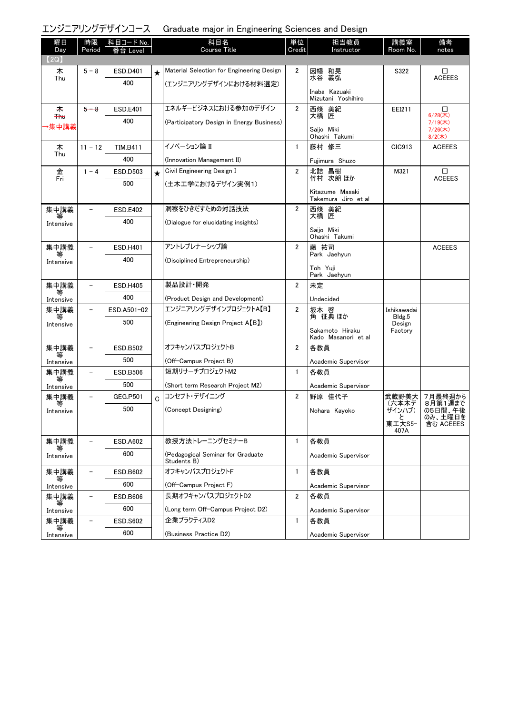エンジニアリングデザインコース Graduate major in Engineering Sciences and Design

| 曜日<br>Day           | 時限<br>Period             | │科目コード No.<br>Level |         | 科目名<br>Course Title                       | 単位<br>Credit   | 担当教員<br>Instructor                     | 講義室<br>Room No.       | 備考<br>notes              |
|---------------------|--------------------------|---------------------|---------|-------------------------------------------|----------------|----------------------------------------|-----------------------|--------------------------|
| (2Q)                |                          |                     |         |                                           |                |                                        |                       |                          |
| 木                   | $5 - 8$                  | ESD.D401            | $\star$ | Material Selection for Engineering Design | 2              | 因幡 和晃                                  | S322                  | □                        |
| Thu                 |                          | 400                 |         | (エンジニアリングデザインにおける材料選定)                    |                | 水谷 義弘                                  |                       | <b>ACEEES</b>            |
|                     |                          |                     |         |                                           |                | Inaba Kazuaki<br>Mizutani Yoshihiro    |                       |                          |
| 未                   | $5 - 8$                  | <b>ESD.E401</b>     |         | エネルギービジネスにおける参加のデザイン                      | $\overline{2}$ | 西條 美紀                                  | EEI211                | □                        |
| <b>Thu</b><br>▸集中講義 |                          | 400                 |         | (Participatory Design in Energy Business) |                | 大橋 匠                                   |                       | $6/28($ 木)<br>$7/19($ 木) |
|                     |                          |                     |         |                                           |                | Saiio Miki<br>Ohashi Takumi            |                       | $7/26$ (木)<br>$8/2($ 木)  |
| 木<br>Thu            | $11 - 12$                | <b>TIM.B411</b>     |         | イノベーション論 II                               | $\mathbf{1}$   | 藤村 修三                                  | CIC913                | <b>ACEEES</b>            |
|                     |                          | 400                 |         | (Innovation Management II)                |                | Fujimura Shuzo                         |                       |                          |
| 金<br>Fri            | $1 - 4$                  | <b>ESD.D503</b>     | $\star$ | Civil Engineering Design I                | $\overline{2}$ | 北詰 昌樹<br>竹村 次朗 ほか                      | M321                  | □<br><b>ACEEES</b>       |
|                     |                          | 500                 |         | (土木工学におけるデザイン実例1)                         |                |                                        |                       |                          |
|                     |                          |                     |         |                                           |                | Kitazume Masaki<br>Takemura Jiro et al |                       |                          |
| 集中講義                |                          | <b>ESD.E402</b>     |         | 洞察をひきだすための対話技法                            | $\overline{2}$ | 西條 美紀<br>大橋 匠                          |                       |                          |
| Intensive           |                          | 400                 |         | (Dialogue for elucidating insights)       |                | Saijo Miki                             |                       |                          |
|                     |                          |                     |         |                                           |                | Ohashi Takumi                          |                       |                          |
| 集中講義<br>等           | $\overline{\phantom{0}}$ | <b>ESD.H401</b>     |         | アントレプレナーシップ論                              | 2              | 藤 祐司<br>Park Jaehyun                   |                       | <b>ACEEES</b>            |
| Intensive           |                          | 400                 |         | (Disciplined Entrepreneurship)            |                |                                        |                       |                          |
|                     |                          |                     |         |                                           |                | Toh Yuji<br>Park Jaehyun               |                       |                          |
| 集中講義                |                          | <b>ESD.H405</b>     |         | 製品設計·開発                                   | $\overline{2}$ | 未定                                     |                       |                          |
| Intensive           |                          | 400                 |         | (Product Design and Development)          |                | Undecided                              |                       |                          |
| 集中講義                |                          | ESD.A501-02         |         | エンジニアリングデザインプロジェクトA【B】                    | $\overline{2}$ | 坂本 啓<br>角 征典 ほか                        | Ishikawadai<br>Bldg.5 |                          |
| Intensive           |                          | 500                 |         | (Engineering Design Project A(B))         |                | Sakamoto Hiraku                        | Design<br>Factory     |                          |
|                     |                          |                     |         |                                           |                | Kado Masanori et al                    |                       |                          |
| 集中講義<br>等           | -                        | <b>ESD.B502</b>     |         | オフキャンパスプロジェクトB                            | 2              | 各教員                                    |                       |                          |
| Intensive           |                          | 500                 |         | (Off-Campus Project B)                    |                | Academic Supervisor                    |                       |                          |
| 集中講義<br>等           |                          | <b>ESD.B506</b>     |         | 短期リサーチプロジェクトM2                            | $\mathbf{1}$   | 各教員                                    |                       |                          |
| Intensive           |                          | 500                 |         | (Short term Research Project M2)          |                | Academic Supervisor                    |                       |                          |
| 集中講義                |                          | <b>GEG.P501</b>     | C       | コンセプト・デザイニング                              | $\overline{2}$ | 野原 佳代子                                 | 武蔵野美大<br>(六本木デ        | 7月最終週から<br>8月第1週まで       |
| Intensive           |                          | 500                 |         | (Concept Designing)                       |                | Nohara Kayoko                          | ザインハブ)<br>с           | の5日間、午後<br>のみ、土曜日を       |
|                     |                          |                     |         |                                           |                |                                        | 東工大S5-<br>407A        | 含む ACEEES                |
| 集中講義                |                          | <b>ESD.A602</b>     |         | 教授方法トレーニングセミナーB                           | $\mathbf{1}$   | 各教員                                    |                       |                          |
| 等<br>Intensive      |                          | 600                 |         | (Pedagogical Seminar for Graduate         |                | Academic Supervisor                    |                       |                          |
|                     |                          |                     |         | Students B)                               |                |                                        |                       |                          |
| 集中講義<br>等           | $\overline{\phantom{0}}$ | <b>ESD.B602</b>     |         | オフキャンパスプロジェクトF                            | $\mathbf{1}$   | 各教員                                    |                       |                          |
| Intensive           |                          | 600                 |         | (Off-Campus Project F)                    |                | Academic Supervisor                    |                       |                          |
| 集中講義                | $\overline{\phantom{a}}$ | <b>ESD.B606</b>     |         | 長期オフキャンパスプロジェクトD2                         | 2              | 各教員                                    |                       |                          |
| Intensive           |                          | 600                 |         | (Long term Off-Campus Project D2)         |                | Academic Supervisor                    |                       |                          |
| 集中講義<br>等           | $\overline{\phantom{0}}$ | <b>ESD.S602</b>     |         | 企業プラクティスD2                                | $\mathbf{1}$   | 各教員                                    |                       |                          |
| Intensive           |                          | 600                 |         | (Business Practice D2)                    |                | Academic Supervisor                    |                       |                          |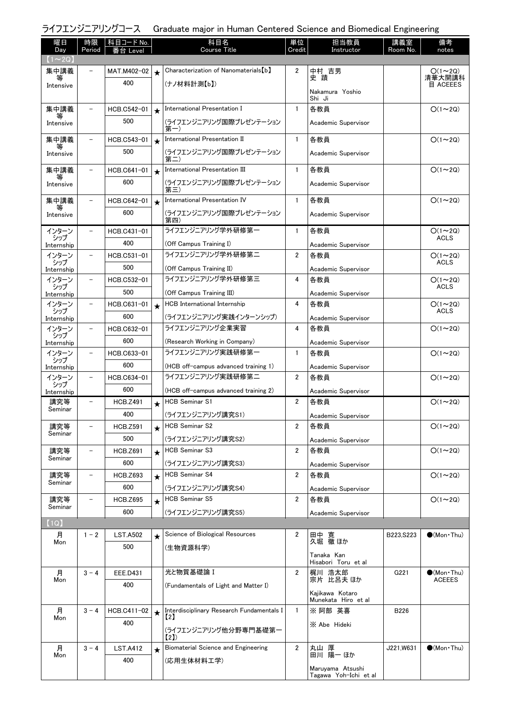# ライフエンジニアリングコース Graduate major in Human Centered Science and Biomedical Engineering

| 曜日<br>Day                     | 時限<br>Period             | │ 科目コード No.<br>番台 Level |         | 科目名<br>Course Title                        | 単位<br>Credit            | 担当教員<br>Instructor                        | 講義室<br>Room No. | 備考<br>notes                   |
|-------------------------------|--------------------------|-------------------------|---------|--------------------------------------------|-------------------------|-------------------------------------------|-----------------|-------------------------------|
| $(1\!\thicksim\!2\mathrm{Q})$ |                          |                         |         |                                            |                         |                                           |                 |                               |
| 集中講義                          |                          | MAT.M402-02             | $\star$ | Characterization of Nanomaterials [b]      | $\overline{2}$          | 中村 吉男                                     |                 | $O(1\sim 2Q)$                 |
| 等<br>Intensive                |                          | 400                     |         | (ナノ材料計測【b】)                                |                         | 史蹟                                        |                 | 清華大開講科<br>目 ACEEES            |
|                               |                          |                         |         |                                            |                         | Nakamura Yoshio<br>Shi Ji                 |                 |                               |
| 集中講義                          | $\overline{\phantom{a}}$ | HCB.C542-01             | $\star$ | International Presentation I               | $\mathbf{1}$            | 各教員                                       |                 | $O(1\sim 2Q)$                 |
| 等<br>Intensive                |                          | 500                     |         | (ライフエンジニアリング国際プレゼンテーション<br>第一)             |                         | Academic Supervisor                       |                 |                               |
| 集中講義                          | $\overline{\phantom{a}}$ | HCB.C543-01             | $\star$ | International Presentation II              | $\mathbf{1}$            | 各教員                                       |                 | $O(1\sim 2Q)$                 |
| 等<br>Intensive                |                          | 500                     |         | (ライフエンジニアリング国際プレゼンテーション<br>第二              |                         | Academic Supervisor                       |                 |                               |
| 集中講義                          | $\overline{\phantom{a}}$ | HCB.C641-01             | $\star$ | International Presentation III             | $\mathbf{1}$            | 各教員                                       |                 | $O(1\sim 2Q)$                 |
| 等<br>Intensive                |                          | 600                     |         | (ライフエンジニアリング国際プレゼンテーション                    |                         | Academic Supervisor                       |                 |                               |
| 集中講義                          | $\overline{\phantom{a}}$ | HCB.C642-01             |         | 第三)<br>International Presentation IV       | $\mathbf{1}$            | 各教員                                       |                 | $O(1\sim 2Q)$                 |
| 等                             |                          | 600                     | $\star$ | (ライフエンジニアリング国際プレゼンテーション                    |                         |                                           |                 |                               |
| Intensive                     |                          |                         |         | 第四)                                        |                         | Academic Supervisor                       |                 |                               |
| インターン<br>シップ                  | $\overline{\phantom{0}}$ | HCB.C431-01             |         | ライフエンジニアリング学外研修第一                          | $\mathbf{1}$            | 各教員                                       |                 | $O(1 \sim 2Q)$<br><b>ACLS</b> |
| Internship                    |                          | 400                     |         | (Off Campus Training I)                    |                         | Academic Supervisor                       |                 |                               |
| インターン<br>シップ                  | $\overline{\phantom{0}}$ | HCB.C531-01             |         | ライフエンジニアリング学外研修第二                          | 2                       | 各教員                                       |                 | $O(1\sim 2Q)$<br>ACLS         |
| Internship                    |                          | 500                     |         | (Off Campus Training II)                   |                         | Academic Supervisor                       |                 |                               |
| インターン<br>シップ                  | $\overline{\phantom{0}}$ | HCB.C532-01             |         | ライフエンジニアリング学外研修第三                          | 4                       | 各教員                                       |                 | $O(1\sim 2Q)$<br><b>ACLS</b>  |
| Internship                    |                          | 500                     |         | (Off Campus Training III)                  |                         | Academic Supervisor                       |                 |                               |
| インターン<br>シップ                  |                          | HCB.C631-01             | $\star$ | HCB International Internship               | 4                       | 各教員                                       |                 | $O(1\sim 2Q)$<br><b>ACLS</b>  |
| Internship                    |                          | 600                     |         | (ライフエンジニアリング実践インターンシップ)                    |                         | Academic Supervisor                       |                 |                               |
| インターン<br>シップ                  | $\overline{\phantom{a}}$ | HCB.C632-01             |         | ライフエンジニアリング企業実習                            | 4                       | 各教員                                       |                 | $O(1\sim 2Q)$                 |
| Internship                    |                          | 600                     |         | (Research Working in Company)              |                         | Academic Supervisor                       |                 |                               |
| インターン<br>シップ                  | $\overline{\phantom{a}}$ | HCB.C633-01             |         | ライフエンジニアリング実践研修第一                          | 1                       | 各教員                                       |                 | $O(1\sim 2Q)$                 |
| Internship                    |                          | 600                     |         | (HCB off-campus advanced training 1)       |                         | Academic Supervisor                       |                 |                               |
| インターン<br>シップ                  | -                        | HCB.C634-01             |         | ライフエンジニアリング実践研修第二                          | 2                       | 各教員                                       |                 | $O(1\sim 2Q)$                 |
| Internship                    |                          | 600                     |         | (HCB off-campus advanced training 2)       |                         | Academic Supervisor                       |                 |                               |
| 講究等<br>Seminar                |                          | <b>HCB.Z491</b>         | $\star$ | <b>HCB Seminar S1</b>                      | $\overline{2}$          | 各教員                                       |                 | $O(1\sim 2Q)$                 |
|                               |                          | 400                     |         | (ライフエンジニアリング講究S1)                          |                         | Academic Supervisor                       |                 |                               |
| 講究等<br>Seminar                |                          | <b>HCB.Z591</b>         | $\star$ | <b>HCB Seminar S2</b>                      | $\overline{2}$          | 各教員                                       |                 | $O(1\sim 2Q)$                 |
|                               | $\overline{\phantom{0}}$ | 500                     |         | (ライフエンジニアリング講究S2)<br><b>HCB Seminar S3</b> | $\overline{\mathbf{2}}$ | Academic Supervisor                       |                 |                               |
| 講究等<br>Seminar                |                          | <b>HCB.Z691</b><br>600  | $\star$ |                                            |                         | 各教員                                       |                 | $O(1\sim 2Q)$                 |
| 講究等                           | $\overline{\phantom{0}}$ |                         |         | (ライフエンジニアリング講究S3)<br><b>HCB Seminar S4</b> | 2                       | Academic Supervisor                       |                 | $O(1\sim 2Q)$                 |
| Seminar                       |                          | <b>HCB.Z693</b><br>600  | $\star$ |                                            |                         | 各教員                                       |                 |                               |
| 講究等                           |                          | <b>HCB.Z695</b>         |         | (ライフエンジニアリング講究S4)<br><b>HCB Seminar S5</b> | 2                       | Academic Supervisor<br>各教員                |                 | $O(1\sim 2Q)$                 |
| Seminar                       |                          | 600                     | $\star$ |                                            |                         |                                           |                 |                               |
| (1Q)                          |                          |                         |         | (ライフエンジニアリング講究S5)                          |                         | Academic Supervisor                       |                 |                               |
| 月                             | $1 - 2$                  | <b>LST.A502</b>         | $\star$ | Science of Biological Resources            | $\overline{2}$          |                                           | B223, S223      | $\bullet$ (Mon Thu)           |
| Mon                           |                          | 500                     |         | (生物資源科学)                                   |                         | 田中 寛<br>久堀 徹ほか                            |                 |                               |
|                               |                          |                         |         |                                            |                         | Tanaka Kan<br>Hisabori Toru et al         |                 |                               |
| 月                             | $3 - 4$                  | EEE.D431                |         | 光と物質基礎論 I                                  | $\overline{2}$          | 梶川 浩太郎                                    | G221            | $\bullet$ (Mon · Thu)         |
| Mon                           |                          | 400                     |         | (Fundamentals of Light and Matter I)       |                         | 宗片 比呂夫 ほか                                 |                 | <b>ACEEES</b>                 |
|                               |                          |                         |         |                                            |                         | Kajikawa Kotaro<br>Munekata Hiro et al    |                 |                               |
| 月                             | $3 - 4$                  | HCB.C411-02             | $\star$ | Interdisciplinary Research Fundamentals I  | $\mathbf{1}$            | ※ 阿部 英喜                                   | B226            |                               |
| Mon                           |                          | 400                     |         | $\left\lceil \frac{2}{2} \right\rceil$     |                         | X Abe Hideki                              |                 |                               |
|                               |                          |                         |         | (ライフエンジニアリング他分野専門基礎第一<br>(2)               |                         |                                           |                 |                               |
| 月                             | $3 - 4$                  | <b>LST.A412</b>         | $\star$ | <b>Biomaterial Science and Engineering</b> | $\overline{2}$          | 丸山 厚                                      | J221,W631       | $\bullet$ (Mon Thu)           |
| Mon                           |                          | 400                     |         | (応用生体材料工学)                                 |                         | 田川 陽一 ほか                                  |                 |                               |
|                               |                          |                         |         |                                            |                         | Maruyama Atsushi<br>Tagawa Yoh-Ichi et al |                 |                               |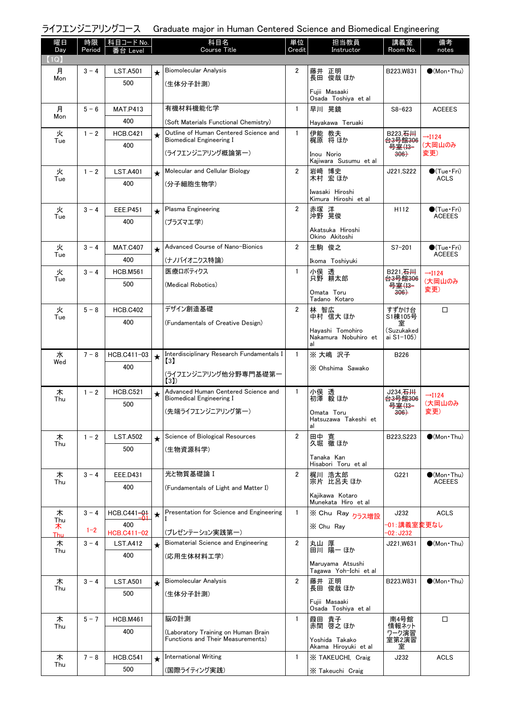|  |  | ライフエンジニアリングコース Graduate major in Human Centered Science and Biomedical Engineering |  |  |
|--|--|------------------------------------------------------------------------------------|--|--|
|--|--|------------------------------------------------------------------------------------|--|--|

| 曜日          | 時限      | 科目コード <u>No.</u>       |         | 科目名                                                                            | 単位             | 担当教員                                     | 講義室                            | 備考                                      |
|-------------|---------|------------------------|---------|--------------------------------------------------------------------------------|----------------|------------------------------------------|--------------------------------|-----------------------------------------|
| Day<br>(1Q) | Period  | Leve                   |         | Course Title                                                                   | Credit         | Instructor                               | Room No.                       | notes                                   |
| 月           | $3 - 4$ | <b>LST.A501</b>        |         | Biomolecular Analysis                                                          | $\overline{2}$ | 藤井 正明                                    | B223, W831                     | $\bullet$ (Mon Thu)                     |
| Mon         |         | 500                    | $\star$ | (生体分子計測)                                                                       |                | 長田 俊哉 ほか                                 |                                |                                         |
|             |         |                        |         |                                                                                |                | Fuiii Masaaki                            |                                |                                         |
|             | $5 - 6$ |                        |         | 有機材料機能化学                                                                       | $\mathbf{1}$   | Osada Toshiya et al<br>早川 晃鏡             | $S8 - 623$                     | <b>ACEEES</b>                           |
| 月<br>Mon    |         | <b>MAT.P413</b><br>400 |         |                                                                                |                |                                          |                                |                                         |
|             |         |                        |         | (Soft Materials Functional Chemistry)<br>Outline of Human Centered Science and | $\mathbf{1}$   | Hayakawa Teruaki                         | B223, 石川                       |                                         |
| 火<br>Tue    | $1 - 2$ | <b>HCB.C421</b><br>400 | $\star$ | <b>Biomedical Engineering I</b>                                                |                | 伊能 教夫<br>梶原 将ほか                          | <del>台3号館306</del>             | $\rightarrow$ I124<br>(大岡山のみ            |
|             |         |                        |         | (ライフエンジニアリング概論第一)                                                              |                | Inou Norio                               | 号室(13-<br>$306+$               | 変更)                                     |
|             |         |                        |         |                                                                                |                | Kajiwara Susumu et al                    |                                |                                         |
| 火<br>Tue    | $1 - 2$ | <b>LST.A401</b>        | $\star$ | Molecular and Cellular Biology                                                 | $\overline{2}$ | 岩﨑 博史<br>木村 宏ほか                          | J221, S222                     | $\bullet$ (Tue · Fri)<br><b>ACLS</b>    |
|             |         | 400                    |         | (分子細胞生物学)                                                                      |                | Iwasaki Hiroshi                          |                                |                                         |
|             |         |                        |         |                                                                                |                | Kimura Hiroshi et al                     |                                |                                         |
| 火<br>Tue    | $3 - 4$ | EEE.P451               | $\star$ | Plasma Engineering                                                             | $\overline{2}$ | 赤塚 洋<br>沖野 晃俊                            | H112                           | $\bullet$ (Tue · Fri)<br><b>ACEEES</b>  |
|             |         | 400                    |         | (プラズマエ学)                                                                       |                | Akatsuka Hiroshi                         |                                |                                         |
|             |         |                        |         |                                                                                |                | Okino Akitoshi                           |                                |                                         |
| 火<br>Tue    | $3 - 4$ | <b>MAT.C407</b>        | $\star$ | Advanced Course of Nano-Bionics                                                | $\overline{2}$ | 生駒 俊之                                    | $S7 - 201$                     | $\bigcirc$ (Tue · Fri)<br><b>ACEEES</b> |
|             |         | 400                    |         | (ナノバイオニクス特論)                                                                   |                | Ikoma Toshiyuki                          |                                |                                         |
| 火<br>Tue    | $3 - 4$ | <b>HCB.M561</b>        |         | 医療ロボティクス                                                                       | 1              | 小俣 透<br>只野 耕太郎                           | B221, 石川<br><del>台3号館306</del> | $\rightarrow$ I124<br>(大岡山のみ            |
|             |         | 500                    |         | (Medical Robotics)                                                             |                | Omata Toru                               | 号室(13-<br><del>306)</del>      | 変更)                                     |
|             |         |                        |         |                                                                                |                | Tadano Kotaro                            |                                |                                         |
| 火<br>Tue    | $5 - 8$ | <b>HCB.C402</b>        |         | デザイン創造基礎                                                                       | $\overline{2}$ | 林 智広<br>中村 信大 ほか                         | すずかけ台<br>S1棟105号               | □                                       |
|             |         | 400                    |         | (Fundamentals of Creative Design)                                              |                |                                          | 室<br>(Suzukaked                |                                         |
|             |         |                        |         |                                                                                |                | Hayashi Tomohiro<br>Nakamura Nobuhiro et | ai S1-105)                     |                                         |
| 水           | $7 - 8$ | HCB.C411-03            |         | Interdisciplinary Research Fundamentals I                                      | $\mathbf{1}$   | al<br>※ 大嶋 沢子                            | <b>B226</b>                    |                                         |
| Wed         |         | 400                    | $\star$ | $\left[3\right]$                                                               |                |                                          |                                |                                         |
|             |         |                        |         | (ライフエンジニアリング他分野専門基礎第一                                                          |                | X Ohshima Sawako                         |                                |                                         |
| 木           | $1 - 2$ | <b>HCB.C521</b>        |         | (3)<br>Advanced Human Centered Science and                                     | $\mathbf{1}$   |                                          | J234, <del>石川</del>            |                                         |
| Thu         |         | 500                    | $\star$ | <b>Biomedical Engineering I</b>                                                |                | 小俣 透<br>初澤 毅ほか                           | <del>台3号館306</del>             | $\rightarrow$ I124<br>(大岡山のみ            |
|             |         |                        |         | (先端ライフエンジニアリング第一)                                                              |                | Omata Toru                               | 号室(I3-<br>306                  | 変更)                                     |
|             |         |                        |         |                                                                                |                | Hatsuzawa Takeshi et<br>al               |                                |                                         |
| 木           | $1 - 2$ | <b>LST.A502</b>        | $\star$ | Science of Biological Resources                                                | $\overline{2}$ | 田中 寛                                     | B223.S223                      | $\bigcirc$ (Mon Thu)                    |
| Thu         |         | 500                    |         | (生物資源科学)                                                                       |                | 久堀 徹 ほか                                  |                                |                                         |
|             |         |                        |         |                                                                                |                | Tanaka Kan<br>Hisabori Toru et al        |                                |                                         |
| 木           | $3 - 4$ | EEE.D431               |         | 光と物質基礎論 I                                                                      | $\overline{2}$ | 梶川 浩太郎                                   | G221                           | $\bullet$ (Mon•Thu)                     |
| Thu         |         | 400                    |         | (Fundamentals of Light and Matter I)                                           |                | 宗片 比呂夫 ほか                                |                                | <b>ACEEES</b>                           |
|             |         |                        |         |                                                                                |                | Kajikawa Kotaro<br>Munekata Hiro et al   |                                |                                         |
| 木           | $3 - 4$ | HCB.C441-01            | $\star$ | Presentation for Science and Engineering                                       | $\mathbf{1}$   | ※ Chu Ray <sub>クラス増設</sub>               | J232                           | <b>ACLS</b>                             |
| Thu<br>ᄌ    |         | 400                    |         |                                                                                |                | X Chu Ray                                | −01:講義室変更なし                    |                                         |
| <b>Thu</b>  | $1 - 2$ | HCB.C411-02            |         | (プレゼンテーション実践第一)<br>Biomaterial Science and Engineering                         | $\overline{2}$ |                                          | $-02:J232$                     |                                         |
| 木<br>Thu    | $3 - 4$ | <b>LST.A412</b>        | $\star$ |                                                                                |                | 丸山 厚<br>田川 陽一 ほか                         | J221,W631                      | $\bullet$ (Mon Thu)                     |
|             |         | 400                    |         | (応用生体材料工学)                                                                     |                | Maruyama Atsushi                         |                                |                                         |
|             |         |                        |         |                                                                                |                | Tagawa Yoh-Ichi et al                    |                                |                                         |
| 木<br>Thu    | $3 - 4$ | <b>LST.A501</b>        | $\star$ | <b>Biomolecular Analysis</b>                                                   | $\overline{2}$ | 藤井 正明<br>長田 俊哉 ほか                        | B223,W831                      | $\bullet$ (Mon Thu)                     |
|             |         | 500                    |         | (生体分子計測)                                                                       |                | Fujii Masaaki                            |                                |                                         |
|             |         |                        |         |                                                                                |                | Osada Toshiya et al                      |                                |                                         |
| 木<br>Thu    | $5 - 7$ | <b>HCB.M461</b>        |         | 脳の計測                                                                           | $\mathbf{1}$   | 葭田 貴子<br>赤間 啓之 ほか                        | 南4号館<br>情報ネット                  | □                                       |
|             |         | 400                    |         | (Laboratory Training on Human Brain<br>Functions and Their Measurements)       |                | Yoshida Takako                           | ワーク演習<br>室第2演習                 |                                         |
|             |         |                        |         |                                                                                |                | Akama Hiroyuki et al                     | 室                              |                                         |
| 木<br>Thu    | $7 - 8$ | <b>HCB.C541</b>        | $\star$ | <b>International Writing</b>                                                   | $\mathbf{1}$   | X TAKEUCHI, Craig                        | J232                           | <b>ACLS</b>                             |
|             |         | 500                    |         | (国際ライティング実践)                                                                   |                | X Takeuchi Craig                         |                                |                                         |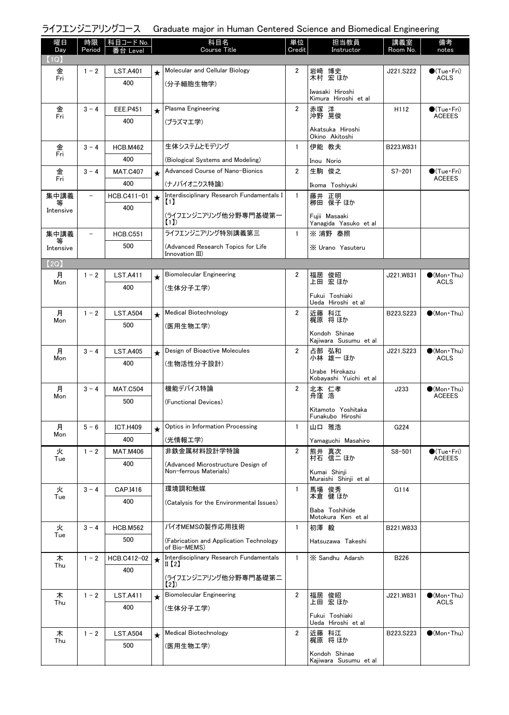# ライフエンジニアリングコース Graduate major in Human Centered Science and Biomedical Engineering

| 曜日<br>Day | 時限<br>Period      | │科目コード No. │<br>番台 Level |         | 科目名<br><b>Course Title</b>                                   | 単位<br>Credit   | 担当教員<br>Instructor                      | 講義室<br>Room No. | 備考<br>notes                                  |
|-----------|-------------------|--------------------------|---------|--------------------------------------------------------------|----------------|-----------------------------------------|-----------------|----------------------------------------------|
| (1Q)      |                   |                          |         |                                                              |                |                                         |                 |                                              |
| 金<br>Fri  | $1 - 2$           | <b>LST.A401</b>          | $\star$ | Molecular and Cellular Biology                               | $\overline{2}$ | 岩﨑 博史<br>木村 宏ほか                         | J221, S222      | $\bullet$ (Tue•Fri)<br><b>ACLS</b>           |
|           |                   | 400                      |         | (分子細胞生物学)                                                    |                | Iwasaki Hiroshi<br>Kimura Hiroshi et al |                 |                                              |
|           | $3 - 4$           | <b>EEE.P451</b>          | $\star$ | Plasma Engineering                                           | $\overline{2}$ |                                         | H112            | $\bullet$ (Tue•Fri)                          |
| 金<br>Fri  |                   | 400                      |         | (プラズマエ学)                                                     |                | 赤塚 洋<br>沖野 晃俊                           |                 | <b>ACEEES</b>                                |
|           |                   |                          |         |                                                              |                | Akatsuka Hiroshi<br>Okino Akitoshi      |                 |                                              |
| 金<br>Fri  | $3 - 4$           | <b>HCB.M462</b>          |         | 生体システムとモデリング                                                 | $\mathbf{1}$   | 伊能 教夫                                   | B223, W831      |                                              |
|           |                   | 400                      |         | (Biological Systems and Modeling)                            |                | Inou Norio                              |                 |                                              |
| 金<br>Fri  | $3 - 4$           | <b>MAT.C407</b>          | $\star$ | Advanced Course of Nano-Bionics                              | $\overline{2}$ | 生駒 俊之                                   | $S7 - 201$      | $\bullet$ (Tue $\cdot$ Fri)<br><b>ACEEES</b> |
|           |                   | 400                      |         | (ナノバイオニクス特論)                                                 |                | Ikoma Toshiyuki                         |                 |                                              |
| 集中講義<br>等 | $\qquad \qquad -$ | HCB.C411-01              | $\star$ | Interdisciplinary Research Fundamentals I<br>11              | $\mathbf{1}$   | 藤井 正明<br>栁田 保子 ほか                       |                 |                                              |
| Intensive |                   | 400                      |         | (ライフエンジニアリング他分野専門基礎第一<br>(1)                                 |                | Fuiii Masaaki<br>Yanagida Yasuko et al  |                 |                                              |
| 集中講義      | $\qquad \qquad -$ | <b>HCB.C551</b>          |         | ライフエンジニアリング特別講義第三                                            | $\mathbf{1}$   | ※ 浦野 泰照                                 |                 |                                              |
| Intensive |                   | 500                      |         | (Advanced Research Topics for Life                           |                | X Urano Yasuteru                        |                 |                                              |
| (2Q)      |                   |                          |         | Innovation III)                                              |                |                                         |                 |                                              |
| 月         | $1 - 2$           | <b>LST.A411</b>          | $\star$ | <b>Biomolecular Engineering</b>                              | $\overline{2}$ | 福居 俊昭<br>上田 宏ほか                         | J221.W831       | $\bigcirc$ (Mon · Thu)                       |
| Mon       |                   | 400                      |         | (生体分子工学)                                                     |                |                                         |                 | <b>ACLS</b>                                  |
|           |                   |                          |         |                                                              |                | Fukui Toshiaki<br>Ueda Hiroshi et al    |                 |                                              |
| 月<br>Mon  | $1 - 2$           | <b>LST.A504</b>          | $\star$ | Medical Biotechnology                                        | $\overline{2}$ | 近藤 科江<br>梶原 将 ほか                        | B223, S223      | $\bigcirc$ (Mon Thu)                         |
|           |                   | 500                      |         | (医用生物工学)                                                     |                | Kondoh Shinae                           |                 |                                              |
|           |                   |                          |         |                                                              |                | Kajiwara Susumu et al                   |                 |                                              |
| 月<br>Mon  | $3 - 4$           | <b>LST.A405</b>          | $\star$ | Design of Bioactive Molecules                                | $\overline{2}$ | 占部 弘和<br>小林 雄一ほか                        | J221, S223      | $(Mon\cdot Thu)$<br>ACLS                     |
|           |                   | 400                      |         | (生物活性分子設計)                                                   |                | Urabe Hirokazu                          |                 |                                              |
|           |                   |                          |         |                                                              |                | Kobayashi Yuichi et al                  |                 |                                              |
| 月<br>Mon  | $3 - 4$           | <b>MAT.C504</b>          |         | 機能デバイス特論                                                     | $\overline{2}$ | 北本 仁孝<br>舟窪 浩                           | J233            | $\bullet$ (Mon Thu)<br><b>ACEEES</b>         |
|           |                   | 500                      |         | (Functional Devices)                                         |                | Kitamoto Yoshitaka                      |                 |                                              |
|           |                   |                          |         |                                                              |                | Funakubo Hiroshi                        |                 |                                              |
| 月<br>Mon  | $5 - 6$           | <b>ICT.H409</b>          | $\star$ | Optics in Information Processing                             | $\mathbf{1}$   | 山口 雅浩                                   | G224            |                                              |
|           |                   | 400                      |         | (光情報工学)                                                      |                | Yamaguchi Masahiro                      |                 |                                              |
| 火<br>Tue  | $1 - 2$           | <b>MAT.M406</b>          |         | 非鉄金属材料設計学特論                                                  | $\overline{2}$ | 熊井 真次<br>村石 信二 ほか                       | $S8 - 501$      | $\bullet$ (Tue $\cdot$ Fri)<br><b>ACEEES</b> |
|           |                   | 400                      |         | (Advanced Microstructure Design of<br>Non-ferrous Materials) |                | Kumai Shinji<br>Muraishi Shinji et al   |                 |                                              |
| 火         | $3 - 4$           | CAP.I416                 |         | 環境調和触媒                                                       | 1              | 馬場 俊秀                                   | G114            |                                              |
| Tue       |                   | 400                      |         | (Catalysis for the Environmental Issues)                     |                | 本倉 健 ほか                                 |                 |                                              |
|           |                   |                          |         |                                                              |                | Baba Toshihide<br>Motokura Ken et al    |                 |                                              |
| 火         | $3 - 4$           | <b>HCB.M562</b>          |         | バイオMEMSの製作応用技術                                               | $\mathbf{1}$   | 初澤 毅                                    | B221, W833      |                                              |
| Tue       |                   | 500                      |         | (Fabrication and Application Technology)<br>of Bio-MEMS)     |                | Hatsuzawa Takeshi                       |                 |                                              |
| 木         | $1 - 2$           | HCB.C412-02              | $\star$ | Interdisciplinary Research Fundamentals                      | $\mathbf{1}$   | X Sandhu Adarsh                         | B226            |                                              |
| Thu       |                   | 400                      |         | II (2)                                                       |                |                                         |                 |                                              |
|           |                   |                          |         | (ライフエンジニアリング他分野専門基礎第二<br>(21)                                |                |                                         |                 |                                              |
| 木         | $1 - 2$           | <b>LST.A411</b>          | $\star$ | <b>Biomolecular Engineering</b>                              | $\overline{2}$ | 福居 俊昭                                   | J221,W831       | $\bullet$ (Mon Thu)                          |
| Thu       |                   | 400                      |         | (生体分子工学)                                                     |                | 上田 宏 ほか                                 |                 | ACLS                                         |
|           |                   |                          |         |                                                              |                | Fukui Toshiaki<br>Ueda Hiroshi et al    |                 |                                              |
| 木         | $1 - 2$           | <b>LST.A504</b>          | $\star$ | Medical Biotechnology                                        | 2              | 近藤 科江                                   | B223, S223      | $\bullet$ (Mon Thu)                          |
| Thu       |                   | 500                      |         | (医用生物工学)                                                     |                | 梶原 将ほか                                  |                 |                                              |
|           |                   |                          |         |                                                              |                | Kondoh Shinae<br>Kajiwara Susumu et al  |                 |                                              |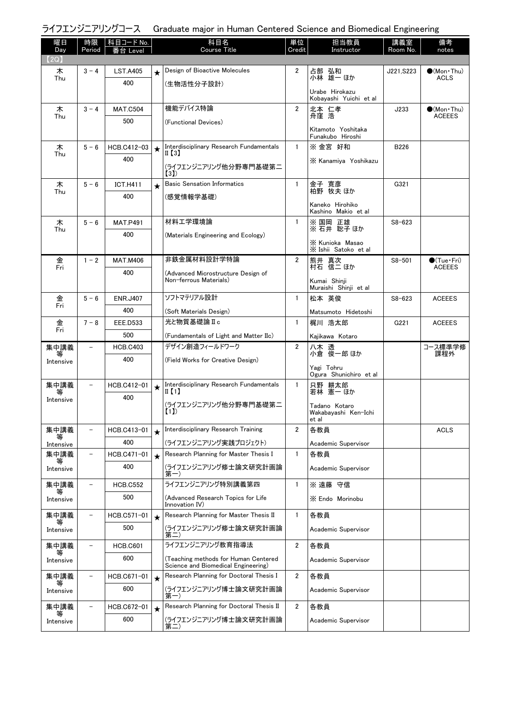# ライフエンジニアリングコース Graduate major in Human Centered Science and Biomedical Engineering

| 曜日<br>Day      | 時限<br>Period             | 科目コード No.              |         | 科目名<br>Course Title                                            | 単位<br>Credit   | 担当教員<br>Instructor                       | 講義室<br>Room No. | 備考<br>notes                          |
|----------------|--------------------------|------------------------|---------|----------------------------------------------------------------|----------------|------------------------------------------|-----------------|--------------------------------------|
| (2Q)           |                          |                        |         |                                                                |                |                                          |                 |                                      |
| 木              | $3 - 4$                  | <b>LST.A405</b>        | $\star$ | Design of Bioactive Molecules                                  | 2              | 占部 弘和<br>小林 雄一ほか                         | J221, S223      | $\bullet$ (Mon Thu)                  |
| Thu            |                          | 400                    |         | (生物活性分子設計)                                                     |                |                                          |                 | <b>ACLS</b>                          |
|                |                          |                        |         |                                                                |                | Urabe Hirokazu<br>Kobayashi Yuichi et al |                 |                                      |
| 木<br>Thu       | $3 - 4$                  | <b>MAT.C504</b>        |         | 機能デバイス特論                                                       | $\overline{2}$ | 北本 仁孝<br>舟窪 浩                            | J233            | $\bullet$ (Mon Thu)<br><b>ACEEES</b> |
|                |                          | 500                    |         | (Functional Devices)                                           |                | Kitamoto Yoshitaka                       |                 |                                      |
|                |                          |                        |         |                                                                |                | Funakubo Hiroshi                         |                 |                                      |
| 木<br>Thu       | $5 - 6$                  | HCB.C412-03            | $\star$ | Interdisciplinary Research Fundamentals<br>II 【3】              | $\mathbf{1}$   | ※ 金宮 好和                                  | B226            |                                      |
|                |                          | 400                    |         | (ライフエンジニアリング他分野専門基礎第二                                          |                | X Kanamiya Yoshikazu                     |                 |                                      |
|                |                          |                        |         | (3)                                                            |                |                                          |                 |                                      |
| 木<br>Thu       | $5 - 6$                  | <b>ICT.H411</b>        | ★       | <b>Basic Sensation Informatics</b>                             | $\mathbf{1}$   | 金子 寛彦<br>柏野 牧夫 ほか                        | G321            |                                      |
|                |                          | 400                    |         | (感覚情報学基礎)                                                      |                | Kaneko Hirohiko                          |                 |                                      |
|                |                          |                        |         |                                                                |                | Kashino Makio et al                      |                 |                                      |
| 木<br>Thu       | $5 - 6$                  | <b>MAT.P491</b>        |         | 材料工学環境論                                                        | $\mathbf{1}$   | ※ 国岡 正雄<br>※ 石井 聡子 ほか                    | $S8 - 623$      |                                      |
|                |                          | 400                    |         | (Materials Engineering and Ecology)                            |                | X Kunioka Masao                          |                 |                                      |
|                |                          |                        |         |                                                                |                | X Ishii Satoko et al                     |                 |                                      |
| 金<br>Fri       | $1 - 2$                  | <b>MAT.M406</b>        |         | 非鉄金属材料設計学特論                                                    | $\overline{2}$ | 熊井 真次<br>村石 信二 ほか                        | $S8 - 501$      | $\bullet$ (Tue•Fri)<br><b>ACEEES</b> |
|                |                          | 400                    |         | (Advanced Microstructure Design of<br>Non-ferrous Materials)   |                | Kumai Shinji                             |                 |                                      |
|                |                          |                        |         | ソフトマテリアル設計                                                     |                | Muraishi Shinji et al                    |                 |                                      |
| 金<br>Fri       | $5 - 6$                  | <b>ENR.J407</b>        |         |                                                                | $\mathbf{1}$   | 松本 英俊                                    | $S8 - 623$      | <b>ACEEES</b>                        |
| 金              | $7 - 8$                  | 400<br><b>EEE.D533</b> |         | (Soft Materials Design)<br>光と物質基礎論Ⅱc                           | $\mathbf{1}$   | Matsumoto Hidetoshi<br>梶川 浩太郎            | G221            | <b>ACEEES</b>                        |
| Fri            |                          | 500                    |         | (Fundamentals of Light and Matter IIc)                         |                | Kajikawa Kotaro                          |                 |                                      |
| 集中講義           |                          | <b>HCB.C403</b>        |         | デザイン創造フィールドワーク                                                 | $\overline{2}$ |                                          |                 | コース標準学修                              |
| 等<br>Intensive |                          | 400                    |         | (Field Works for Creative Design)                              |                | 八木 透<br>小倉 俊一郎 ほか                        |                 | 課程外                                  |
|                |                          |                        |         |                                                                |                | Yagi Tohru<br>Ogura Shunichiro et al     |                 |                                      |
| 集中講義           | $\overline{\phantom{a}}$ | HCB.C412-01            | $\star$ | Interdisciplinary Research Fundamentals                        | $\mathbf{1}$   | 只野 耕太郎                                   |                 |                                      |
| 等<br>Intensive |                          | 400                    |         | $\mathbb{I}$ (1)                                               |                | 若林 憲一 ほか                                 |                 |                                      |
|                |                          |                        |         | (ライフエンジニアリング他分野専門基礎第二<br>(1)                                   |                | Tadano Kotaro<br>Wakabavashi Ken-Ichi    |                 |                                      |
|                |                          |                        |         |                                                                |                | et al                                    |                 |                                      |
| 集中講義           |                          | HCB.C413-01            |         | Interdisciplinary Research Training                            | $\overline{2}$ | 各教員                                      |                 | <b>ACLS</b>                          |
| Intensive      |                          | 400                    |         | (ライフエンジニアリング実践プロジェクト)<br>Research Planning for Master Thesis I | 1              | Academic Supervisor<br>各教員               |                 |                                      |
| 集中講義<br>等      |                          | HCB.C471-01<br>400     | $\star$ |                                                                |                |                                          |                 |                                      |
| Intensive      |                          |                        |         | (ライフエンジニアリング修士論文研究計画論<br>第一)                                   |                | Academic Supervisor                      |                 |                                      |
| 集中講義<br>等      |                          | <b>HCB.C552</b>        |         | ライフエンジニアリング特別講義第四                                              | 1              | ※ 遠藤 守信                                  |                 |                                      |
| Intensive      |                          | 500                    |         | (Advanced Research Topics for Life<br>Innovation IV)           |                | X Endo Morinobu                          |                 |                                      |
| 集中講義           |                          | HCB.C571-01            | $\star$ | Research Planning for Master Thesis II                         | 1              | 各教員                                      |                 |                                      |
| ₩<br>Intensive |                          | 500                    |         | (ライフエンジニアリング修士論文研究計画論                                          |                | Academic Supervisor                      |                 |                                      |
|                |                          |                        |         | 第二)<br>ライフエンジニアリング教育指導法                                        | $\overline{2}$ | 各教員                                      |                 |                                      |
| 集中講義<br>₩      |                          | <b>HCB.C601</b><br>600 |         | (Teaching methods for Human Centered                           |                |                                          |                 |                                      |
| Intensive      |                          |                        |         | Science and Biomedical Engineering)                            |                | Academic Supervisor                      |                 |                                      |
| 集中講義           |                          | HCB.C671-01            | $\star$ | Research Planning for Doctoral Thesis I                        | $\overline{2}$ | 各教員                                      |                 |                                      |
| Intensive      |                          | 600                    |         | (ライフエンジニアリング博士論文研究計画論<br>第一)                                   |                | Academic Supervisor                      |                 |                                      |
| 集中講義           |                          | HCB.C672-01            | $\star$ | Research Planning for Doctoral Thesis II                       | $\overline{2}$ | 各教員                                      |                 |                                      |
| 等<br>Intensive |                          | 600                    |         | (ライフエンジニアリング博士論文研究計画論                                          |                | Academic Supervisor                      |                 |                                      |
|                |                          |                        |         | 第二)                                                            |                |                                          |                 |                                      |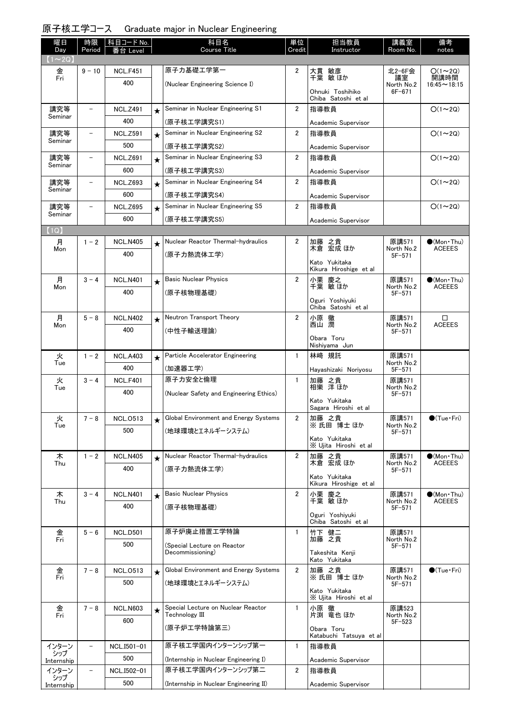### 原子核工学コース Graduate major in Nuclear Engineering

| 曜日<br>Day      | 時限<br>Period             | │科目コード No.      |            | 科目名<br><b>Course Title</b>                           | 単位<br>Credit   | 担当教員<br>Instructor                      | 講義室<br>Room No.     | 備考<br>notes                          |
|----------------|--------------------------|-----------------|------------|------------------------------------------------------|----------------|-----------------------------------------|---------------------|--------------------------------------|
| $(1\sim2Q)$    |                          | 番台 Level        |            |                                                      |                |                                         |                     |                                      |
| 金              | $9 - 10$                 | <b>NCL.F451</b> |            | 原子力基礎工学第一                                            | $\overline{2}$ | 大貫 敏彦<br>千葉 敏ほか                         | 北2-6F会              | $O(1\sim 2Q)$                        |
| Fri            |                          | 400             |            | (Nuclear Engineering Science I)                      |                |                                         | 議室<br>North No.2    | 開講時間<br>$16:45 \sim 18:15$           |
|                |                          |                 |            |                                                      |                | Ohnuki Toshihiko<br>Chiba Satoshi et al | $6F - 671$          |                                      |
| 講究等            | $\qquad \qquad -$        | <b>NCL.Z491</b> | $\star$    | Seminar in Nuclear Engineering S1                    | $\overline{2}$ | 指導教員                                    |                     | $O(1\sim 2Q)$                        |
| Seminar        |                          | 400             |            | (原子核工学講究S1)                                          |                | Academic Supervisor                     |                     |                                      |
| 講究等<br>Seminar | $\overline{\phantom{0}}$ | <b>NCL.Z591</b> | $\star$    | Seminar in Nuclear Engineering S2                    | $\overline{2}$ | 指導教員                                    |                     | $O(1\sim 2Q)$                        |
|                |                          | 500             |            | (原子核工学講究S2)                                          |                | Academic Supervisor                     |                     |                                      |
| 講究等<br>Seminar |                          | <b>NCL.Z691</b> | $\star$    | Seminar in Nuclear Engineering S3                    | $\overline{2}$ | 指導教員                                    |                     | $O(1\sim 2Q)$                        |
|                |                          | 600             |            | (原子核工学講究S3)                                          |                | Academic Supervisor                     |                     |                                      |
| 講究等<br>Seminar |                          | <b>NCL.Z693</b> | $\star$    | Seminar in Nuclear Engineering S4                    | $\overline{2}$ | 指導教員                                    |                     | $O(1\sim 2Q)$                        |
|                |                          | 600             |            | (原子核工学講究S4)                                          |                | Academic Supervisor                     |                     |                                      |
| 講究等<br>Seminar |                          | <b>NCL.Z695</b> | $\star$    | Seminar in Nuclear Engineering S5                    | $\overline{2}$ | 指導教員                                    |                     | $O(1\sim 2Q)$                        |
|                |                          | 600             |            | (原子核工学講究S5)                                          |                | Academic Supervisor                     |                     |                                      |
| (1Q)           |                          |                 |            | Nuclear Reactor Thermal-hydraulics                   |                |                                         |                     |                                      |
| 月<br>Mon       | $1 - 2$                  | <b>NCL.N405</b> | $\bigstar$ |                                                      | $\overline{2}$ | 加藤 之貴<br>木倉 宏成 ほか                       | 原講571<br>North No.2 | $\bullet$ (Mon Thu)<br><b>ACEEES</b> |
|                |                          | 400             |            | (原子力熱流体工学)                                           |                | Kato Yukitaka                           | $5F - 571$          |                                      |
|                |                          |                 |            |                                                      |                | Kikura Hiroshige et al                  |                     |                                      |
| 月<br>Mon       | $3 - 4$                  | <b>NCL.N401</b> | $\star$    | <b>Basic Nuclear Physics</b>                         | $\overline{2}$ | 小栗 慶之<br>千葉 敏ほか                         | 原講571<br>North No.2 | $(Mon\cdot Thu)$<br><b>ACEEES</b>    |
|                |                          | 400             |            | (原子核物理基礎)                                            |                | Oguri Yoshiyuki                         | $5F - 571$          |                                      |
|                |                          |                 |            |                                                      |                | Chiba Satoshi et al                     |                     |                                      |
| 月<br>Mon       | $5 - 8$                  | <b>NCL.N402</b> | $\star$    | Neutron Transport Theory                             | $\overline{2}$ | 小原 徹<br>西山 潤                            | 原講571<br>North No.2 | $\Box$<br><b>ACEEES</b>              |
|                |                          | 400             |            | (中性子輸送理論)                                            |                | Obara Toru                              | $5F - 571$          |                                      |
|                |                          |                 |            |                                                      |                | Nishiyama Jun                           |                     |                                      |
| 火<br>Tue       | $1 - 2$                  | <b>NCL.A403</b> | $\star$    | Particle Accelerator Engineering                     | $\mathbf{1}$   | 林崎 規託                                   | 原講571<br>North No.2 |                                      |
|                |                          | 400             |            | (加速器工学)                                              |                | Hayashizaki Noriyosu                    | $5F - 571$          |                                      |
| 火<br>Tue       | $3 - 4$                  | <b>NCL.F401</b> |            | 原子力安全と倫理                                             | $\mathbf{1}$   | 加藤 之貴<br> 相樂 洋ほか                        | 原講571<br>North No.2 |                                      |
|                |                          | 400             |            | (Nuclear Safety and Engineering Ethics)              |                | Kato Yukitaka                           | $5F - 571$          |                                      |
|                |                          |                 |            |                                                      |                | Sagara Hiroshi et al                    |                     |                                      |
| 火<br>Tue       | $7 - 8$                  | <b>NCL.0513</b> | $\star$    | Global Environment and Energy Systems                | 2              | 加藤 之貴<br>※氏田博士ほか                        | 原講571<br>North No.2 | $\bullet$ (Tue · Fri)                |
|                |                          | 500             |            | (地球環境とエネルギーシステム)                                     |                | Kato Yukitaka                           | $5F - 571$          |                                      |
|                |                          |                 |            |                                                      |                | X Ujita Hiroshi et al                   |                     |                                      |
| 木<br>Thu       | $1 - 2$                  | <b>NCL.N405</b> | $\star$    | Nuclear Reactor Thermal-hydraulics                   | 2              | 加藤 之貴<br>木倉 宏成 ほか                       | 原講571<br>North No.2 | $\bullet$ (Mon Thu)<br><b>ACEEES</b> |
|                |                          | 400             |            | (原子力熱流体工学)                                           |                | Kato Yukitaka                           | $5F-571$            |                                      |
|                |                          |                 |            |                                                      |                | Kikura Hiroshige et al                  |                     |                                      |
| 木<br>Thu       | $3 - 4$                  | <b>NCL.N401</b> | $\star$    | <b>Basic Nuclear Physics</b>                         | $\overline{2}$ | 小栗 慶之<br>千葉 敏ほか                         | 原講571<br>North No.2 | $\bullet$ (Mon Thu)<br><b>ACEEES</b> |
|                |                          | 400             |            | (原子核物理基礎)                                            |                | Oguri Yoshiyuki                         | $5F - 571$          |                                      |
|                |                          |                 |            |                                                      |                | Chiba Satoshi et al                     |                     |                                      |
| 金<br>Fri       | $5 - 6$                  | <b>NCL.D501</b> |            | 原子炉廃止措置工学特論                                          | $\mathbf{1}$   | 竹下 健二<br>加藤 之貴                          | 原講571<br>North No.2 |                                      |
|                |                          | 500             |            | (Special Lecture on Reactor<br>Decommissioning)      |                | Takeshita Kenji                         | $5F - 571$          |                                      |
|                |                          |                 |            |                                                      |                | Kato Yukitaka                           |                     |                                      |
| 金<br>Fri       | $7 - 8$                  | <b>NCL.0513</b> | $\star$    | Global Environment and Energy Systems                | $\overline{2}$ | 加藤 之貴<br>※氏田博士ほか                        | 原講571<br>North No.2 | $\bullet$ (Tue•Fri)                  |
|                |                          | 500             |            | (地球環境とエネルギーシステム)                                     |                | Kato Yukitaka                           | $5F - 571$          |                                      |
|                |                          |                 |            |                                                      |                | X Ujita Hiroshi et al                   |                     |                                      |
| 金<br>Fri       | $7 - 8$                  | <b>NCL.N603</b> | $\star$    | Special Lecture on Nuclear Reactor<br>Technology III | $\mathbf{1}$   | 小原 徹<br>片渕 竜也 ほか                        | 原講523<br>North No.2 |                                      |
|                |                          | 600             |            | (原子炉工学特論第三)                                          |                | Obara Toru                              | $5F - 523$          |                                      |
|                |                          |                 |            |                                                      |                | Katabuchi Tatsuya et al                 |                     |                                      |
| インターン<br>シップ   |                          | NCL.I501-01     |            | 原子核工学国内インターンシップ第一                                    | $\mathbf{1}$   | 指導教員                                    |                     |                                      |
| Internship     |                          | 500             |            | (Internship in Nuclear Engineering I)                |                | Academic Supervisor                     |                     |                                      |
| インターン<br>シップ   | $\qquad \qquad -$        | NCL.I502-01     |            | 原子核工学国内インターンシップ第二                                    | $\overline{2}$ | 指導教員                                    |                     |                                      |
| Internship     |                          | 500             |            | (Internship in Nuclear Engineering II)               |                | Academic Supervisor                     |                     |                                      |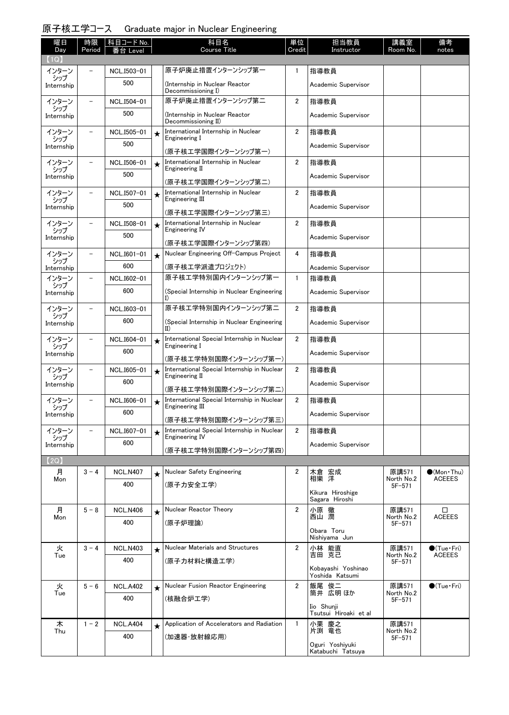## 原子核工学コース Graduate major in Nuclear Engineering

| 曜日<br>Day         | 時限<br>Period             | 科目コード No.<br>Level |         | 科目名<br><b>Course Title</b>                                           | 単位<br>Credit   | 担当教員<br>Instructor                   | 講義室<br>Room No.          | 備考<br>notes                          |
|-------------------|--------------------------|--------------------|---------|----------------------------------------------------------------------|----------------|--------------------------------------|--------------------------|--------------------------------------|
| $\mathsf{1Q}$     |                          |                    |         |                                                                      |                |                                      |                          |                                      |
| インターン<br>シップ      |                          | NCL.I503-01        |         | 原子炉廃止措置インターンシップ第一                                                    | 1              | 指導教員                                 |                          |                                      |
| Internship        |                          | 500                |         | (Internship in Nuclear Reactor<br>Decommissioning I)                 |                | Academic Supervisor                  |                          |                                      |
| インターン<br>シップ      |                          | NCL.I504-01        |         | 原子炉廃止措置インターンシップ第二                                                    | $\overline{2}$ | 指導教員                                 |                          |                                      |
| Internship        |                          | 500                |         | (Internship in Nuclear Reactor<br>Decommissioning II)                |                | Academic Supervisor                  |                          |                                      |
| インターン<br>シップ      |                          | NCL.I505-01        | $\star$ | International Internship in Nuclear<br>Engineering I                 | $\overline{2}$ | 指導教員                                 |                          |                                      |
| Internship        |                          | 500                |         | (原子核工学国際インターンシップ第一)                                                  |                | Academic Supervisor                  |                          |                                      |
| インターン             |                          | NCL.I506-01        | $\star$ | International Internship in Nuclear<br>Engineering II                | $\overline{2}$ | 指導教員                                 |                          |                                      |
| シップ<br>Internship |                          | 500                |         | (原子核工学国際インターンシップ第二)                                                  |                | Academic Supervisor                  |                          |                                      |
| インターン             |                          | NCL.I507-01        | $\star$ | International Internship in Nuclear                                  | $\overline{2}$ | 指導教員                                 |                          |                                      |
| シップ<br>Internship |                          | 500                |         | Engineering III                                                      |                | Academic Supervisor                  |                          |                                      |
|                   |                          | NCL.I508-01        |         | (原子核工学国際インターンシップ第三)<br>International Internship in Nuclear           | $\overline{2}$ | 指導教員                                 |                          |                                      |
| インターン<br>シップ      |                          | 500                | $\star$ | Engineering IV                                                       |                |                                      |                          |                                      |
| Internship        |                          |                    |         | (原子核工学国際インターンシップ第四)                                                  |                | Academic Supervisor                  |                          |                                      |
| インターン<br>シップ      |                          | NCL.I601-01        | $\star$ | Nuclear Engineering Off-Campus Project                               | 4              | 指導教員                                 |                          |                                      |
| Internship        |                          | 600                |         | (原子核エ学派遣プロジェクト)                                                      |                | Academic Supervisor                  |                          |                                      |
| インターン<br>シップ      | $\overline{\phantom{0}}$ | NCL.I602-01        |         | 原子核工学特別国内インターンシップ第一                                                  | $\mathbf{1}$   | 指導教員                                 |                          |                                      |
| Internship        |                          | 600                |         | (Special Internship in Nuclear Engineering<br>I)                     |                | Academic Supervisor                  |                          |                                      |
| インターン<br>シップ      | $\equiv$                 | NCL.I603-01        |         | 原子核工学特別国内インターンシップ第二                                                  | $\overline{2}$ | 指導教員                                 |                          |                                      |
| Internship        |                          | 600                |         | (Special Internship in Nuclear Engineering<br>$_{\rm II}$            |                | Academic Supervisor                  |                          |                                      |
| インターン<br>シップ      |                          | NCL.I604-01        | $\star$ | International Special Internship in Nuclear<br>Engineering I         | $\overline{2}$ | 指導教員                                 |                          |                                      |
| Internship        |                          | 600                |         | (原子核工学特別国際インターンシップ第一)                                                |                | Academic Supervisor                  |                          |                                      |
| インターン<br>シップ      |                          | NCL.I605-01        | $\star$ | International Special Internship in Nuclear<br>Engineering II        | $\overline{2}$ | 指導教員                                 |                          |                                      |
| Internship        |                          | 600                |         | (原子核エ学特別国際インターンシップ第二)                                                |                | Academic Supervisor                  |                          |                                      |
| インターン             |                          | NCL.I606-01        | $\star$ | International Special Internship in Nuclear                          | $\overline{2}$ | 指導教員                                 |                          |                                      |
| シップ<br>Internship |                          | 600                |         | Engineering III                                                      |                | Academic Supervisor                  |                          |                                      |
| インターン             |                          | NCL.I607-01        |         | (原子核エ学特別国際インターンシップ第三)<br>International Special Internship in Nuclear | $\overline{2}$ | 指導教員                                 |                          |                                      |
| シップ               |                          | 600                | $\star$ | Engineering IV                                                       |                | Academic Supervisor                  |                          |                                      |
| Internship        |                          |                    |         | (原子核工学特別国際インターンシップ第四)                                                |                |                                      |                          |                                      |
| 【2Q】              |                          |                    |         |                                                                      |                |                                      |                          |                                      |
| 月<br>Mon          | $3 - 4$                  | <b>NCL.N407</b>    | $\star$ | Nuclear Safety Engineering                                           | $\overline{2}$ | 木倉 宏成<br>相樂 洋                        | 原講571<br>North No.2      | $(Mon\cdot Thu)$<br><b>ACEEES</b>    |
|                   |                          | 400                |         | (原子力安全工学)                                                            |                | Kikura Hiroshige<br>Sagara Hiroshi   | $5F - 571$               |                                      |
| 月                 | $5 - 8$                  | <b>NCL.N406</b>    | $\star$ | Nuclear Reactor Theory                                               | $\overline{2}$ | 小原 徹                                 | 原講571                    | □                                    |
| Mon               |                          | 400                |         | (原子炉理論)                                                              |                | 西山 潤                                 | North No.2<br>$5F - 571$ | <b>ACEEES</b>                        |
|                   |                          |                    |         |                                                                      |                | Obara Toru<br>Nishiyama Jun          |                          |                                      |
| 火<br>Tue          | $3 - 4$                  | <b>NCL.N403</b>    | $\star$ | <b>Nuclear Materials and Structures</b>                              | $\overline{2}$ | 小林 能直<br>吉田 克己                       | 原講571<br>North No.2      | $\bullet$ (Tue•Fri)<br><b>ACEEES</b> |
|                   |                          | 400                |         | (原子力材料と構造工学)                                                         |                | Kobayashi Yoshinao                   | $5F - 571$               |                                      |
|                   |                          |                    |         |                                                                      |                | Yoshida Katsumi                      |                          |                                      |
| 火<br>Tue          | $5 - 6$                  | <b>NCL.A402</b>    | $\star$ | Nuclear Fusion Reactor Engineering                                   | $\overline{2}$ | 飯尾 俊二<br>筒井 広明ほか                     | 原講571<br>North No.2      | $\bullet$ (Tue · Fri)                |
|                   |                          | 400                |         | (核融合炉工学)                                                             |                | Iio Shunji                           | $5F - 571$               |                                      |
| 木                 | $1 - 2$                  | <b>NCL.A404</b>    |         | Application of Accelerators and Radiation                            | $\mathbf{1}$   | Tsutsui Hiroaki et al<br>小栗 慶之       | 原講571                    |                                      |
| Thu               |                          | 400                |         | (加速器·放射線応用)                                                          |                | 片渕 竜也                                | North No.2<br>$5F - 571$ |                                      |
|                   |                          |                    |         |                                                                      |                | Oguri Yoshiyuki<br>Katabuchi Tatsuya |                          |                                      |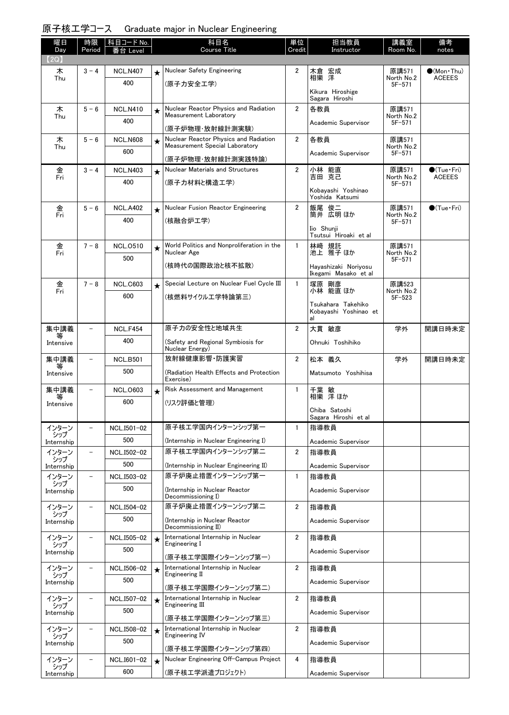| 原子核工学コース Graduate major in Nuclear Engineering |  |
|------------------------------------------------|--|
|                                                |  |

| 曜日                | 時限                       | 科目コード No.       |         | 科目名                                                             | 単位             | 担当教員                                         | 講義室                      | 備考                          |
|-------------------|--------------------------|-----------------|---------|-----------------------------------------------------------------|----------------|----------------------------------------------|--------------------------|-----------------------------|
| Day<br>(2Q)       | Period                   | ≸台 Level        |         | <b>Course Title</b>                                             | Credit         | Instructor                                   | Room No.                 | notes                       |
| 木                 | $3 - 4$                  | <b>NCL.N407</b> | $\star$ | Nuclear Safety Engineering                                      | 2              | 木倉 宏成<br>相樂 洋                                | 原講571                    | $\bullet$ (Mon · Thu)       |
| Thu               |                          | 400             |         | (原子力安全工学)                                                       |                |                                              | North No.2<br>$5F - 571$ | <b>ACEEES</b>               |
|                   |                          |                 |         |                                                                 |                | Kikura Hiroshige<br>Sagara Hiroshi           |                          |                             |
| 木<br>Thu          | $5 - 6$                  | <b>NCL.N410</b> | $\star$ | Nuclear Reactor Physics and Radiation<br>Measurement Laboratory | $\overline{2}$ | 各教員                                          | 原講571<br>North No.2      |                             |
|                   |                          | 400             |         | (原子炉物理·放射線計測実験)                                                 |                | Academic Supervisor                          | $5F - 571$               |                             |
| 木                 | $5 - 6$                  | <b>NCL.N608</b> | $\star$ | Nuclear Reactor Physics and Radiation                           | $\overline{2}$ | 各教員                                          | 原講571                    |                             |
| Thu               |                          | 600             |         | Measurement Special Laboratory                                  |                | Academic Supervisor                          | North No.2<br>$5F - 571$ |                             |
| 金                 | $3 - 4$                  | <b>NCL.N403</b> |         | (原子炉物理·放射線計測実践特論)<br>Nuclear Materials and Structures           | $\overline{2}$ | 小林 能直                                        | 原講571                    | $\bullet$ (Tue•Fri)         |
| Fri               |                          | 400             | $\star$ | (原子力材料と構造工学)                                                    |                | 吉田 克己                                        | North No.2<br>$5F - 571$ | <b>ACEEES</b>               |
|                   |                          |                 |         |                                                                 |                | Kobayashi Yoshinao<br>Yoshida Katsumi        |                          |                             |
| 金                 | $5 - 6$                  | <b>NCL.A402</b> | $\star$ | Nuclear Fusion Reactor Engineering                              | $\overline{2}$ | 飯尾 俊二                                        | 原講571                    | $\bullet$ (Tue $\cdot$ Fri) |
| Fri               |                          | 400             |         | (核融合炉工学)                                                        |                | 筒井 広明 ほか                                     | North No.2<br>$5F - 571$ |                             |
|                   |                          |                 |         |                                                                 |                | Iio Shunii<br>Tsutsui Hiroaki et al          |                          |                             |
| 金                 | $7 - 8$                  | <b>NCL.0510</b> | $\star$ | World Politics and Nonproliferation in the                      | $\mathbf{1}$   | 林﨑 規託<br>池上 雅子ほか                             | 原講571                    |                             |
| Fri               |                          | 500             |         | Nuclear Age                                                     |                |                                              | North No.2<br>$5F - 571$ |                             |
|                   |                          |                 |         | (核時代の国際政治と核不拡散)                                                 |                | Hayashizaki Noriyosu<br>Ikegami Masako et al |                          |                             |
| 金<br>Fri          | $7 - 8$                  | <b>NCL.C603</b> | $\star$ | Special Lecture on Nuclear Fuel Cycle III                       | $\mathbf{1}$   | 塚原 剛彦<br>小林 能直 ほか                            | 原講523<br>North No.2      |                             |
|                   |                          | 600             |         | (核燃料サイクルエ学特論第三)                                                 |                | Tsukahara Takehiko                           | $5F - 523$               |                             |
|                   |                          |                 |         |                                                                 |                | Kobavashi Yoshinao et<br>al                  |                          |                             |
| 集中講義              | $\overline{\phantom{0}}$ | <b>NCL.F454</b> |         | 原子力の安全性と地域共生                                                    | $\overline{2}$ | 大貫 敏彦                                        | 学外                       | 開講日時未定                      |
| 等<br>Intensive    |                          | 400             |         | (Safety and Regional Symbiosis for                              |                | Ohnuki Toshihiko                             |                          |                             |
| 集中講義              | $\overline{\phantom{0}}$ | <b>NCL.B501</b> |         | Nuclear Energy)<br>放射線健康影響 防護実習                                 | $\overline{2}$ | 松本 義久                                        | 学外                       | 開講日時未定                      |
| 等<br>Intensive    |                          | 500             |         | (Radiation Health Effects and Protection                        |                | Matsumoto Yoshihisa                          |                          |                             |
|                   |                          |                 |         | Exercise)                                                       |                |                                              |                          |                             |
| 集中講義<br>等         | $\qquad \qquad -$        | <b>NCL.0603</b> | $\star$ | Risk Assessment and Management                                  | $\mathbf{1}$   | 千葉 敏<br>相樂 洋ほか                               |                          |                             |
| Intensive         |                          | 600             |         | (リスク評価と管理)                                                      |                | Chiba Satoshi                                |                          |                             |
| インターン             |                          | NCL.I501-02     |         | 原子核工学国内インターンシップ第一                                               | 1              | Sagara Hiroshi et al<br>指導教員                 |                          |                             |
| シップ<br>Internship |                          | 500             |         | (Internship in Nuclear Engineering I)                           |                | Academic Supervisor                          |                          |                             |
| インターン             |                          | NCL.I502-02     |         | 原子核工学国内インターンシップ第二                                               | $\overline{2}$ | 指導教員                                         |                          |                             |
| シップ<br>Internship |                          | 500             |         | (Internship in Nuclear Engineering II)                          |                | Academic Supervisor                          |                          |                             |
| インターン             | $\overline{\phantom{0}}$ | NCL.I503-02     |         | 原子炉廃止措置インターンシップ第一                                               | $\mathbf{1}$   | 指導教員                                         |                          |                             |
| シップ<br>Internship |                          | 500             |         | (Internship in Nuclear Reactor                                  |                | Academic Supervisor                          |                          |                             |
| インターン             | $\qquad \qquad -$        | NCL.I504-02     |         | Decommissioning I)<br>原子炉廃止措置インターンシップ第二                         | $\overline{2}$ | 指導教員                                         |                          |                             |
| シップ<br>Internship |                          | 500             |         | (Internship in Nuclear Reactor                                  |                | Academic Supervisor                          |                          |                             |
| インターン             |                          | NCL.I505-02     |         | Decommissioning II)<br>International Internship in Nuclear      | $\overline{2}$ | 指導教員                                         |                          |                             |
| シップ               |                          | 500             | $\star$ | Engineering I                                                   |                |                                              |                          |                             |
| Internship        |                          |                 |         | (原子核工学国際インターンシップ第一)                                             |                | Academic Supervisor                          |                          |                             |
| インターン<br>シップ      |                          | NCL.I506-02     | $\star$ | International Internship in Nuclear<br>Engineering II           | $\overline{2}$ | 指導教員                                         |                          |                             |
| Internship        |                          | 500             |         | (原子核工学国際インターンシップ第二)                                             |                | Academic Supervisor                          |                          |                             |
| インターン<br>シップ      |                          | NCL.I507-02     | $\star$ | International Internship in Nuclear<br>Engineering III          | $\overline{2}$ | 指導教員                                         |                          |                             |
| Internship        |                          | 500             |         | (原子核工学国際インターンシップ第三)                                             |                | Academic Supervisor                          |                          |                             |
| インターン             |                          | NCL.I508-02     | $\star$ | International Internship in Nuclear                             | $\overline{2}$ | 指導教員                                         |                          |                             |
| シップ<br>Internship |                          | 500             |         | Engineering IV                                                  |                | Academic Supervisor                          |                          |                             |
| インターン             | $\overline{\phantom{0}}$ | NCL.I601-02     | $\star$ | (原子核工学国際インターンシップ第四)<br>Nuclear Engineering Off-Campus Project   | 4              | 指導教員                                         |                          |                             |
| シップ<br>Internship |                          | 600             |         | (原子核エ学派遣プロジェクト)                                                 |                | Academic Supervisor                          |                          |                             |
|                   |                          |                 |         |                                                                 |                |                                              |                          |                             |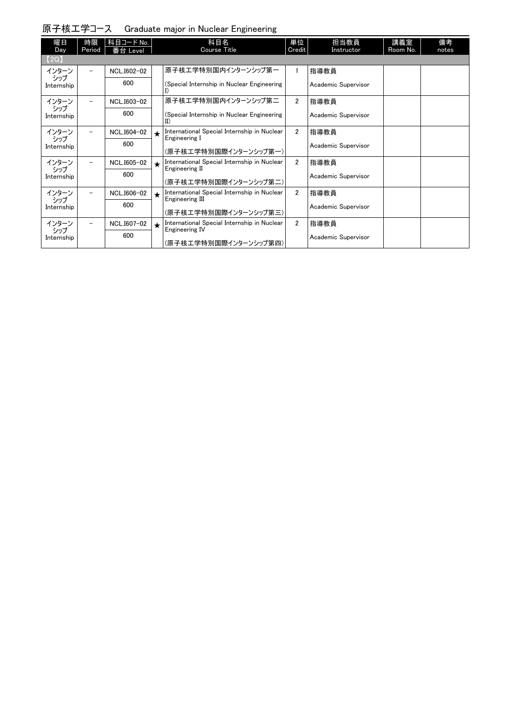|  | 原子核工学コース Graduate major in Nuclear Engineering |  |  |
|--|------------------------------------------------|--|--|
|--|------------------------------------------------|--|--|

| 曜日                | 時限                       | 科目コード No.   |         | 科目名                                                            | 単位             | 担当教員                | 講義室      | 備考    |
|-------------------|--------------------------|-------------|---------|----------------------------------------------------------------|----------------|---------------------|----------|-------|
| Day               | Period                   | 番台 Level    |         | <b>Course Title</b>                                            | Credit         | Instructor          | Room No. | notes |
| [2Q]              |                          |             |         |                                                                |                |                     |          |       |
| インターン             |                          | NCL.I602-02 |         | 原子核エ学特別国内インターンシップ第一                                            |                | 指導教員                |          |       |
| シップ<br>Internship |                          | 600         |         | (Special Internship in Nuclear Engineering<br>I)               |                | Academic Supervisor |          |       |
| インターン             |                          | NCL.I603-02 |         | 原子核エ学特別国内インターンシップ第二                                            | $\overline{2}$ | 指導教員                |          |       |
| シップ<br>Internship |                          | 600         |         | (Special Internship in Nuclear Engineering<br>$\text{II}$      |                | Academic Supervisor |          |       |
| インターン             |                          | NCL.I604-02 |         | International Special Internship in Nuclear                    | $\overline{2}$ | 指導教員                |          |       |
| シップ<br>Internship |                          | 600         |         | Engineering I<br>(原子核工学特別国際インターンシップ第一)                         |                | Academic Supervisor |          |       |
| インターン             |                          | NCL.I605-02 | $\star$ | International Special Internship in Nuclear                    | $\overline{2}$ | 指導教員                |          |       |
| シップ<br>Internship |                          | 600         |         | Engineering II<br>(原子核工学特別国際インターンシップ第二)                        |                | Academic Supervisor |          |       |
| インターン             | $\overline{\phantom{0}}$ | NCL.I606-02 |         | International Special Internship in Nuclear<br>Engineering III | $\overline{2}$ | 指導教員                |          |       |
| シップ<br>Internship |                          | 600         |         | (原子核工学特別国際インターンシップ第三)                                          |                | Academic Supervisor |          |       |
| インターン             |                          | NCL.I607-02 | $\star$ | International Special Internship in Nuclear<br>Engineering IV  | $\overline{2}$ | 指導教員                |          |       |
| シップ<br>Internship |                          | 600         |         | (原子核工学特別国際インターンシップ第四)                                          |                | Academic Supervisor |          |       |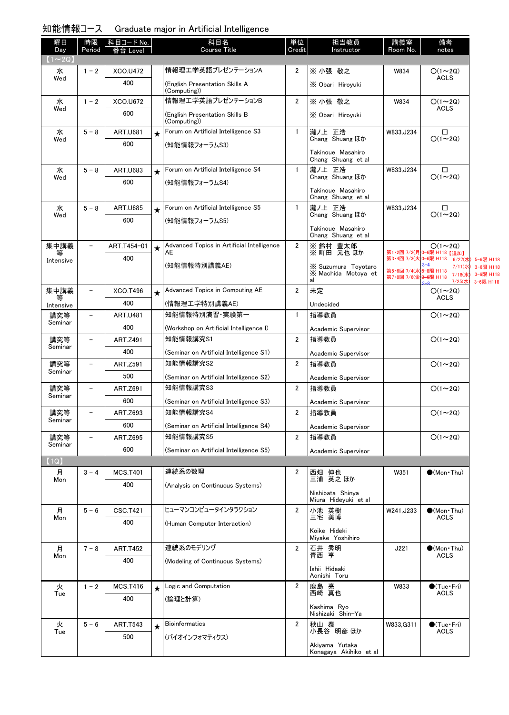#### 知能情報コース Graduate major in Artificial Intelligence

| 曜日<br>Day      | 時限<br>Period             | │科目コード No.<br>番台 Level |         | 科目名<br><b>Course Title</b>                       | 単位<br>Credit   | 担当教員<br>Instructor                               | 講義室<br>Room No.                                | 備考<br>notes                                        |                                     |
|----------------|--------------------------|------------------------|---------|--------------------------------------------------|----------------|--------------------------------------------------|------------------------------------------------|----------------------------------------------------|-------------------------------------|
| $1 \sim 2Q$    |                          |                        |         |                                                  |                |                                                  |                                                |                                                    |                                     |
| 水<br>Wed       | $1 - 2$                  | XCO.U472               |         | 情報理工学英語プレゼンテーションA                                | 2              | ※ 小張 敬之                                          | W834                                           | $O(1\sim 2Q)$<br><b>ACLS</b>                       |                                     |
|                |                          | 400                    |         | (English Presentation Skills A<br>(Computing))   |                | X Obari Hirovuki                                 |                                                |                                                    |                                     |
| 水              | $1 - 2$                  | XCO.U672               |         | 情報理工学英語プレゼンテーションB                                | $\overline{2}$ | ※ 小張 敬之                                          | W834                                           | $O(1\sim 2Q)$<br><b>ACLS</b>                       |                                     |
| Wed            |                          | 600                    |         | (English Presentation Skills B<br>(Computing))   |                | X Obari Hiroyuki                                 |                                                |                                                    |                                     |
| 水              | $5 - 8$                  | <b>ART.U681</b>        | $\star$ | Forum on Artificial Intelligence S3              | $\mathbf{1}$   | 瀧ノ上 正浩                                           | W833, J234                                     | □                                                  |                                     |
| Wed            |                          | 600                    |         | (知能情報フォーラムS3)                                    |                | Chang Shuang ほか                                  |                                                | $O(1\sim 2Q)$                                      |                                     |
|                |                          |                        |         |                                                  |                | Takinoue Masahiro<br>Chang Shuang et al          |                                                |                                                    |                                     |
| 水<br>Wed       | $5 - 8$                  | <b>ART.U683</b>        | $\star$ | Forum on Artificial Intelligence S4              | $\mathbf{1}$   | 瀧ノ上 正浩<br>Chang Shuang ほか                        | W833, J234                                     | $\Box$<br>$O(1\sim 2Q)$                            |                                     |
|                |                          | 600                    |         | (知能情報フォーラムS4)                                    |                |                                                  |                                                |                                                    |                                     |
|                |                          |                        |         |                                                  |                | Takinoue Masahiro<br>Chang Shuang et al          |                                                |                                                    |                                     |
| 水              | $5 - 8$                  | <b>ART.U685</b>        | $\star$ | Forum on Artificial Intelligence S5              | $\mathbf{1}$   | 瀧ノ上 正浩                                           | W833, J234                                     | □                                                  |                                     |
| Wed            |                          | 600                    |         | (知能情報フォーラムS5)                                    |                | Chang Shuang ほか                                  |                                                | $O(1\sim 2Q)$                                      |                                     |
|                |                          |                        |         |                                                  |                | Takinoue Masahiro<br>Chang Shuang et al          |                                                |                                                    |                                     |
| 集中講義<br>等      | $\overline{\phantom{0}}$ | ART.T454-01            | $\star$ | Advanced Topics in Artificial Intelligence<br>AE | $\overline{2}$ | ※ 鈴村 豊太郎<br>※町田 元也ほか                             |                                                | $O(1\sim 2Q)$<br>第1·2回 7/2(月)3-6限 H118 【追加】        |                                     |
| Intensive      |                          | 400                    |         | (知能情報特別講義AE)                                     |                |                                                  |                                                | 第3·4回 7/3(火)3-6限 H118 6/27(水) 5-6限 H118<br>$3 - 4$ |                                     |
|                |                          |                        |         |                                                  |                | X Suzumura Toyotaro<br>X Machida Motoya et<br>al | 第5·6回 7/4(水)5-8限 H118<br>第7·8回 7/6(金)3-6限 H118 | 7/11(水)<br>7/18(水<br>7/25(水                        | 3-6限 H118<br>3-6限 H118<br>3-6限 H118 |
| 集中講義           | -                        | XCO.T496               |         | Advanced Topics in Computing AE                  | 2              | 未定                                               |                                                | $O(1\sim 2Q)$                                      |                                     |
| 等<br>Intensive |                          | 400                    |         | (情報理工学特別講義AE)                                    |                | Undecided                                        |                                                | <b>ACLS</b>                                        |                                     |
| 講究等            | $\overline{\phantom{0}}$ | <b>ART.U481</b>        |         | 知能情報特別演習 実験第一                                    | $\mathbf{1}$   | 指導教員                                             |                                                | $O(1\sim 2Q)$                                      |                                     |
| Seminar        |                          | 400                    |         | (Workshop on Artificial Intelligence I)          |                | Academic Supervisor                              |                                                |                                                    |                                     |
| 講究等            | $\overline{\phantom{0}}$ | ART.Z491               |         | 知能情報講究S1                                         | $\overline{2}$ | 指導教員                                             |                                                | $O(1\sim 2Q)$                                      |                                     |
| Seminar        |                          | 400                    |         | (Seminar on Artificial Intelligence S1)          |                | Academic Supervisor                              |                                                |                                                    |                                     |
| 講究等            | $\overline{\phantom{0}}$ | <b>ART.Z591</b>        |         | 知能情報講究S2                                         | $\overline{2}$ | 指導教員                                             |                                                | $O(1\sim 2Q)$                                      |                                     |
| Seminar        |                          | 500                    |         | (Seminar on Artificial Intelligence S2)          |                | Academic Supervisor                              |                                                |                                                    |                                     |
| 講究等            | -                        | ART.Z691               |         | 知能情報講究S3                                         | $\overline{2}$ | 指導教員                                             |                                                | $O(1\sim 2Q)$                                      |                                     |
| Seminar        |                          | 600                    |         | (Seminar on Artificial Intelligence S3)          |                | Academic Supervisor                              |                                                |                                                    |                                     |
| 講究等            |                          | ART.Z693               |         | 知能情報講究S4                                         | 2              | 指導教員                                             |                                                | $O(1 \sim 2Q)$                                     |                                     |
| Seminar        |                          | 600                    |         | (Seminar on Artificial Intelligence S4)          |                | Academic Supervisor                              |                                                |                                                    |                                     |
| 講究等            |                          | <b>ART.Z695</b>        |         | 知能情報講究S5                                         | $\overline{2}$ | 指導教員                                             |                                                | $O(1\sim 2Q)$                                      |                                     |
| Seminar        |                          | 600                    |         | (Seminar on Artificial Intelligence S5)          |                | Academic Supervisor                              |                                                |                                                    |                                     |
| (1Q)           |                          |                        |         |                                                  |                |                                                  |                                                |                                                    |                                     |
| 月              | $3 - 4$                  | <b>MCS.T401</b>        |         | 連続系の数理                                           | $\overline{2}$ | 西畑 伸也<br>三浦 英之ほか                                 | W351                                           | $\bullet$ (Mon $\cdot$ Thu)                        |                                     |
| Mon            |                          | 400                    |         | (Analysis on Continuous Systems)                 |                |                                                  |                                                |                                                    |                                     |
|                |                          |                        |         |                                                  |                | Nishibata Shinya<br>Miura Hideyuki et al         |                                                |                                                    |                                     |
| 月              | $5 - 6$                  | <b>CSC.T421</b>        |         | ヒューマンコンピュータインタラクション                              | $\overline{2}$ | 小池 英樹                                            | W241, J233                                     | $\bullet$ (Mon Thu)                                |                                     |
| Mon            |                          | 400                    |         | (Human Computer Interaction)                     |                | 三宅 美博                                            |                                                | <b>ACLS</b>                                        |                                     |
|                |                          |                        |         |                                                  |                | Koike Hideki<br>Miyake Yoshihiro                 |                                                |                                                    |                                     |
| 月<br>Mon       | $7 - 8$                  | <b>ART.T452</b>        |         | 連続系のモデリング                                        | 2              | 石井 秀明<br>青西 亨                                    | J221                                           | $\bullet$ (Mon Thu)<br><b>ACLS</b>                 |                                     |
|                |                          | 400                    |         | (Modeling of Continuous Systems)                 |                |                                                  |                                                |                                                    |                                     |
|                |                          |                        |         |                                                  |                | Ishii Hideaki<br>Aonishi Toru                    |                                                |                                                    |                                     |
| 火              | $1 - 2$                  | <b>MCS.T416</b>        |         | Logic and Computation                            | 2              | 鹿島 亮                                             | W833                                           | $\bullet$ (Tue · Fri)                              |                                     |
| Tue            |                          | 400                    |         | (論理と計算)                                          |                | 西崎 真也                                            |                                                | <b>ACLS</b>                                        |                                     |
|                |                          |                        |         |                                                  |                | Kashima Ryo<br>Nishizaki Shin-Ya                 |                                                |                                                    |                                     |
| 火<br>Tue       | $5 - 6$                  | <b>ART.T543</b>        | $\star$ | <b>Bioinformatics</b>                            | $\overline{2}$ | 秋山 泰<br>小長谷 明彦 ほか                                | W833, G311                                     | $\bullet$ (Tue · Fri)<br><b>ACLS</b>               |                                     |
|                |                          | 500                    |         | (バイオインフォマティクス)                                   |                |                                                  |                                                |                                                    |                                     |
|                |                          |                        |         |                                                  |                | Akiyama Yutaka<br>Konagaya Akihiko et al         |                                                |                                                    |                                     |

3-6限 H118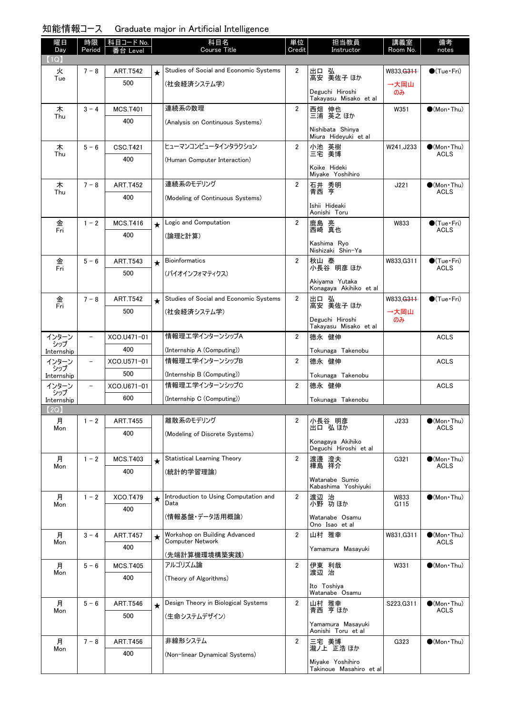| 知能情報コース | Graduate major in Artificial Intelligence |
|---------|-------------------------------------------|
|---------|-------------------------------------------|

| 曜日           | 時限                       | 科目コード No.       |         | 科目名                                                      | 単位             | 担当教員                                        | 講義室          | 備考                                   |
|--------------|--------------------------|-----------------|---------|----------------------------------------------------------|----------------|---------------------------------------------|--------------|--------------------------------------|
| Day<br>(1Q)  | Period                   | Level           |         | Course Title                                             | Credit         | Instructor                                  | Room No.     | notes                                |
| 火            | $7 - 8$                  | <b>ART.T542</b> |         | Studies of Social and Economic Systems                   | 2              |                                             | W833, G311   | $\bigcirc$ (Tue · Fri)               |
| Tue          |                          | 500             | $\star$ | (社会経済システム学)                                              |                | 出口 弘<br>高安 美佐子 ほか                           |              |                                      |
|              |                          |                 |         |                                                          |                | Deguchi Hiroshi<br>Takayasu Misako et al    | →大岡山<br>のみ   |                                      |
| 木            | $3 - 4$                  | <b>MCS.T401</b> |         | 連続系の数理                                                   | $\overline{2}$ | 西畑 伸也<br>三浦 英之 ほか                           | W351         | $\bullet$ (Mon $\cdot$ Thu)          |
| Thu          |                          | 400             |         | (Analysis on Continuous Systems)                         |                | Nishibata Shinya<br>Miura Hideyuki et al    |              |                                      |
| 木            | $5 - 6$                  | <b>CSC.T421</b> |         | ヒューマンコンピュータインタラクション                                      | $\overline{2}$ |                                             | W241, J233   | $\bigcirc$ (Mon Thu)                 |
| Thu          |                          | 400             |         | (Human Computer Interaction)                             |                | 小池 英樹<br>三宅 美博                              |              | ACLS                                 |
|              |                          |                 |         |                                                          |                | Koike Hideki<br>Miyake Yoshihiro            |              |                                      |
| 木            | $7 - 8$                  | <b>ART.T452</b> |         | 連続系のモデリング                                                | $\overline{2}$ | 石井 秀明<br>青西 亨                               | J221         | $\bigcirc$ (Mon Thu)<br><b>ACLS</b>  |
| Thu          |                          | 400             |         | (Modeling of Continuous Systems)                         |                |                                             |              |                                      |
|              |                          |                 |         |                                                          |                | Ishii Hideaki<br>Aonishi Toru               |              |                                      |
| 金            | $1 - 2$                  | <b>MCS.T416</b> | $\star$ | Logic and Computation                                    | $\overline{2}$ | 鹿島 亮<br>西崎 真也                               | W833         | $\bullet$ (Tue•Fri)                  |
| Fri          |                          | 400             |         | (論理と計算)                                                  |                |                                             |              | <b>ACLS</b>                          |
|              |                          |                 |         |                                                          |                | Kashima Rvo<br>Nishizaki Shin-Ya            |              |                                      |
| 金<br>Fri     | $5 - 6$                  | <b>ART.T543</b> | $\star$ | <b>Bioinformatics</b>                                    | $\overline{2}$ | 秋山 泰<br>小長谷 明彦 ほか                           | W833, G311   | $\bullet$ (Tue•Fri)<br><b>ACLS</b>   |
|              |                          | 500             |         | (バイオインフォマティクス)                                           |                | Akiyama Yutaka                              |              |                                      |
|              |                          |                 |         |                                                          |                | Konagaya Akihiko et al                      |              |                                      |
| 金<br>Fri     | $7 - 8$                  | <b>ART.T542</b> | $\star$ | <b>Studies of Social and Economic Systems</b>            | $\overline{2}$ | 出口 弘<br>高安 美佐子 ほか                           | W833, G311   | $\bigcirc$ (Tue · Fri)               |
|              |                          | 500             |         | (社会経済システム学)                                              |                | Deguchi Hiroshi                             | →大岡山<br>のみ   |                                      |
|              |                          |                 |         |                                                          |                | Takayasu Misako et al                       |              |                                      |
| インターン<br>シップ | $\overline{\phantom{m}}$ | XCO.U471-01     |         | 情報理エ学インターンシップA                                           | $\overline{2}$ | 德永 健伸                                       |              | <b>ACLS</b>                          |
| Internship   |                          | 400             |         | (Internship A (Computing))                               |                | Tokunaga Takenobu                           |              |                                      |
| インターン<br>シップ |                          | XCO.U571-01     |         | 情報理エ学インターンシップB                                           | 2              | 德永 健伸                                       |              | <b>ACLS</b>                          |
| Internship   |                          | 500             |         | (Internship B (Computing))                               |                | Tokunaga Takenobu                           |              |                                      |
| インターン<br>シップ | $\overline{\phantom{0}}$ | XCO.U671-01     |         | 情報理工学インターンシップC                                           | $\mathbf{2}$   | 德永 健伸                                       |              | <b>ACLS</b>                          |
| Internship   |                          | 600             |         | (Internship C (Computing))                               |                | Tokunaga Takenobu                           |              |                                      |
| (2Q)         |                          |                 |         | 離散系のモデリング                                                |                |                                             |              |                                      |
| 月<br>Mon     | $1 - 2$                  | <b>ART.T455</b> |         |                                                          | 2              | 小長谷 明彦<br>出口 弘 ほか                           | J233         | $\bullet$ (Mon · Thu)<br><b>ACLS</b> |
|              |                          | 400             |         | (Modeling of Discrete Systems)                           |                | Konagaya Akihiko                            |              |                                      |
|              |                          |                 |         |                                                          |                | Deguchi Hiroshi et al                       |              |                                      |
| 月<br>Mon     | $1 - 2$                  | <b>MCS.T403</b> | $\star$ | <b>Statistical Learning Theory</b>                       | $\overline{2}$ | 渡邊 澄夫<br>樺島 祥介                              | G321         | $(Mon\cdot Thu)$<br><b>ACLS</b>      |
|              |                          | 400             |         | (統計的学習理論)                                                |                | Watanabe Sumio                              |              |                                      |
|              |                          |                 |         |                                                          |                | Kabashima Yoshiyuki                         |              |                                      |
| 月<br>Mon     | $1 - 2$                  | XCO.T479        | $\star$ | Introduction to Using Computation and<br>Data            | $\overline{2}$ | 渡辺 治<br>小野 功ほか                              | W833<br>G115 | $(Mon\cdot Thu)$                     |
|              |                          | 400             |         | (情報基盤・データ活用概論)                                           |                | Watanabe Osamu                              |              |                                      |
|              |                          |                 |         |                                                          |                | Ono Isao et al                              |              |                                      |
| 月<br>Mon     | $3 - 4$                  | <b>ART.T457</b> | ★       | Workshop on Building Advanced<br><b>Computer Network</b> | $\overline{2}$ | 山村 雅幸                                       | W831, G311   | $\bullet$ (Mon·Thu)<br><b>ACLS</b>   |
|              |                          | 400             |         | (先端計算機環境構築実践)                                            |                | Yamamura Masayuki                           |              |                                      |
| 月            | $5 - 6$                  | <b>MCS.T405</b> |         | アルゴリズム論                                                  | $\overline{2}$ | 伊東 利哉                                       | W331         | $\bullet$ (Mon Thu)                  |
| Mon          |                          | 400             |         | (Theory of Algorithms)                                   |                | 渡辺 治                                        |              |                                      |
|              |                          |                 |         |                                                          |                | Ito Toshiya<br>Watanabe Osamu               |              |                                      |
| 月            | $5 - 6$                  | <b>ART.T546</b> | $\star$ | Design Theory in Biological Systems                      | $\overline{2}$ | 山村 雅幸<br>青西 亨ほか                             | S223, G311   | $\bullet$ (Mon Thu)                  |
| Mon          |                          | 500             |         | (生命システムデザイン)                                             |                |                                             |              | ACLS                                 |
|              |                          |                 |         |                                                          |                | Yamamura Masayuki<br>Aonishi Toru et al     |              |                                      |
| 月            | $7 - 8$                  | <b>ART.T456</b> |         | 非線形システム                                                  | $\overline{2}$ | 三宅 美博                                       | G323         | $\bullet$ (Mon Thu)                  |
| Mon          |                          | 400             |         | (Non-linear Dynamical Systems)                           |                | 瀧ノ上 正浩 ほか                                   |              |                                      |
|              |                          |                 |         |                                                          |                | Miyake Yoshihiro<br>Takinoue Masahiro et al |              |                                      |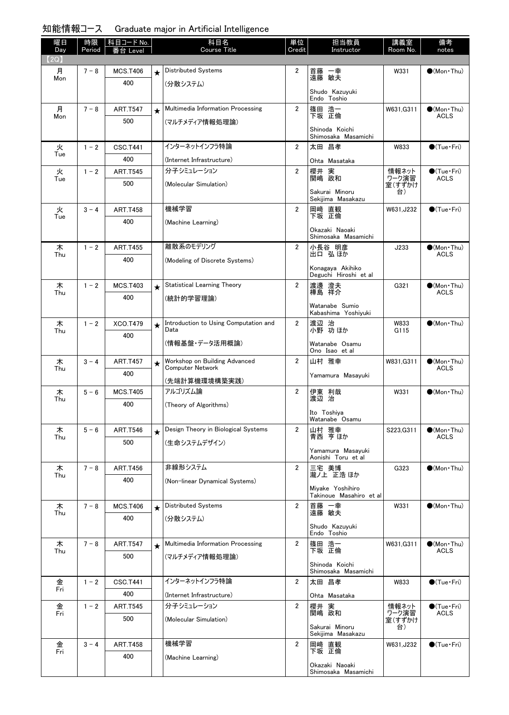| 知能情報コース | Graduate major in Artificial Intelligence |  |  |  |
|---------|-------------------------------------------|--|--|--|
|---------|-------------------------------------------|--|--|--|

| 曜日<br>Day | 時限<br>Period | │科目コード No. │<br>番台 Level |            | 科目名<br><b>Course Title</b>                    | 単位<br>Credit   | 担当教員<br>Instructor                          | 講義室<br>Room No. | 備考<br>notes                           |
|-----------|--------------|--------------------------|------------|-----------------------------------------------|----------------|---------------------------------------------|-----------------|---------------------------------------|
| (2Q)      |              |                          |            |                                               |                |                                             |                 |                                       |
| 月<br>Mon  | $7 - 8$      | <b>MCS.T406</b>          | $\star$    | Distributed Systems                           | $\overline{2}$ | 首藤 一幸<br>遠藤 敏夫                              | W331            | $\bigcirc$ (Mon Thu)                  |
|           |              | 400                      |            | (分散システム)                                      |                | Shudo Kazuyuki                              |                 |                                       |
|           |              |                          |            |                                               |                | Endo Toshio                                 |                 |                                       |
| 月<br>Mon  | $7 - 8$      | <b>ART.T547</b>          | $\star$    | Multimedia Information Processing             | $\overline{2}$ | 篠田 浩一<br>下坂 正倫                              | W631, G311      | $\bullet$ (Mon Thu)<br><b>ACLS</b>    |
|           |              | 500                      |            | (マルチメディア情報処理論)                                |                | Shinoda Koichi<br>Shimosaka Masamichi       |                 |                                       |
| 火         | $1 - 2$      | CSC.T441                 |            | インターネットインフラ特論                                 | $\overline{2}$ | 太田 昌孝                                       | W833            | $\bullet$ (Tue•Fri)                   |
| Tue       |              | 400                      |            | (Internet Infrastructure)                     |                | Ohta Masataka                               |                 |                                       |
| 火<br>Tue  | $1 - 2$      | <b>ART.T545</b>          |            | 分子シミュレーション                                    | $\overline{2}$ | 櫻井 実<br>関嶋 政和                               | 情報ネット<br>ワーク演習  | $\bullet$ (Tue · Fri)<br><b>ACLS</b>  |
|           |              | 500                      |            | (Molecular Simulation)                        |                |                                             | 室(すずかけ<br>台)    |                                       |
|           |              |                          |            |                                               |                | Sakurai Minoru<br>Sekijima Masakazu         |                 |                                       |
| 火<br>Tue  | $3 - 4$      | <b>ART.T458</b>          |            | 機械学習                                          | $\overline{2}$ | 岡﨑 直観<br>下坂 正倫                              | W631.J232       | $\bigcirc$ (Tue · Fri)                |
|           |              | 400                      |            | (Machine Learning)                            |                | Okazaki Naoaki                              |                 |                                       |
|           |              |                          |            |                                               |                | Shimosaka Masamichi                         |                 |                                       |
| 木<br>Thu  | $1 - 2$      | <b>ART.T455</b>          |            | 離散系のモデリング                                     | $\overline{2}$ | 小長谷 明彦<br>出口 弘ほか                            | J233            | $\bullet$ (Mon Thu)<br><b>ACLS</b>    |
|           |              | 400                      |            | (Modeling of Discrete Systems)                |                | Konagaya Akihiko                            |                 |                                       |
|           |              |                          |            |                                               |                | Deguchi Hiroshi et al                       |                 |                                       |
| 木<br>Thu  | $1 - 2$      | <b>MCS.T403</b>          | $\star$    | <b>Statistical Learning Theory</b>            | $\overline{2}$ | 渡邊 澄夫<br>樺島 祥介                              | G321            | $\bullet$ (Mon•Thu)<br><b>ACLS</b>    |
|           |              | 400                      |            | (統計的学習理論)                                     |                | Watanabe Sumio                              |                 |                                       |
|           |              |                          |            |                                               |                | Kabashima Yoshiyuki                         |                 |                                       |
| 木<br>Thu  | $1 - 2$      | XCO.T479                 | $\star$    | Introduction to Using Computation and<br>Data | $\overline{2}$ | 渡辺 治<br>小野 功ほか                              | W833<br>G115    | $\bigcirc$ (Mon Thu)                  |
|           |              | 400                      |            | (情報基盤・データ活用概論)                                |                | Watanabe Osamu<br>Ono Isao et al            |                 |                                       |
| 木         | $3 - 4$      | <b>ART.T457</b>          | $\star$    | Workshop on Building Advanced                 | $\mathbf{2}$   | 山村 雅幸                                       | W831, G311      | $\bigcirc$ (Mon Thu)                  |
| Thu       |              | 400                      |            | <b>Computer Network</b>                       |                | Yamamura Masayuki                           |                 | ACLS                                  |
| 木         | $5 - 6$      | <b>MCS.T405</b>          |            | (先端計算機環境構築実践)<br>アルゴリズム論                      | $\overline{2}$ | 伊東 利哉                                       | W331            | $\bigcirc$ (Mon•Thu)                  |
| Thu       |              | 400                      |            | (Theory of Algorithms)                        |                | 渡边 治                                        |                 |                                       |
|           |              |                          |            |                                               |                | Ito Toshiya<br>Watanabe Osamu               |                 |                                       |
| 木         | $5 - 6$      | <b>ART.T546</b>          | $\bigstar$ | Design Theory in Biological Systems           | $\overline{2}$ | 山村 雅幸                                       | S223.G311       | $\bullet$ (Mon · Thu)                 |
| Thu       |              | 500                      |            | (生命システムデザイン)                                  |                | 青西 亨 ほか                                     |                 | <b>ACLS</b>                           |
|           |              |                          |            |                                               |                | Yamamura Masayuki<br>Aonishi Toru et al     |                 |                                       |
| 木         | $7 - 8$      | <b>ART.T456</b>          |            | 非線形システム                                       | $\overline{2}$ | 三宅 美博<br>瀧ノ上 正浩ほか                           | G323            | $\bullet$ (Mon Thu)                   |
| Thu       |              | 400                      |            | (Non-linear Dynamical Systems)                |                |                                             |                 |                                       |
|           |              |                          |            |                                               |                | Miyake Yoshihiro<br>Takinoue Masahiro et al |                 |                                       |
| 木<br>Thu  | $7 - 8$      | <b>MCS.T406</b>          | $\star$    | <b>Distributed Systems</b>                    | $\overline{2}$ | 首藤 一幸<br>遠藤 敏夫                              | W331            | $\bullet$ (Mon Thu)                   |
|           |              | 400                      |            | (分散システム)                                      |                |                                             |                 |                                       |
|           |              |                          |            |                                               |                | Shudo Kazuyuki<br>Endo Toshio               |                 |                                       |
| 木<br>Thu  | $7 - 8$      | <b>ART.T547</b>          | $\star$    | Multimedia Information Processing             | $\overline{2}$ | 篠田 浩一<br>下坂 正倫                              | W631, G311      | $\bullet$ (Mon Thu)<br><b>ACLS</b>    |
|           |              | 500                      |            | (マルチメディア情報処理論)                                |                | Shinoda Koichi                              |                 |                                       |
|           |              |                          |            |                                               |                | Shimosaka Masamichi                         |                 |                                       |
| 金<br>Fri  | $1 - 2$      | <b>CSC.T441</b>          |            | インターネットインフラ特論                                 | $\overline{2}$ | 太田 昌孝                                       | W833            | $\bigcirc$ (Tue · Fri)                |
|           |              | 400                      |            | (Internet Infrastructure)                     |                | Ohta Masataka                               |                 |                                       |
| 金<br>Fri  | $1 - 2$      | <b>ART.T545</b>          |            | 分子シミュレーション                                    | $\overline{2}$ | 櫻井 実<br>関嶋 政和                               | 情報ネット<br>ワーク演習  | $\bigcirc$ (Tue · Fri)<br><b>ACLS</b> |
|           |              | 500                      |            | (Molecular Simulation)                        |                | Sakurai Minoru                              | 室(すずかけ<br>台)    |                                       |
|           |              |                          |            | 機械学習                                          | $\overline{2}$ | Sekijima Masakazu                           |                 |                                       |
| 金<br>Fri  | $3 - 4$      | <b>ART.T458</b><br>400   |            |                                               |                | 岡﨑 直観<br>下坂 正倫                              | W631.J232       | $\bigcirc$ (Tue · Fri)                |
|           |              |                          |            | (Machine Learning)                            |                | Okazaki Naoaki<br>Shimosaka Masamichi       |                 |                                       |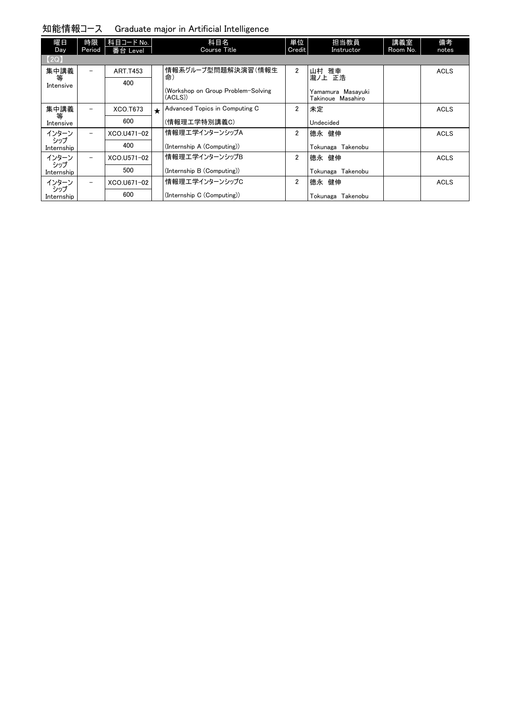| 曜日<br>Day         | 時限<br>Period             | 科目コード No.<br>番台 Level |         | 科目名<br>Course Title                          | 単位<br>Credit   | 担当教員<br>Instructor                     | 講義室<br>Room No. | 備考<br>notes |
|-------------------|--------------------------|-----------------------|---------|----------------------------------------------|----------------|----------------------------------------|-----------------|-------------|
| [2Q]              |                          |                       |         |                                              |                |                                        |                 |             |
| 集中講義              | $\overline{\phantom{a}}$ | <b>ART.T453</b>       |         | 情報系グループ型問題解決演習(情報生                           | $\overline{2}$ | 山村 雅幸                                  |                 | <b>ACLS</b> |
| 等<br>Intensive    |                          | 400                   |         | 命)                                           |                | 瀧ノ上 正浩                                 |                 |             |
|                   |                          |                       |         | (Workshop on Group Problem-Solving<br>(ACLS) |                | Yamamura Masayuki<br>Takinoue Masahiro |                 |             |
| 集中講義              | $\overline{\phantom{m}}$ | XCO.T673              | $\star$ | Advanced Topics in Computing C               | $\overline{2}$ | 未定                                     |                 | <b>ACLS</b> |
| 等<br>Intensive    |                          | 600                   |         | (情報理工学特別講義C)                                 |                | Undecided                              |                 |             |
| インターン             | $\overline{\phantom{0}}$ | XCO.U471-02           |         | 情報理エ学インターンシップA                               | $\overline{2}$ | 德永 健伸                                  |                 | <b>ACLS</b> |
| シップ<br>Internship |                          | 400                   |         | (Internship A (Computing))                   |                | Tokunaga Takenobu                      |                 |             |
| インターン             | $\overline{\phantom{m}}$ | XCO.U571-02           |         | 情報理エ学インターンシップB                               | $\overline{2}$ | 德永 健伸                                  |                 | <b>ACLS</b> |
| シップ<br>Internship |                          | 500                   |         | (Internship B (Computing))                   |                | Takenobu<br>Tokunaga                   |                 |             |
| インターン             | $\qquad \qquad -$        | XCO.U671-02           |         | 情報理工学インターンシップC                               | $\overline{2}$ | 德永 健伸                                  |                 | <b>ACLS</b> |
| シップ<br>Internship |                          | 600                   |         | (Internship C (Computing))                   |                | Tokunaga Takenobu                      |                 |             |

知能情報コース Graduate major in Artificial Intelligence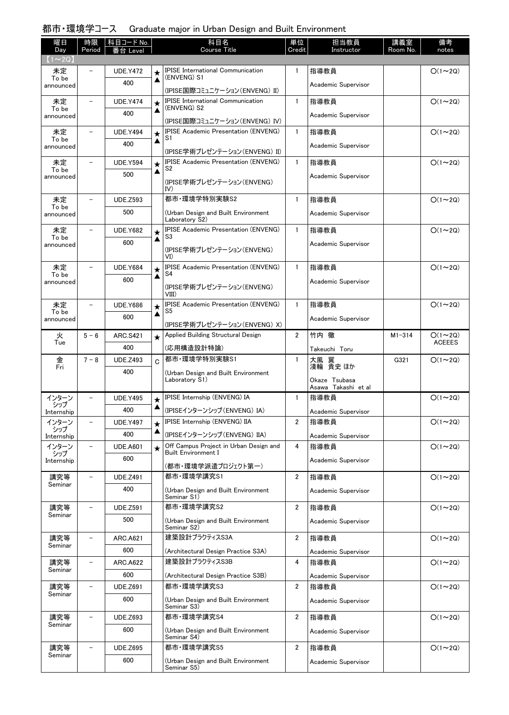### 都市・環境学コース Graduate major in Urban Design and Built Environment

| 曜日<br>Day          | 時限<br>Period             | 科目コード No.              |              | 科目名<br><b>Course Title</b>                                                | 単位<br>Credit   | 担当教員<br>Instructor                   | 講義室<br>Room No. | 備考<br>notes                    |
|--------------------|--------------------------|------------------------|--------------|---------------------------------------------------------------------------|----------------|--------------------------------------|-----------------|--------------------------------|
| $1 \sim 2Q$        |                          | Level                  |              |                                                                           |                |                                      |                 |                                |
| 未定                 |                          | <b>UDE.Y472</b>        | ★            | <b>IPISE International Communication</b><br>(ENVENG) S1                   | $\mathbf{1}$   | 指導教員                                 |                 | $O(1\sim 2Q)$                  |
| announced          | To be<br>400             |                        | ▲            |                                                                           |                | Academic Supervisor                  |                 |                                |
| 未定                 |                          | <b>UDE.Y474</b>        | $\star$      | (IPISE国際コミュニケーション(ENVENG) II)<br><b>IPISE International Communication</b> | $\mathbf{1}$   | 指導教員                                 |                 | $O(1\sim 2Q)$                  |
| To be<br>announced |                          | 400                    | ▲            | (ENVENG) S2                                                               |                | Academic Supervisor                  |                 |                                |
|                    |                          |                        |              | (IPISE国際コミュニケーション(ENVENG) IV)                                             |                |                                      |                 |                                |
| 未定<br>To be        |                          | <b>UDE.Y494</b>        | $\star$<br>▲ | <b>IPISE Academic Presentation (ENVENG)</b><br>S1                         | $\mathbf{1}$   | 指導教員                                 |                 | $O(1\sim 2Q)$                  |
| announced          |                          | 400                    |              | (IPISE学術プレゼンテーション(ENVENG) II)                                             |                | Academic Supervisor                  |                 |                                |
| 未定                 |                          | <b>UDE.Y594</b>        | $\star$      | <b>IPISE Academic Presentation (ENVENG)</b><br>S2                         | $\mathbf{1}$   | 指導教員                                 |                 | $O(1\sim 2Q)$                  |
| To be<br>announced |                          | 500                    | ▲            | (IPISE学術プレゼンテーション(ENVENG)                                                 |                | Academic Supervisor                  |                 |                                |
|                    |                          |                        |              | IV)                                                                       |                |                                      |                 |                                |
| 未定<br>To be        |                          | <b>UDE.Z593</b>        |              | 都市·環境学特別実験S2                                                              | $\mathbf{1}$   | 指導教員                                 |                 | $O(1\sim 2Q)$                  |
| announced          |                          | 500                    |              | (Urban Design and Built Environment<br>Laboratory S2)                     |                | Academic Supervisor                  |                 |                                |
| 未定<br>To be        |                          | <b>UDE.Y682</b>        | $\star$      | <b>IPISE Academic Presentation (ENVENG)</b><br>S3                         | $\mathbf{1}$   | 指導教員                                 |                 | $O(1\sim 2Q)$                  |
| announced          |                          | 600                    | ▲            | (IPISE学術プレゼンテーション(ENVENG)                                                 |                | Academic Supervisor                  |                 |                                |
|                    |                          |                        |              | VI)                                                                       |                |                                      |                 |                                |
| 未定<br>To be        | $\overline{\phantom{0}}$ | <b>UDE.Y684</b>        | $\star$<br>▲ | <b>IPISE Academic Presentation (ENVENG)</b><br>S4                         | $\mathbf{1}$   | 指導教員                                 |                 | $O(1\sim 2Q)$                  |
| announced          |                          | 600                    |              | (IPISE学術プレゼンテーション(ENVENG)                                                 |                | Academic Supervisor                  |                 |                                |
| 未定                 |                          | <b>UDE.Y686</b>        | $\star$      | VIII)<br><b>IPISE Academic Presentation (ENVENG)</b>                      | $\mathbf{1}$   | 指導教員                                 |                 | $O(1\sim 2Q)$                  |
| To be<br>announced |                          | 600                    | ▲            | S5                                                                        |                | Academic Supervisor                  |                 |                                |
|                    |                          |                        |              | (IPISE学術プレゼンテーション(ENVENG) X)                                              |                |                                      |                 |                                |
| 火<br>Tue           | $5 - 6$                  | <b>ARC.S421</b>        | $\star$      | Applied Building Structural Design                                        | $\overline{2}$ | 竹内 徹                                 | $M1 - 314$      | $O(1\sim 2Q)$<br><b>ACEEES</b> |
|                    | 400                      |                        |              | (応用構造設計特論)<br>都市·環境学特別実験S1                                                | 1              | Takeuchi Toru                        |                 |                                |
| 金<br>Fri           | $7 - 8$                  | <b>UDE.Z493</b><br>400 | C            |                                                                           |                | 翼<br>大風<br>浅輪 貴史 ほか                  | G321            | $O(1\sim 2Q)$                  |
|                    |                          |                        |              | (Urban Design and Built Environment<br>Laboratory S1)                     |                | Okaze Tsubasa<br>Asawa Takashi et al |                 |                                |
| インターン              |                          | <b>UDE.Y495</b>        | $\star$      | IPISE Internship (ENVENG) IA                                              | 1              | 指導教員                                 |                 | $O(1\sim 2Q)$                  |
| シップ<br>Internship  |                          | 400                    | ▲            | (IPISEインターンシップ(ENVENG)IA)                                                 |                | Academic Supervisor                  |                 |                                |
| インターン<br>シップ       |                          | <b>UDE.Y497</b>        |              | IPISE Internship (ENVENG) IIA                                             | 2              | 指導教員                                 |                 | $O(1\sim 2Q)$                  |
| Internship         |                          | 400                    | ▲            | (IPISEインターンシップ(ENVENG)IIA)                                                |                | Academic Supervisor                  |                 |                                |
| インターン<br>シップ       | $\overline{\phantom{0}}$ | <b>UDE.A601</b>        | $\star$      | Off Campus Project in Urban Design and<br><b>Built Environment I</b>      | 4              | 指導教員                                 |                 | $O(1\sim 2Q)$                  |
| Internship         |                          | 600                    |              | (都市・環境学派遣プロジェクト第一)                                                        |                | Academic Supervisor                  |                 |                                |
| 講究等                | $\overline{\phantom{0}}$ | <b>UDE.Z491</b>        |              | 都市·環境学講究S1                                                                | 2              | 指導教員                                 |                 | $O(1\sim 2Q)$                  |
| Seminar            |                          | 400                    |              | (Urban Design and Built Environment<br>Seminar S1)                        |                | Academic Supervisor                  |                 |                                |
| 講究等                | $\overline{a}$           | <b>UDE.Z591</b>        |              | 都市·環境学講究S2                                                                | 2              | 指導教員                                 |                 | $O(1\sim 2Q)$                  |
| Seminar            |                          | 500                    |              | (Urban Design and Built Environment                                       |                | Academic Supervisor                  |                 |                                |
| 講究等                | $\overline{\phantom{0}}$ | <b>ARC.A621</b>        |              | Seminar S2)<br>建築設計プラクティスS3A                                              | 2              | 指導教員                                 |                 | $O(1\sim 2Q)$                  |
| Seminar            |                          | 600                    |              | (Architectural Design Practice S3A)                                       |                | Academic Supervisor                  |                 |                                |
| 講究等                |                          | <b>ARC.A622</b>        |              | 建築設計プラクティスS3B                                                             | 4              | 指導教員                                 |                 | $O(1\sim 2Q)$                  |
| Seminar            |                          | 600                    |              | (Architectural Design Practice S3B)                                       |                | Academic Supervisor                  |                 |                                |
| 講究等<br>Seminar     |                          |                        |              |                                                                           |                |                                      |                 |                                |
|                    |                          | <b>UDE.Z691</b>        |              | 都市·環境学講究S3                                                                | 2              | 指導教員                                 |                 | $O(1\sim 2Q)$                  |
|                    |                          | 600                    |              | (Urban Design and Built Environment<br>Seminar S3)                        |                | Academic Supervisor                  |                 |                                |
| 講究等                |                          | <b>UDE.Z693</b>        |              | 都市·環境学講究S4                                                                | $\overline{2}$ | 指導教員                                 |                 | $O(1\sim 2Q)$                  |
| Seminar            |                          | 600                    |              | (Urban Design and Built Environment                                       |                | Academic Supervisor                  |                 |                                |
| 講究等                |                          | <b>UDE.Z695</b>        |              | Seminar S4)<br>都市·環境学講究S5                                                 | $\overline{2}$ | 指導教員                                 |                 | $O(1\sim 2Q)$                  |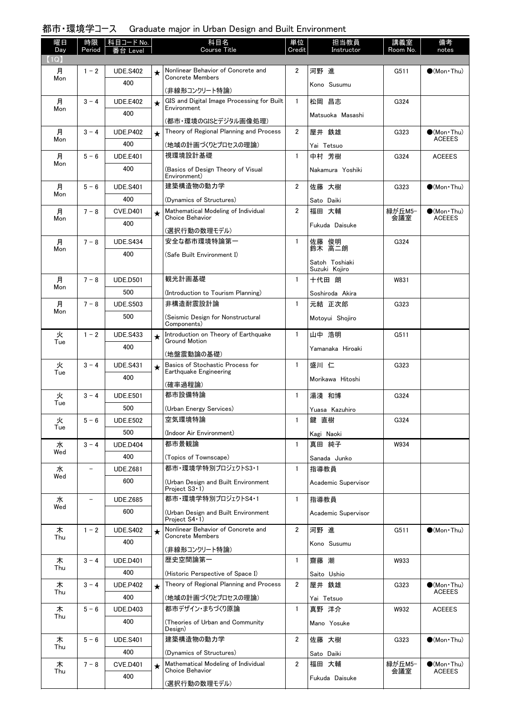### 都市・環境学コース Graduate major in Urban Design and Built Environment

| 曜日          | 時限      | 科目コード No.       |         | 科目名<br>Course Title                                           | 単位             | 担当教員                   | 講義室      | 備考                                   |
|-------------|---------|-----------------|---------|---------------------------------------------------------------|----------------|------------------------|----------|--------------------------------------|
| Day<br>(1Q) | Period  | Leve            |         |                                                               | Credit         | Instructor             | Room No. | notes                                |
| 月           | $1 - 2$ | <b>UDE.S402</b> | ★       | Nonlinear Behavior of Concrete and                            | $\overline{2}$ | 河野 進                   | G511     | $\bigcirc$ (Mon Thu)                 |
| Mon         |         | 400             |         | <b>Concrete Members</b>                                       |                | Kono Susumu            |          |                                      |
| 月           | $3 - 4$ | <b>UDE.E402</b> |         | (非線形コンクリート特論)<br>GIS and Digital Image Processing for Built   | $\mathbf{1}$   | 松岡 昌志                  | G324     |                                      |
| Mon         |         | 400             | $\star$ | Environment                                                   |                |                        |          |                                      |
|             |         |                 |         | (都市・環境のGISとデジタル画像処理)                                          |                | Matsuoka Masashi       |          |                                      |
| 月<br>Mon    | $3 - 4$ | <b>UDE.P402</b> |         | Theory of Regional Planning and Process                       | $\overline{2}$ | 屋井 鉄雄                  | G323     | $\bullet$ (Mon Thu)<br><b>ACEEES</b> |
|             |         | 400             |         | (地域の計画づくりとプロセスの理論)                                            |                | Yai Tetsuo             |          |                                      |
| 月<br>Mon    | $5 - 6$ | <b>UDE.E401</b> |         | 視環境設計基礎                                                       | $\mathbf{1}$   | 中村 芳樹                  | G324     | <b>ACEEES</b>                        |
|             |         | 400             |         | (Basics of Design Theory of Visual<br>Environment)            |                | Nakamura Yoshiki       |          |                                      |
| 月           | $5 - 6$ | <b>UDE.S401</b> |         | 建築構造物の動力学                                                     | $\overline{2}$ | 佐藤 大樹                  | G323     | $\bigcirc$ (Mon Thu)                 |
| Mon         |         | 400             |         | (Dynamics of Structures)                                      |                | Sato Daiki             |          |                                      |
| 月           | $7 - 8$ | <b>CVE.D401</b> | $\star$ | Mathematical Modeling of Individual<br>Choice Behavior        | $\overline{2}$ | 福田 大輔                  | 緑が丘M5-   | $\bigcirc$ (Mon Thu)                 |
| Mon         |         | 400             |         |                                                               |                | Fukuda Daisuke         | 会議室      | <b>ACEEES</b>                        |
| 月           | $7 - 8$ | <b>UDE.S434</b> |         | (選択行動の数理モデル)<br>安全な都市環境特論第一                                   | $\mathbf{1}$   |                        | G324     |                                      |
| Mon         |         | 400             |         | (Safe Built Environment I)                                    |                | 佐藤 俊明<br>鈴木 高二朗        |          |                                      |
|             |         |                 |         |                                                               |                | Satoh Toshiaki         |          |                                      |
| 月           | $7 - 8$ | <b>UDE.D501</b> |         | 観光計画基礎                                                        | $\mathbf{1}$   | Suzuki Kojiro<br>十代田 朗 | W831     |                                      |
| Mon         |         | 500             |         | (Introduction to Tourism Planning)                            |                | Soshiroda Akira        |          |                                      |
| 月           | $7 - 8$ | <b>UDE.S503</b> |         | 非構造耐震設計論                                                      | $\mathbf{1}$   | 元結 正次郎                 | G323     |                                      |
| Mon         |         | 500             |         | (Seismic Design for Nonstructural                             |                | Motoyui Shojiro        |          |                                      |
|             |         |                 |         | Components)                                                   |                |                        |          |                                      |
| 火<br>Tue    | $1 - 2$ | <b>UDE.S433</b> | $\star$ | Introduction on Theory of Earthquake<br><b>Ground Motion</b>  | $\mathbf{1}$   | 山中 浩明                  | G511     |                                      |
|             |         | 400             |         | (地盤震動論の基礎)                                                    |                | Yamanaka Hiroaki       |          |                                      |
| 火           | $3 - 4$ | <b>UDE.S431</b> | $\star$ | Basics of Stochastic Process for                              | $\mathbf{1}$   | 盛川 仁                   | G323     |                                      |
| Tue         |         | 400             |         | Earthquake Engineering                                        |                | Morikawa Hitoshi       |          |                                      |
| 火           | $3 - 4$ | <b>UDE.E501</b> |         | (確率過程論)<br>都市設備特論                                             | $\mathbf{1}$   | 湯淺 和博                  | G324     |                                      |
| Tue         |         | 500             |         | (Urban Energy Services)                                       |                | Yuasa Kazuhiro         |          |                                      |
| 火           | $5 - 6$ | <b>UDE.E502</b> |         | 空気環境特論                                                        | $\mathbf{1}$   | 鍵 直樹                   | G324     |                                      |
| Tue         |         | 500             |         | (Indoor Air Environment)                                      |                | Kagi Naoki             |          |                                      |
| 水           | $3 - 4$ | <b>UDE.D404</b> |         | 都市景観論                                                         | $\mathbf{1}$   | 真田 純子                  | W934     |                                      |
| Wed         |         | 400             |         | (Topics of Townscape)                                         |                | Sanada Junko           |          |                                      |
| 水           |         | <b>UDE.Z681</b> |         | 都市·環境学特別プロジェクトS3・1                                            | $\mathbf{1}$   | 指導教員                   |          |                                      |
| Wed         |         | 600             |         | (Urban Design and Built Environment                           |                | Academic Supervisor    |          |                                      |
| 水           |         | <b>UDE.Z685</b> |         | Project S3 · 1)<br>都市·環境学特別プロジェクトS4·1                         | $\mathbf{1}$   | 指導教員                   |          |                                      |
| Wed         |         | 600             |         | (Urban Design and Built Environment                           |                | Academic Supervisor    |          |                                      |
|             |         |                 |         | Project S4 · 1)                                               |                |                        |          |                                      |
| 木<br>Thu    | $1 - 2$ | <b>UDE.S402</b> | $\star$ | Nonlinear Behavior of Concrete and<br><b>Concrete Members</b> | $\overline{2}$ | 河野 進                   | G511     | $\bullet$ (Mon Thu)                  |
|             |         | 400             |         | (非線形コンクリート特論)                                                 |                | Kono Susumu            |          |                                      |
| 木           | $3 - 4$ | <b>UDE.D401</b> |         | 歴史空間論第一                                                       | $\mathbf{1}$   | 齋藤 潮                   | W933     |                                      |
| Thu         |         | 400             |         | (Historic Perspective of Space I)                             |                | Saito Ushio            |          |                                      |
| 木           | $3 - 4$ | <b>UDE.P402</b> | $\star$ | Theory of Regional Planning and Process                       | $\overline{2}$ | 屋井 鉄雄                  | G323     | $\bullet$ (Mon · Thu)                |
| Thu         |         | 400             |         | (地域の計画づくりとプロセスの理論)                                            |                | Yai Tetsuo             |          | <b>ACEEES</b>                        |
| 木<br>Thu    | $5 - 6$ | <b>UDE.D403</b> |         | 都市デザイン・まちづくり原論                                                | $\mathbf{1}$   | 真野 洋介                  | W932     | <b>ACEEES</b>                        |
|             |         | 400             |         | (Theories of Urban and Community)<br>Design)                  |                | Mano Yosuke            |          |                                      |
| 木           | $5 - 6$ | <b>UDE.S401</b> |         | 建築構造物の動力学                                                     | $\overline{2}$ | 佐藤 大樹                  | G323     | $\bullet$ (Mon Thu)                  |
| Thu         |         | 400             |         | (Dynamics of Structures)                                      |                | Sato Daiki             |          |                                      |
| 木           | $7 - 8$ | <b>CVE.D401</b> | $\star$ | Mathematical Modeling of Individual                           | 2              | 福田 大輔                  | 緑が丘M5−   | $\bullet$ (Mon Thu)                  |
| Thu         |         | 400             |         | Choice Behavior                                               |                | Fukuda Daisuke         | 会議室      | <b>ACEEES</b>                        |
|             |         |                 |         | (選択行動の数理モデル)                                                  |                |                        |          |                                      |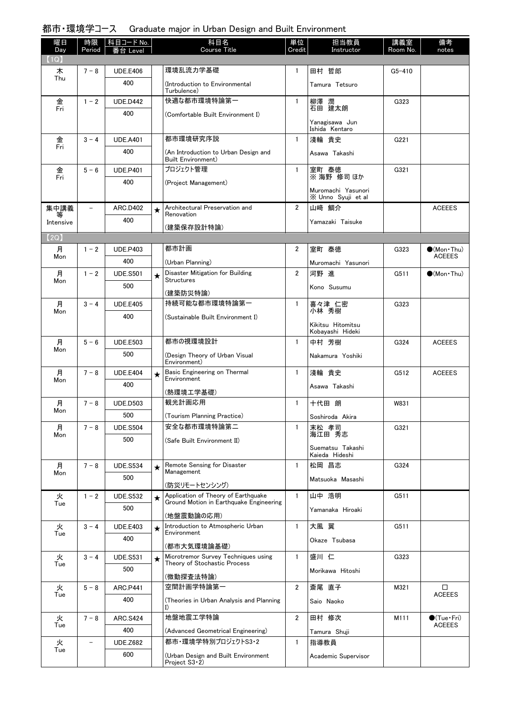## 都市・環境学コース Graduate major in Urban Design and Built Environment

| 曜日             | 時限                       | │科目コード No. │    |         | 科目名                                                        | 単位             | 担当教員                                     | 講義室        | 備考                                   |
|----------------|--------------------------|-----------------|---------|------------------------------------------------------------|----------------|------------------------------------------|------------|--------------------------------------|
| Day<br>(1Q)    | Period                   | Level           |         | Course Title                                               | Credit         | Instructor                               | Room No.   | notes                                |
| 木              | $7 - 8$                  | <b>UDE.E406</b> |         | 環境乱流力学基礎                                                   | 1              | 田村 哲郎                                    | $G5 - 410$ |                                      |
| Thu            |                          | 400             |         | (Introduction to Environmental                             |                | Tamura Tetsuro                           |            |                                      |
|                |                          |                 |         | Turbulence)                                                |                |                                          |            |                                      |
| 金<br>Fri       | $1 - 2$                  | <b>UDE.D442</b> |         | 快適な都市環境特論第一                                                | $\mathbf{1}$   | 柳澤 潤<br>石田 建太朗                           | G323       |                                      |
|                |                          | 400             |         | (Comfortable Built Environment I)                          |                |                                          |            |                                      |
|                |                          |                 |         |                                                            |                | Yanagisawa Jun<br>Ishida Kentaro         |            |                                      |
| 金              | $3 - 4$                  | <b>UDE.A401</b> |         | 都市環境研究序説                                                   | $\mathbf{1}$   | 淺輪 貴史                                    | G221       |                                      |
| Fri            |                          | 400             |         | (An Introduction to Urban Design and<br>Built Environment) |                | Asawa Takashi                            |            |                                      |
|                | $5 - 6$                  | <b>UDE.P401</b> |         | プロジェクト管理                                                   | 1              | 室町 泰徳<br>※ 海野 修司ほか                       | G321       |                                      |
| 金<br>Fri       |                          | 400             |         | (Project Management)                                       |                |                                          |            |                                      |
|                |                          |                 |         |                                                            |                | Muromachi Yasunori<br>X Unno Syuji et al |            |                                      |
| 集中講義           | $\overline{\phantom{0}}$ | <b>ARC.D402</b> | $\star$ | Architectural Preservation and                             | $\overline{2}$ | 山﨑 鯛介                                    |            | <b>ACEEES</b>                        |
| 等<br>Intensive |                          | 400             |         | Renovation                                                 |                | Yamazaki Taisuke                         |            |                                      |
|                |                          |                 |         | (建築保存設計特論)                                                 |                |                                          |            |                                      |
| [2Q]           |                          |                 |         | 都市計画                                                       |                |                                          |            |                                      |
| 月<br>Mon       | $1 - 2$                  | <b>UDE.P403</b> |         |                                                            | 2              | 室町 泰徳                                    | G323       | $\bullet$ (Mon Thu)<br><b>ACEEES</b> |
|                |                          | 400             |         | (Urban Planning)<br>Disaster Mitigation for Building       | $\overline{2}$ | Muromachi Yasunori                       |            |                                      |
| 月<br>Mon       | $1 - 2$                  | <b>UDE.S501</b> | $\star$ | <b>Structures</b>                                          |                | 河野 進                                     | G511       | $\bullet$ (Mon · Thu)                |
|                |                          | 500             |         | (建築防災特論)                                                   |                | Kono Susumu                              |            |                                      |
| 月              | $3 - 4$                  | <b>UDE.E405</b> |         | 持続可能な都市環境特論第一                                              | 1              | 喜々津 仁密                                   | G323       |                                      |
| Mon            |                          | 400             |         | (Sustainable Built Environment I)                          |                | 小林 秀樹                                    |            |                                      |
|                |                          |                 |         |                                                            |                | Kikitsu Hitomitsu<br>Kobayashi Hideki    |            |                                      |
| 月              | $5 - 6$                  | <b>UDE.E503</b> |         | 都市の視環境設計                                                   | $\mathbf{1}$   | 中村 芳樹                                    | G324       | <b>ACEEES</b>                        |
| Mon            |                          | 500             |         | (Design Theory of Urban Visual                             |                | Nakamura Yoshiki                         |            |                                      |
| 月              | $7 - 8$                  | <b>UDE.E404</b> | $\star$ | Environment)<br>Basic Engineering on Thermal               | $\mathbf{1}$   | 淺輪 貴史                                    | G512       | <b>ACEEES</b>                        |
| Mon            |                          | 400             |         | Environment                                                |                | Asawa Takashi                            |            |                                      |
|                |                          |                 |         | (熱環境工学基礎)                                                  |                |                                          |            |                                      |
| 月<br>Mon       | $7 - 8$                  | <b>UDE.D503</b> |         | 観光計画応用                                                     | $\mathbf{1}$   | 十代田 朗                                    | W831       |                                      |
|                |                          | 500             |         | (Tourism Planning Practice)                                |                | Soshiroda Akira                          |            |                                      |
| 月<br>Mon       | $7 - 8$                  | <b>UDE.S504</b> |         | 安全な都市環境特論第二                                                | 1              | 末松 孝司<br>海江田 秀志                          | G321       |                                      |
|                |                          | 500             |         | (Safe Built Environment II)                                |                | Suematsu Takashi                         |            |                                      |
|                |                          |                 |         |                                                            |                | Kaieda Hideshi                           |            |                                      |
| 月<br>Mon       | $7 - 8$                  | <b>UDE.S534</b> | $\star$ | Remote Sensing for Disaster<br>Management                  | 1              | 松岡 昌志                                    | G324       |                                      |
|                |                          | 500             |         | (防災リモートセンシング)                                              |                | Matsuoka Masashi                         |            |                                      |
| 火              | $1 - 2$                  | <b>UDE.S532</b> | $\star$ | Application of Theory of Earthquake                        | $\mathbf{1}$   | 山中 浩明                                    | G511       |                                      |
| Tue            |                          | 500             |         | Ground Motion in Earthquake Engineering                    |                | Yamanaka Hiroaki                         |            |                                      |
|                |                          |                 |         | (地盤震動論の応用)                                                 |                |                                          |            |                                      |
| 火<br>Tue       | $3 - 4$                  | <b>UDE.E403</b> | $\star$ | Introduction to Atmospheric Urban<br>Environment           | 1              | 大風 翼                                     | G511       |                                      |
|                |                          | 400             |         | (都市大気環境論基礎)                                                |                | Okaze Tsubasa                            |            |                                      |
| 火<br>Tue       | $3 - 4$                  | <b>UDE.S531</b> | $\star$ | Microtremor Survey Techniques using                        | 1              | 盛川 仁                                     | G323       |                                      |
|                |                          | 500             |         | Theory of Stochastic Process                               |                | Morikawa Hitoshi                         |            |                                      |
|                |                          |                 |         | (微動探査法特論)<br>空間計画学特論第一                                     |                |                                          |            |                                      |
| 火<br>Tue       | $5 - 8$                  | <b>ARC.P441</b> |         |                                                            | 2              | 斎尾 直子                                    | M321       | □<br><b>ACEEES</b>                   |
|                |                          | 400             |         | (Theories in Urban Analysis and Planning                   |                | Saio Naoko                               |            |                                      |
| 火              | $7 - 8$                  | <b>ARC.S424</b> |         | 地盤地震工学特論                                                   | 2              | 田村 修次                                    | M111       | $\bullet$ (Tue · Fri)                |
| Tue            |                          | 400             |         | (Advanced Geometrical Engineering)                         |                | Tamura Shuji                             |            | <b>ACEEES</b>                        |
| 火              |                          | <b>UDE.Z682</b> |         | 都市·環境学特別プロジェクトS3・2                                         | $\mathbf{1}$   | 指導教員                                     |            |                                      |
| Tue            |                          | 600             |         | (Urban Design and Built Environment                        |                | Academic Supervisor                      |            |                                      |
|                |                          |                 |         | Project $S3-2$ )                                           |                |                                          |            |                                      |